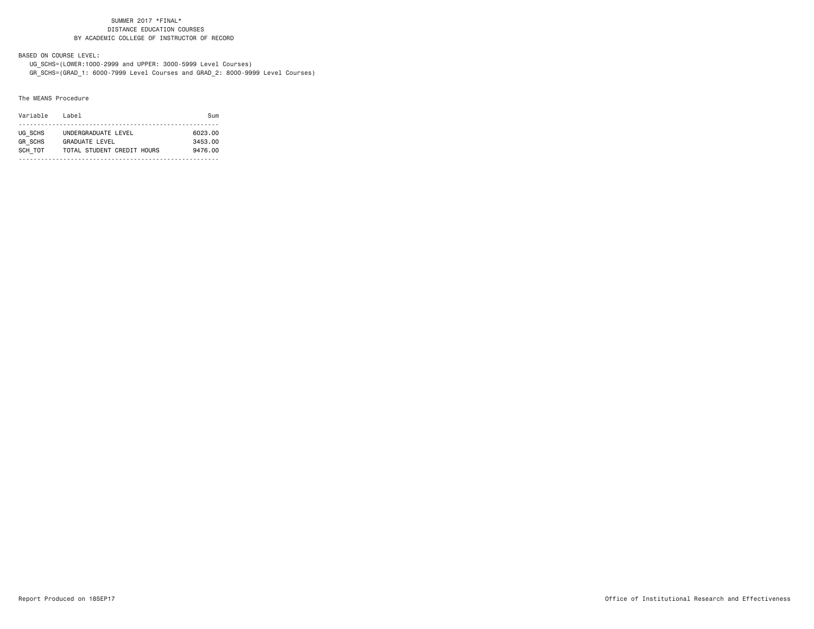BASED ON COURSE LEVEL:

 UG\_SCHS=(LOWER:1000-2999 and UPPER: 3000-5999 Level Courses) GR\_SCHS=(GRAD\_1: 6000-7999 Level Courses and GRAD\_2: 8000-9999 Level Courses)

#### The MEANS Procedure

| Variable       | l ahel                     | Sum     |
|----------------|----------------------------|---------|
|                |                            |         |
| UG SCHS        | UNDERGRADUATE LEVEL        | 6023.00 |
| <b>GR SCHS</b> | GRADUATE LEVEL             | 3453.00 |
| SCH TOT        | TOTAL STUDENT CREDIT HOURS | 9476.00 |
|                |                            |         |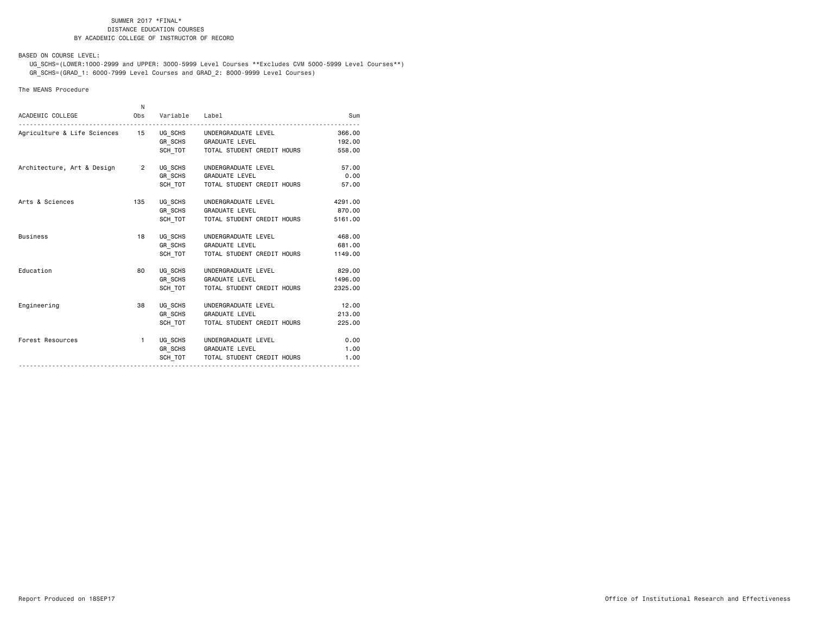BASED ON COURSE LEVEL:

 UG\_SCHS=(LOWER:1000-2999 and UPPER: 3000-5999 Level Courses \*\*Excludes CVM 5000-5999 Level Courses\*\*) GR\_SCHS=(GRAD\_1: 6000-7999 Level Courses and GRAD\_2: 8000-9999 Level Courses)

#### The MEANS Procedure

|                                                            | N.        |                |                                    |         |
|------------------------------------------------------------|-----------|----------------|------------------------------------|---------|
| ACADEMIC COLLEGE                                           | Obs       | Variable Label |                                    | Sum     |
| Agriculture & Life Sciences 15 UG_SCHS UNDERGRADUATE LEVEL |           |                |                                    | 366,00  |
|                                                            |           |                | GR SCHS GRADUATE LEVEL             | 192.00  |
|                                                            |           |                | SCH_TOT TOTAL STUDENT CREDIT HOURS | 558.00  |
| Architecture, Art & Design 2                               |           | UG SCHS        | UNDERGRADUATE LEVEL                | 57.00   |
|                                                            |           | GR SCHS        | <b>GRADUATE LEVEL</b>              | 0.00    |
|                                                            |           | SCH TOT        | TOTAL STUDENT CREDIT HOURS         | 57.00   |
| Arts & Sciences                                            | 135       | UG SCHS        | UNDERGRADUATE LEVEL                | 4291.00 |
|                                                            |           |                | GR SCHS GRADUATE LEVEL             | 870.00  |
|                                                            |           | SCH TOT        | TOTAL STUDENT CREDIT HOURS         | 5161.00 |
| <b>Business</b>                                            | 18        | UG SCHS        | UNDERGRADUATE LEVEL                | 468,00  |
|                                                            |           |                | GR_SCHS GRADUATE LEVEL             | 681,00  |
|                                                            |           | SCH TOT        | TOTAL STUDENT CREDIT HOURS         | 1149.00 |
| Education                                                  | 80        | UG SCHS        | UNDERGRADUATE LEVEL                | 829.00  |
|                                                            |           |                | GR_SCHS GRADUATE LEVEL             | 1496.00 |
|                                                            |           | SCH TOT        | TOTAL STUDENT CREDIT HOURS         | 2325.00 |
| Engineering                                                | 38        | UG SCHS        | UNDERGRADUATE LEVEL                | 12.00   |
|                                                            |           | GR SCHS        | <b>GRADUATE LEVEL</b>              | 213.00  |
|                                                            |           | SCH TOT        | TOTAL STUDENT CREDIT HOURS         | 225.00  |
| Forest Resources                                           | $1 \quad$ |                | UG SCHS UNDERGRADUATE LEVEL        | 0.00    |
|                                                            |           |                | GR SCHS GRADUATE LEVEL             | 1.00    |
|                                                            |           |                | SCH_TOT TOTAL STUDENT CREDIT HOURS | 1.00    |
|                                                            |           |                |                                    |         |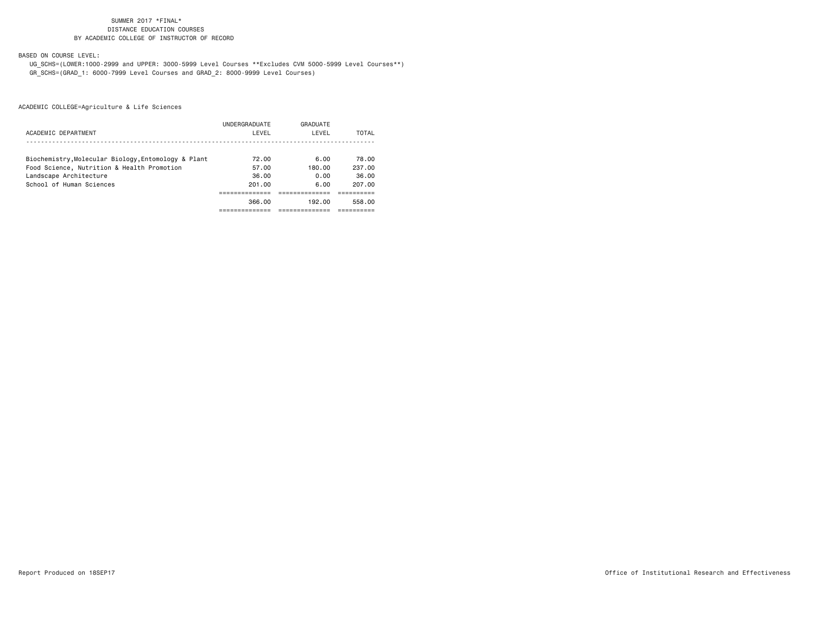BASED ON COURSE LEVEL:

 UG\_SCHS=(LOWER:1000-2999 and UPPER: 3000-5999 Level Courses \*\*Excludes CVM 5000-5999 Level Courses\*\*) GR\_SCHS=(GRAD\_1: 6000-7999 Level Courses and GRAD\_2: 8000-9999 Level Courses)

|                                                     | UNDERGRADUATE | GRADUATE |        |
|-----------------------------------------------------|---------------|----------|--------|
| ACADEMIC DEPARTMENT                                 | LEVEL         | LEVEL    | TOTAL  |
|                                                     |               |          |        |
| Biochemistry, Molecular Biology, Entomology & Plant | 72.00         | 6.00     | 78.00  |
| Food Science, Nutrition & Health Promotion          | 57.00         | 180.00   | 237.00 |
| Landscape Architecture                              | 36.00         | 0.00     | 36.00  |
| School of Human Sciences                            | 201.00        | 6.00     | 207.00 |
|                                                     |               |          |        |
|                                                     | 366.00        | 192.00   | 558.00 |
|                                                     |               |          |        |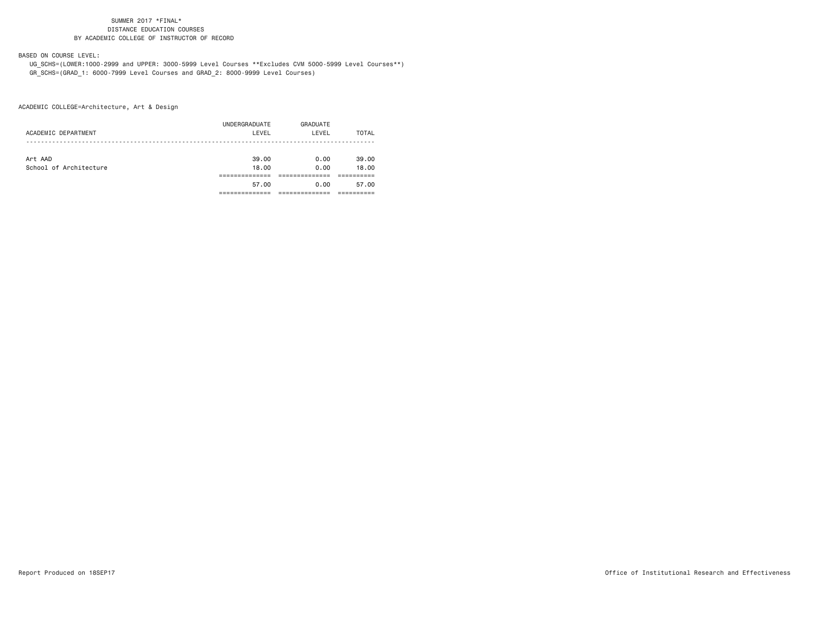### BASED ON COURSE LEVEL:

 UG\_SCHS=(LOWER:1000-2999 and UPPER: 3000-5999 Level Courses \*\*Excludes CVM 5000-5999 Level Courses\*\*) GR\_SCHS=(GRAD\_1: 6000-7999 Level Courses and GRAD\_2: 8000-9999 Level Courses)

ACADEMIC COLLEGE=Architecture, Art & Design

|                        | UNDERGRADUATE | GRADUATE |       |
|------------------------|---------------|----------|-------|
| ACADEMIC DEPARTMENT    | LEVEL         | LEVEL    | TOTAL |
|                        |               |          |       |
|                        |               |          |       |
| Art AAD                | 39.00         | 0.00     | 39.00 |
| School of Architecture | 18.00         | 0.00     | 18.00 |
|                        |               |          |       |
|                        | 57.00         | 0.00     | 57.00 |
|                        |               |          |       |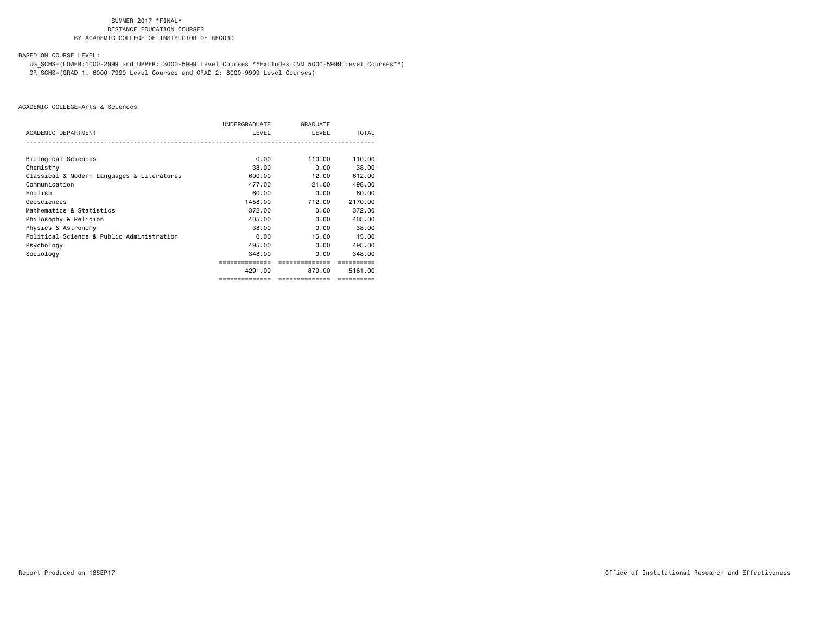BASED ON COURSE LEVEL:

 UG\_SCHS=(LOWER:1000-2999 and UPPER: 3000-5999 Level Courses \*\*Excludes CVM 5000-5999 Level Courses\*\*) GR\_SCHS=(GRAD\_1: 6000-7999 Level Courses and GRAD\_2: 8000-9999 Level Courses)

|                                            | UNDERGRADUATE  | <b>GRADUATE</b> |              |
|--------------------------------------------|----------------|-----------------|--------------|
| ACADEMIC DEPARTMENT                        | LEVEL          | LEVEL           | <b>TOTAL</b> |
|                                            |                |                 |              |
| Biological Sciences                        | 0.00           | 110.00          | 110.00       |
| Chemistry                                  | 38,00          | 0.00            | 38,00        |
| Classical & Modern Languages & Literatures | 600.00         | 12.00           | 612.00       |
| Communication                              | 477.00         | 21.00           | 498.00       |
| English                                    | 60.00          | 0.00            | 60.00        |
| Geosciences                                | 1458.00        | 712,00          | 2170.00      |
| Mathematics & Statistics                   | 372.00         | 0.00            | 372.00       |
| Philosophy & Religion                      | 405.00         | 0.00            | 405,00       |
| Physics & Astronomy                        | 38.00          | 0.00            | 38,00        |
| Political Science & Public Administration  | 0.00           | 15.00           | 15.00        |
| Psychology                                 | 495.00         | 0.00            | 495.00       |
| Sociology                                  | 348.00         | 0.00            | 348.00       |
|                                            | ,,,,,,,,,,,,,  | -------------   |              |
|                                            | 4291.00        | 870.00          | 5161.00      |
|                                            | ============== | ==============  | ==========   |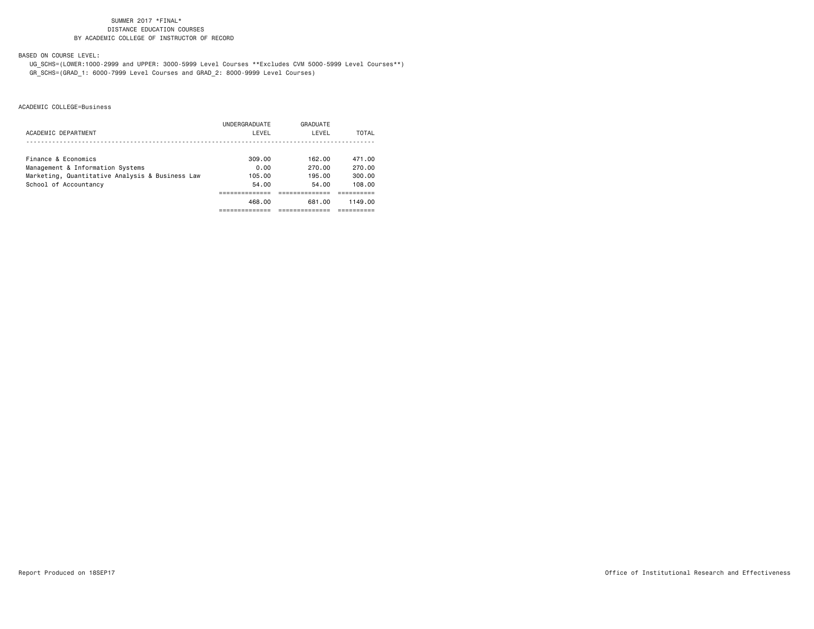BASED ON COURSE LEVEL:

 UG\_SCHS=(LOWER:1000-2999 and UPPER: 3000-5999 Level Courses \*\*Excludes CVM 5000-5999 Level Courses\*\*) GR\_SCHS=(GRAD\_1: 6000-7999 Level Courses and GRAD\_2: 8000-9999 Level Courses)

|                                                 | UNDERGRADUATE | GRADUATE |         |
|-------------------------------------------------|---------------|----------|---------|
| ACADEMIC DEPARTMENT                             | LEVEL         | LEVEL    | TOTAL   |
|                                                 |               |          |         |
| Finance & Economics                             | 309.00        | 162.00   | 471.00  |
| Management & Information Systems                | 0.00          | 270.00   | 270.00  |
| Marketing, Quantitative Analysis & Business Law | 105.00        | 195.00   | 300.00  |
| School of Accountancy                           | 54.00         | 54.00    | 108.00  |
|                                                 |               |          |         |
|                                                 | 468.00        | 681.00   | 1149.00 |
|                                                 |               |          |         |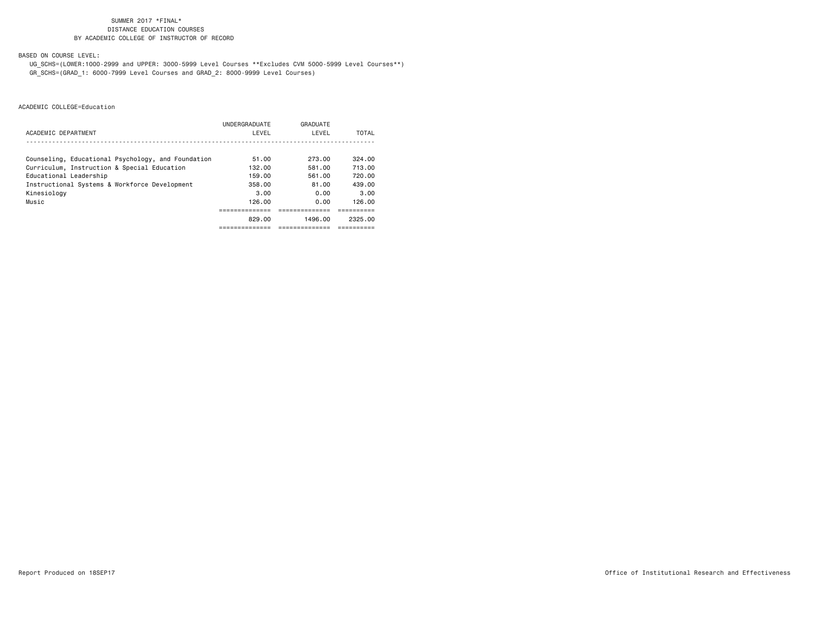BASED ON COURSE LEVEL:

 UG\_SCHS=(LOWER:1000-2999 and UPPER: 3000-5999 Level Courses \*\*Excludes CVM 5000-5999 Level Courses\*\*) GR\_SCHS=(GRAD\_1: 6000-7999 Level Courses and GRAD\_2: 8000-9999 Level Courses)

|                                                    | UNDERGRADUATE | GRADUATE |         |
|----------------------------------------------------|---------------|----------|---------|
| ACADEMIC DEPARTMENT                                | LEVEL         | LEVEL    | TOTAL   |
|                                                    |               |          |         |
| Counseling, Educational Psychology, and Foundation | 51.00         | 273.00   | 324.00  |
| Curriculum, Instruction & Special Education        | 132.00        | 581.00   | 713.00  |
| Educational Leadership                             | 159.00        | 561.00   | 720.00  |
| Instructional Systems & Workforce Development      | 358.00        | 81.00    | 439.00  |
| Kinesiology                                        | 3.00          | 0.00     | 3.00    |
| Music                                              | 126.00        | 0.00     | 126.00  |
|                                                    |               |          |         |
|                                                    | 829.00        | 1496.00  | 2325.00 |
|                                                    | ============  |          |         |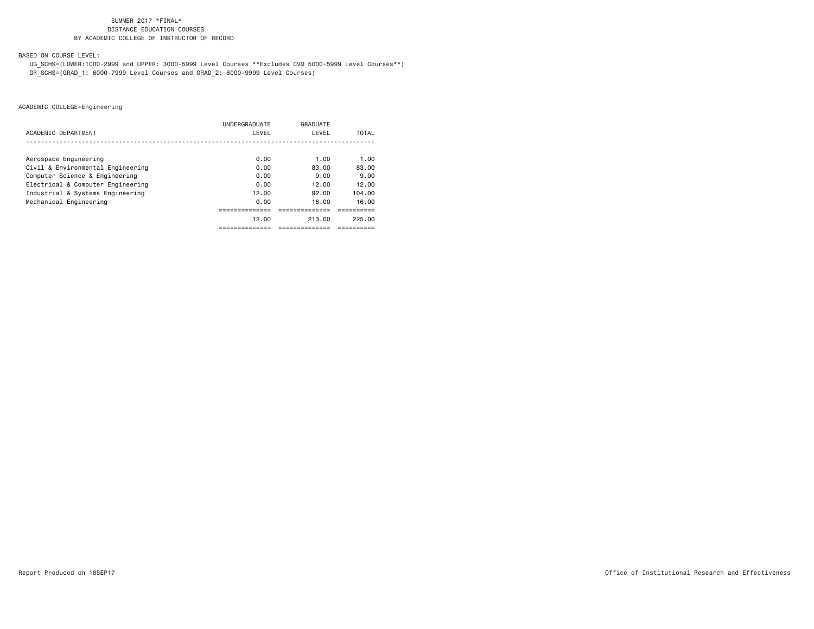BASED ON COURSE LEVEL:

 UG\_SCHS=(LOWER:1000-2999 and UPPER: 3000-5999 Level Courses \*\*Excludes CVM 5000-5999 Level Courses\*\*) GR\_SCHS=(GRAD\_1: 6000-7999 Level Courses and GRAD\_2: 8000-9999 Level Courses)

|                                   | UNDERGRADUATE | GRADUATE |        |
|-----------------------------------|---------------|----------|--------|
| ACADEMIC DEPARTMENT               | LEVEL         | LEVEL    | TOTAL  |
|                                   |               |          |        |
| Aerospace Engineering             | 0.00          | 1.00     | 1.00   |
| Civil & Environmental Engineering | 0.00          | 83.00    | 83.00  |
| Computer Science & Engineering    | 0.00          | 9.00     | 9.00   |
| Electrical & Computer Engineering | 0.00          | 12.00    | 12.00  |
| Industrial & Systems Engineering  | 12.00         | 92.00    | 104.00 |
| Mechanical Engineering            | 0.00          | 16.00    | 16.00  |
|                                   |               |          |        |
|                                   | 12.00         | 213.00   | 225.00 |
|                                   |               |          |        |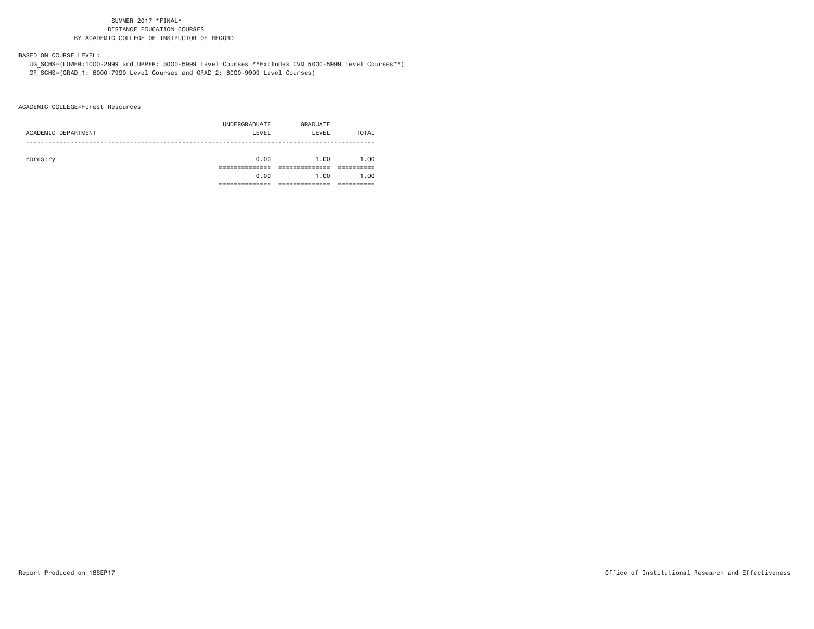BASED ON COURSE LEVEL:

 UG\_SCHS=(LOWER:1000-2999 and UPPER: 3000-5999 Level Courses \*\*Excludes CVM 5000-5999 Level Courses\*\*) GR\_SCHS=(GRAD\_1: 6000-7999 Level Courses and GRAD\_2: 8000-9999 Level Courses)

ACADEMIC COLLEGE=Forest Resources

| ACADEMIC DEPARTMENT | UNDERGRADUATE<br>LEVEL | GRADUATE<br>LEVEL | TOTAL |
|---------------------|------------------------|-------------------|-------|
| Forestry            | 0.00                   | 1.00              | 1.00  |
|                     | 0.00                   | 1.00              | 1.00  |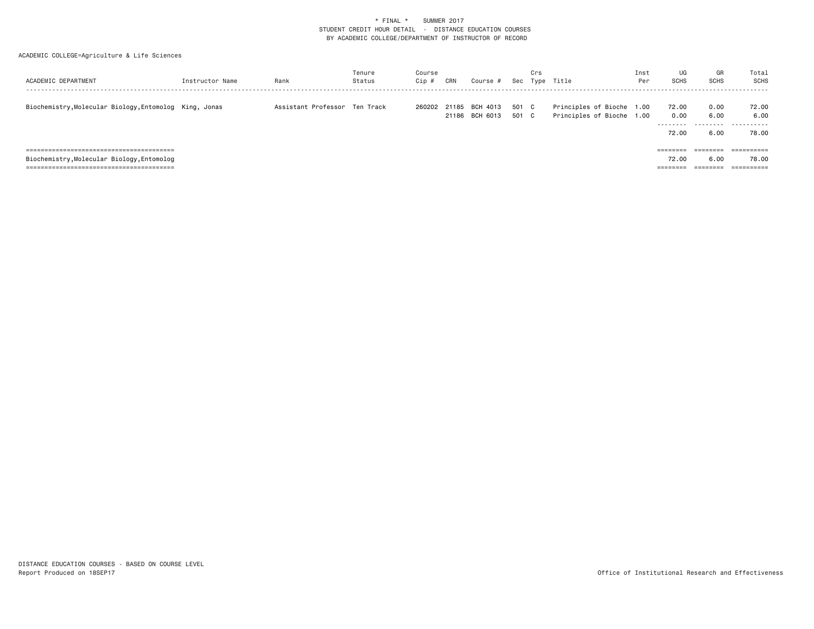| ACADEMIC DEPARTMENT                                    | Instructor Name | Rank                          | Tenure<br>Status | Course<br>Cip # | CRN | Course #                                |                | Crs | Sec Type Title                                         | Inst<br>Per | UG<br><b>SCHS</b>  | GR<br>SCHS           | Total<br><b>SCHS</b> |
|--------------------------------------------------------|-----------------|-------------------------------|------------------|-----------------|-----|-----------------------------------------|----------------|-----|--------------------------------------------------------|-------------|--------------------|----------------------|----------------------|
| Biochemistry, Molecular Biology, Entomolog King, Jonas |                 | Assistant Professor Ten Track |                  |                 |     | 260202 21185 BCH 4013<br>21186 BCH 6013 | 501 C<br>501 C |     | Principles of Bioche 1.00<br>Principles of Bioche 1.00 |             | 72.00<br>0.00<br>. | 0.00<br>6.00<br>.    | 72.00<br>6.00<br>.   |
|                                                        |                 |                               |                  |                 |     |                                         |                |     |                                                        |             | 72.00              | 6.00                 | 78.00                |
|                                                        |                 |                               |                  |                 |     |                                         |                |     |                                                        |             | ========           | ========             |                      |
| Biochemistry, Molecular Biology, Entomolog             |                 |                               |                  |                 |     |                                         |                |     |                                                        |             | 72.00              | 6.00                 | 78.00                |
|                                                        |                 |                               |                  |                 |     |                                         |                |     |                                                        |             | --------           | --------<br>-------- | ==========           |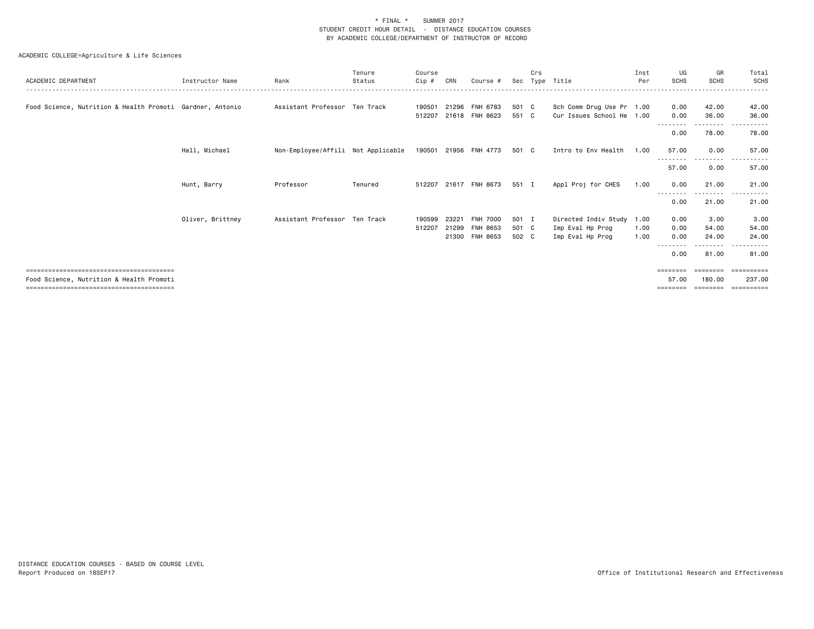| ACADEMIC DEPARTMENT                                       | Instructor Name  | Rank                               | Tenure<br>Status | Course<br>Cip #  | CRN            | Course #              | Sec            | Crs | Type Title                                             | Inst<br>Per | UG<br><b>SCHS</b> | GR<br><b>SCHS</b> | Total<br>SCHS  |
|-----------------------------------------------------------|------------------|------------------------------------|------------------|------------------|----------------|-----------------------|----------------|-----|--------------------------------------------------------|-------------|-------------------|-------------------|----------------|
|                                                           |                  |                                    |                  |                  |                |                       |                |     |                                                        |             |                   |                   |                |
| Food Science, Nutrition & Health Promoti Gardner, Antonio |                  | Assistant Professor Ten Track      |                  | 190501<br>512207 | 21296<br>21618 | FNH 6783<br>FNH 8623  | 501 C<br>551 C |     | Sch Comm Drug Use Pr 1.00<br>Cur Issues School He 1.00 |             | 0.00<br>0.00      | 42.00<br>36.00    | 42.00<br>36.00 |
|                                                           |                  |                                    |                  |                  |                |                       |                |     |                                                        |             | .<br>0.00         | .<br>78.00        | 78.00          |
|                                                           | Hall, Michael    | Non-Employee/Affili Not Applicable |                  |                  |                | 190501 21956 FNH 4773 | 501 C          |     | Intro to Env Health                                    | 1.00        | 57.00             | 0.00              | 57.00          |
|                                                           |                  |                                    |                  |                  |                |                       |                |     |                                                        |             | 57.00             | .<br>0.00         | 57.00          |
|                                                           | Hunt, Barry      | Professor                          | Tenured          | 512207           |                | 21617 FNH 8673        | 551 I          |     | Appl Proj for CHES                                     | 1.00        | 0.00              | 21.00             | 21.00          |
|                                                           |                  |                                    |                  |                  |                |                       |                |     |                                                        |             | 0.00              | -------<br>21.00  | 21.00          |
|                                                           | Oliver, Brittney | Assistant Professor Ten Track      |                  | 190599           | 23221          | <b>FNH 7000</b>       | 501 I          |     | Directed Indiv Study 1.00                              |             | 0.00              | 3.00              | 3.00           |
|                                                           |                  |                                    |                  | 512207           | 21299          | FNH 8653              | 501 C          |     | Imp Eval Hp Prog                                       | 1.00        | 0.00              | 54.00             | 54.00          |
|                                                           |                  |                                    |                  |                  |                | 21300 FNH 8653        | 502 C          |     | Imp Eval Hp Prog                                       | 1.00        | 0.00              | 24.00             | 24.00          |
|                                                           |                  |                                    |                  |                  |                |                       |                |     |                                                        |             | 0.00              | .<br>81.00        | 81.00          |
|                                                           |                  |                                    |                  |                  |                |                       |                |     |                                                        |             |                   |                   | eeeeeeee       |
| Food Science, Nutrition & Health Promoti                  |                  |                                    |                  |                  |                |                       |                |     |                                                        |             | 57.00             | 180.00            | 237.00         |
|                                                           |                  |                                    |                  |                  |                |                       |                |     |                                                        |             | ========          | ========          | ==========     |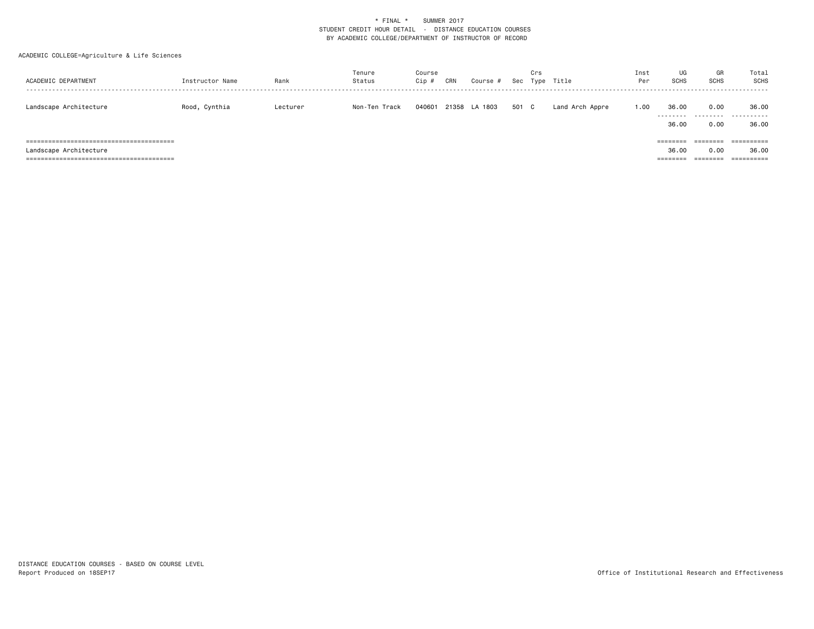| ACADEMIC DEPARTMENT    | Instructor Name | Rank     | Tenure<br>Status | Course<br>Cip # | CRN | Course #      | Sec   | Crs | Type Title      | Inst<br>Per | UG<br><b>SCHS</b> | GR<br><b>SCHS</b> | Total<br>SCHS         |
|------------------------|-----------------|----------|------------------|-----------------|-----|---------------|-------|-----|-----------------|-------------|-------------------|-------------------|-----------------------|
| Landscape Architecture | Rood, Cynthia   | Lecturer | Non-Ten Track    | 040601          |     | 21358 LA 1803 | 501 C |     | Land Arch Appre | 1.00        | 36.00<br>.        | 0.00<br>.         | 36.00<br>.            |
|                        |                 |          |                  |                 |     |               |       |     |                 |             | 36.00             | 0.00              | 36.00                 |
|                        |                 |          |                  |                 |     |               |       |     |                 |             | ========          | ========          | ==========            |
| Landscape Architecture |                 |          |                  |                 |     |               |       |     |                 |             | 36.00             | 0.00              | 36.00                 |
|                        |                 |          |                  |                 |     |               |       |     |                 |             | ========          | ========          | $=$ = = = = = = = = = |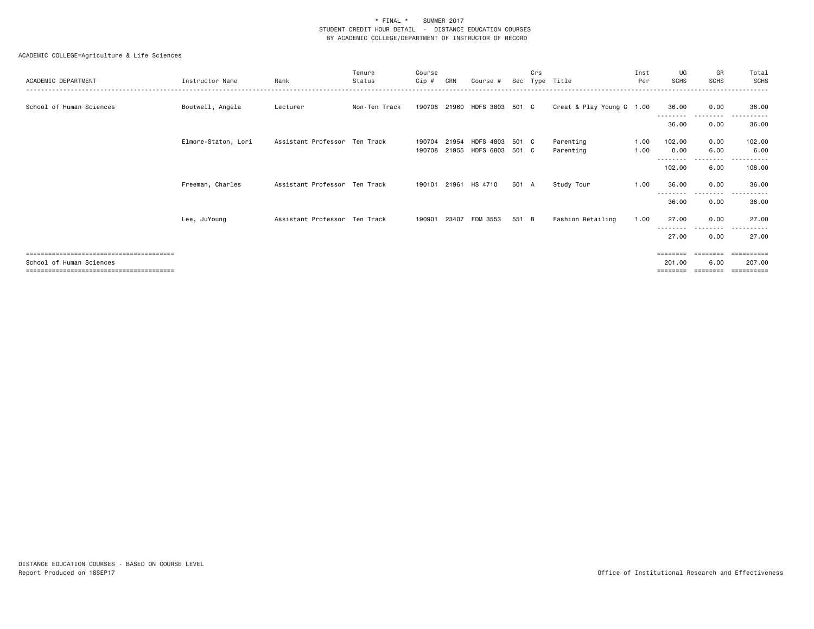| ACADEMIC DEPARTMENT      | Instructor Name     | Rank                          | Tenure<br>Status | Course<br>Cip #        | CRN   | Course #                           | Sec   | Crs | Type Title                | Inst<br>Per  | UG<br><b>SCHS</b>  | GR<br><b>SCHS</b> | Total<br><b>SCHS</b>     |
|--------------------------|---------------------|-------------------------------|------------------|------------------------|-------|------------------------------------|-------|-----|---------------------------|--------------|--------------------|-------------------|--------------------------|
| School of Human Sciences | Boutwell, Angela    | Lecturer                      | Non-Ten Track    |                        |       | 190708 21960 HDFS 3803 501 C       |       |     | Creat & Play Young C 1.00 |              | 36.00              | 0.00              | 36.00                    |
|                          |                     |                               |                  |                        |       |                                    |       |     |                           |              | ---------<br>36.00 | .<br>0.00         | ------<br>$  -$<br>36.00 |
|                          | Elmore-Staton, Lori | Assistant Professor Ten Track |                  | 190704<br>190708 21955 | 21954 | HDFS 4803 501 C<br>HDFS 6803 501 C |       |     | Parenting<br>Parenting    | 1.00<br>1.00 | 102.00<br>0.00     | 0.00<br>6.00      | 102.00<br>6.00           |
|                          |                     |                               |                  |                        |       |                                    |       |     |                           |              | --------<br>102.00 | ----<br>6.00      | 108.00                   |
|                          | Freeman, Charles    | Assistant Professor Ten Track |                  | 190101                 |       | 21961 HS 4710                      | 501   | A   | Study Tour                | 1.00         | 36.00              | 0.00              | 36.00                    |
|                          |                     |                               |                  |                        |       |                                    |       |     |                           |              | 36.00              | .<br>0.00         | 36.00                    |
|                          | Lee, JuYoung        | Assistant Professor Ten Track |                  | 190901                 | 23407 | FDM 3553                           | 551 B |     | Fashion Retailing         | 1.00         | 27.00              | 0.00              | 27.00                    |
|                          |                     |                               |                  |                        |       |                                    |       |     |                           |              | 27.00              | --------<br>0.00  | $\cdots$<br>.<br>27.00   |
|                          |                     |                               |                  |                        |       |                                    |       |     |                           |              | ========           | <b>EBBEERE</b>    | eeeeeeee                 |
| School of Human Sciences |                     |                               |                  |                        |       |                                    |       |     |                           |              | 201.00             | 6.00              | 207.00                   |
|                          |                     |                               |                  |                        |       |                                    |       |     |                           |              | ========           | ========          | ==========               |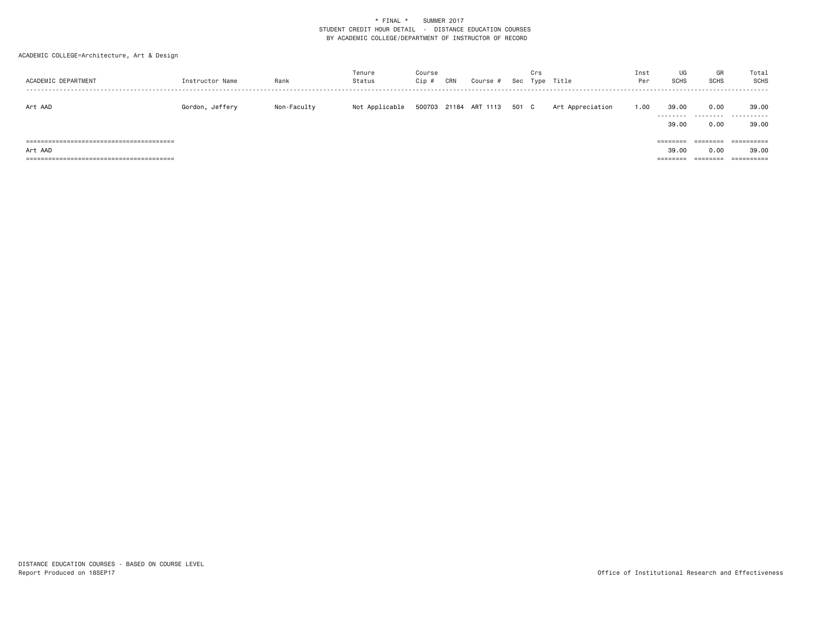### ACADEMIC COLLEGE=Architecture, Art & Design

| ACADEMIC DEPARTMENT | Instructor Name | Rank        | Tenure<br>Status | Course<br>Cip # | CRN | Course #              |       | Crs | Sec Type Title   | Inst<br>Per | UG<br><b>SCHS</b> | GR<br>SCHS | Total<br><b>SCHS</b> |
|---------------------|-----------------|-------------|------------------|-----------------|-----|-----------------------|-------|-----|------------------|-------------|-------------------|------------|----------------------|
| Art AAD             | Gordon, Jeffery | Non-Faculty | Not Applicable   |                 |     | 500703 21184 ART 1113 | 501 C |     | Art Appreciation | 1.00        | 39.00             | 0.00<br>   | 39.00<br>.           |
|                     |                 |             |                  |                 |     |                       |       |     |                  |             | 39.00             | 0.00       | 39.00                |
|                     |                 |             |                  |                 |     |                       |       |     |                  |             | $=$ = = = = = = = |            | ==========           |
| Art AAD             |                 |             |                  |                 |     |                       |       |     |                  |             | 39.00             | 0.00       | 39.00                |
|                     |                 |             |                  |                 |     |                       |       |     |                  |             | $=$ = = = = = = = | ========   | ==========           |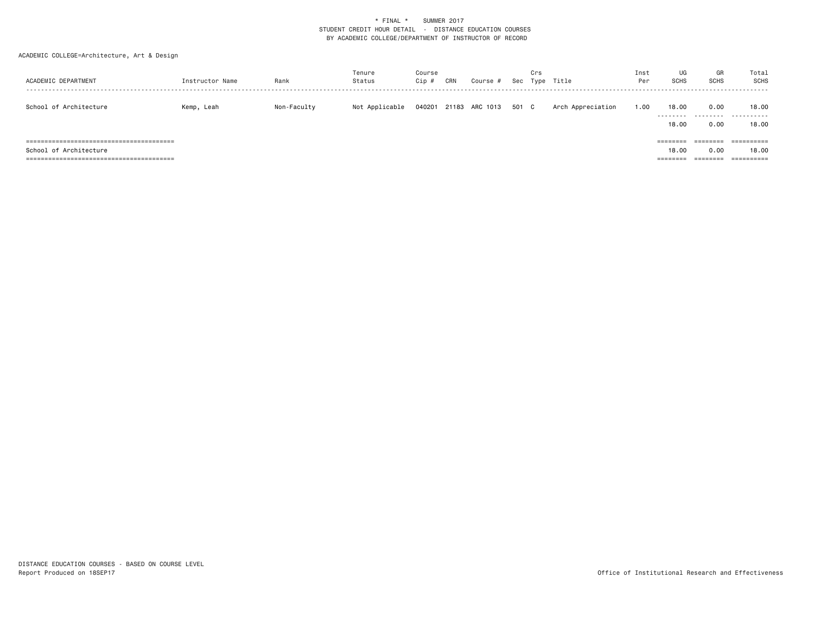### ACADEMIC COLLEGE=Architecture, Art & Design

| ACADEMIC DEPARTMENT    | Instructor Name | Rank        | Tenure<br>Status | Course<br>Cip # | CRN | Course #              |       | Crs | Sec Type Title    | Inst<br>Per | UG<br><b>SCHS</b> | GR<br>SCHS | Total<br><b>SCHS</b> |
|------------------------|-----------------|-------------|------------------|-----------------|-----|-----------------------|-------|-----|-------------------|-------------|-------------------|------------|----------------------|
| School of Architecture | Kemp, Leah      | Non-Faculty | Not Applicable   |                 |     | 040201 21183 ARC 1013 | 501 C |     | Arch Appreciation | 1.00        | 18.00             | 0.00<br>   | 18,00<br>.           |
|                        |                 |             |                  |                 |     |                       |       |     |                   |             | 18.00             | 0.00       | 18.00                |
|                        |                 |             |                  |                 |     |                       |       |     |                   |             | $=$ = = = = = = = | ========   | ==========           |
| School of Architecture |                 |             |                  |                 |     |                       |       |     |                   |             | 18.00             | 0.00       | 18,00                |
|                        |                 |             |                  |                 |     |                       |       |     |                   |             |                   |            | ==========           |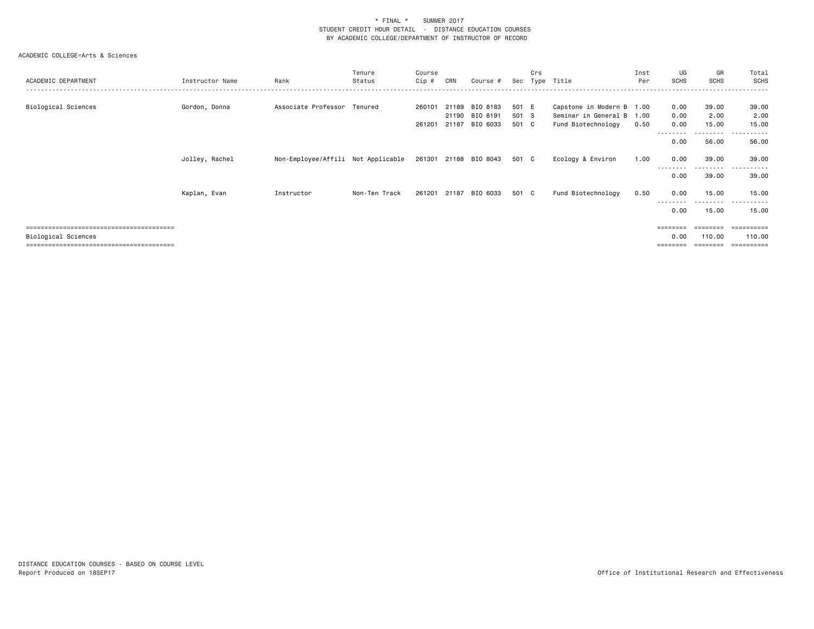| ACADEMIC DEPARTMENT | Instructor Name | Rank                               | Tenure<br>Status | Course<br>Cip # | CRN            | Course #              | Sec            | Crs | Type Title                                 | Inst<br>Per  | UG<br><b>SCHS</b>         | GR<br><b>SCHS</b>          | Total<br><b>SCHS</b> |
|---------------------|-----------------|------------------------------------|------------------|-----------------|----------------|-----------------------|----------------|-----|--------------------------------------------|--------------|---------------------------|----------------------------|----------------------|
| Biological Sciences | Gordon, Donna   | Associate Professor Tenured        |                  | 260101          | 21189          | BIO 8183              | 501 E          |     | Capstone in Modern B 1.00                  |              | 0.00                      | 39.00                      | 39.00                |
|                     |                 |                                    |                  | 261201          | 21190<br>21187 | BIO 8191<br>BIO 6033  | 501 S<br>501 C |     | Seminar in General B<br>Fund Biotechnology | 1.00<br>0.50 | 0.00<br>0.00<br>--------- | 2.00<br>15.00<br>--------- | 2.00<br>15.00<br>.   |
|                     |                 |                                    |                  |                 |                |                       |                |     |                                            |              | 0.00                      | 56.00                      | 56.00                |
|                     | Jolley, Rachel  | Non-Employee/Affili Not Applicable |                  |                 |                | 261301 21188 BIO 8043 | 501 C          |     | Ecology & Environ                          | 1.00         | 0.00                      | 39.00<br>---------         | 39.00<br>.           |
|                     |                 |                                    |                  |                 |                |                       |                |     |                                            |              | 0.00                      | 39.00                      | 39.00                |
|                     | Kaplan, Evan    | Instructor                         | Non-Ten Track    | 261201 21187    |                | BIO 6033              | 501 C          |     | Fund Biotechnology                         | 0.50         | 0.00                      | 15.00<br>---------         | 15.00<br>.           |
|                     |                 |                                    |                  |                 |                |                       |                |     |                                            |              | 0.00                      | 15.00                      | 15.00                |
| Biological Sciences |                 |                                    |                  |                 |                |                       |                |     |                                            |              | ========<br>0.00          | ========<br>110.00         | 110.00               |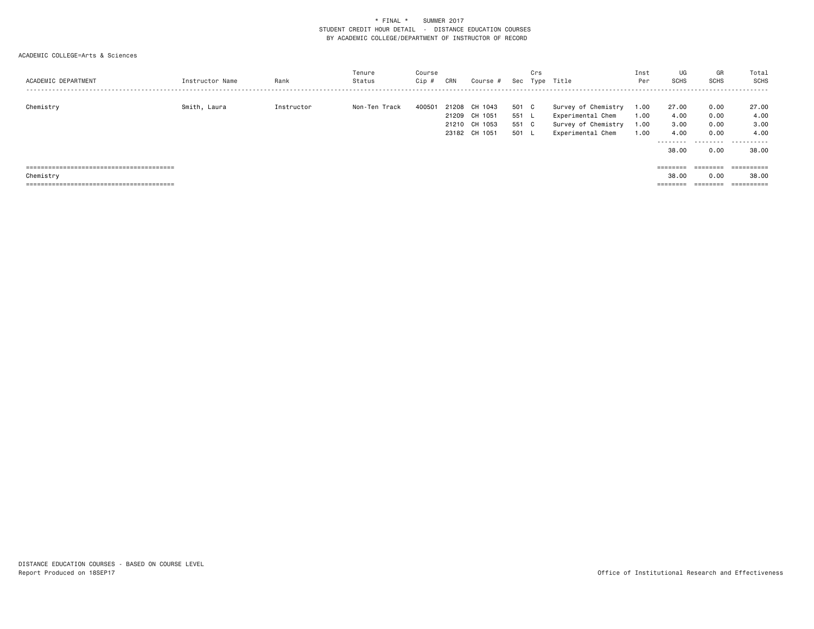| ACADEMIC DEPARTMENT | Instructor Name | Rank       | Tenure<br>Status | Course<br>Cip # | CRN   | Course #                                                   |                          | Crs                     | Sec Type Title                                                                       | Inst<br>Per                  | UG<br><b>SCHS</b>                                   | GR<br><b>SCHS</b>                         | Total<br>SCHS                               |
|---------------------|-----------------|------------|------------------|-----------------|-------|------------------------------------------------------------|--------------------------|-------------------------|--------------------------------------------------------------------------------------|------------------------------|-----------------------------------------------------|-------------------------------------------|---------------------------------------------|
| Chemistry           | Smith, Laura    | Instructor | Non-Ten Track    | 400501          | 21208 | CH 1043<br>21209 CH 1051<br>21210 CH 1053<br>23182 CH 1051 | 501<br>551<br>551<br>501 | C.<br>. L .<br>C<br>. L | Survey of Chemistry<br>Experimental Chem<br>Survey of Chemistry<br>Experimental Chem | 1.00<br>1.00<br>1.00<br>1.00 | 27.00<br>4.00<br>3.00<br>4.00<br>---------<br>38,00 | 0.00<br>0.00<br>0.00<br>0.00<br>.<br>0.00 | 27.00<br>4.00<br>3.00<br>4.00<br>.<br>38.00 |
| Chemistry           |                 |            |                  |                 |       |                                                            |                          |                         |                                                                                      |                              | ========<br>38,00                                   | ========<br>0.00                          | ==========<br>38.00                         |
|                     |                 |            |                  |                 |       |                                                            |                          |                         |                                                                                      |                              | --------                                            | ---------<br>--------                     | ==========                                  |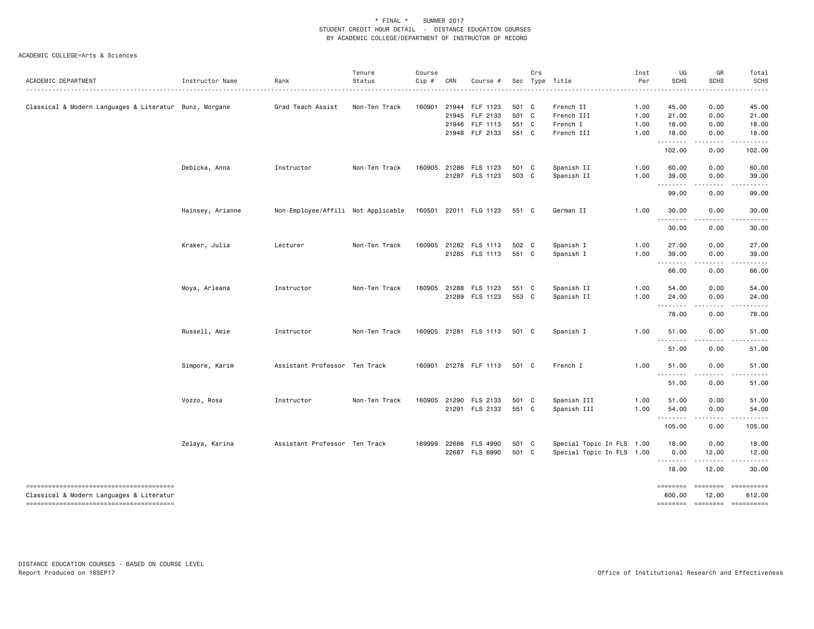#### ACADEMIC COLLEGE=Arts & Sciences

| ACADEMIC DEPARTMENT                                    | Instructor Name<br>. | Rank                               | Tenure<br>Status | Course<br>Cip # | CRN                     | Course #                                           |                                  | Crs | Sec Type Title                                         | Inst<br>Per<br>.             | UG<br><b>SCHS</b><br>------      | GR<br><b>SCHS</b><br>-----             | Total<br><b>SCHS</b><br>$- - - - -$                                                                                                                                                                                                                                                                                                                                                                                                                                                                  |
|--------------------------------------------------------|----------------------|------------------------------------|------------------|-----------------|-------------------------|----------------------------------------------------|----------------------------------|-----|--------------------------------------------------------|------------------------------|----------------------------------|----------------------------------------|------------------------------------------------------------------------------------------------------------------------------------------------------------------------------------------------------------------------------------------------------------------------------------------------------------------------------------------------------------------------------------------------------------------------------------------------------------------------------------------------------|
| Classical & Modern Languages & Literatur Bunz, Morgane |                      | Grad Teach Assist                  | Non-Ten Track    | 160901          | 21944<br>21945<br>21946 | FLF 1123<br>FLF 2133<br>FLF 1113<br>21948 FLF 2133 | 501 C<br>501 C<br>551 C<br>551 C |     | French II<br>French III<br>French I<br>French III      | 1.00<br>1.00<br>1.00<br>1.00 | 45.00<br>21.00<br>18.00<br>18.00 | 0.00<br>0.00<br>0.00<br>0.00           | 45.00<br>21.00<br>18.00<br>18.00                                                                                                                                                                                                                                                                                                                                                                                                                                                                     |
|                                                        |                      |                                    |                  |                 |                         |                                                    |                                  |     |                                                        |                              | .<br>102.00                      | .<br>0.00                              | ------<br>102.00                                                                                                                                                                                                                                                                                                                                                                                                                                                                                     |
|                                                        | Debicka, Anna        | Instructor                         | Non-Ten Track    |                 |                         | 160905 21286 FLS 1123<br>21287 FLS 1123            | 501 C<br>503 C                   |     | Spanish II<br>Spanish II                               | 1.00<br>1.00                 | 60.00<br>39.00                   | 0.00<br>0.00                           | 60.00<br>39.00                                                                                                                                                                                                                                                                                                                                                                                                                                                                                       |
|                                                        |                      |                                    |                  |                 |                         |                                                    |                                  |     |                                                        |                              | .<br>99.00                       | .<br>0.00                              | .<br>99.00                                                                                                                                                                                                                                                                                                                                                                                                                                                                                           |
|                                                        | Hainsey, Arianne     | Non-Employee/Affili Not Applicable |                  |                 |                         | 160501 22011 FLG 1123                              | 551 C                            |     | German II                                              | 1.00                         | 30.00<br><u>.</u>                | 0.00<br>.                              | 30.00<br>$\frac{1}{2}$                                                                                                                                                                                                                                                                                                                                                                                                                                                                               |
|                                                        |                      |                                    |                  |                 |                         |                                                    |                                  |     |                                                        |                              | 30.00                            | 0.00                                   | 30.00                                                                                                                                                                                                                                                                                                                                                                                                                                                                                                |
|                                                        | Kraker, Julia        | Lecturer                           | Non-Ten Track    |                 |                         | 160905 21282 FLS 1113<br>21285 FLS 1113            | 502 C<br>551 C                   |     | Spanish I<br>Spanish I                                 | 1.00<br>1.00                 | 27.00<br>39.00                   | 0.00<br>0.00                           | 27.00<br>39.00                                                                                                                                                                                                                                                                                                                                                                                                                                                                                       |
|                                                        |                      |                                    |                  |                 |                         |                                                    |                                  |     |                                                        |                              | 66.00                            | 0.00                                   | 66.00                                                                                                                                                                                                                                                                                                                                                                                                                                                                                                |
|                                                        | Moya, Arleana        | Instructor                         | Non-Ten Track    | 160905          | 21288                   | FLS 1123<br>21289 FLS 1123                         | 551 C<br>553 C                   |     | Spanish II<br>Spanish II                               | 1.00<br>1.00                 | 54.00<br>24.00<br>.              | 0.00<br>0.00<br>.                      | 54.00<br>24.00<br>. <b>.</b> .                                                                                                                                                                                                                                                                                                                                                                                                                                                                       |
|                                                        |                      |                                    |                  |                 |                         |                                                    |                                  |     |                                                        |                              | 78.00                            | 0.00                                   | 78.00                                                                                                                                                                                                                                                                                                                                                                                                                                                                                                |
|                                                        | Russell, Amie        | Instructor                         | Non-Ten Track    |                 |                         | 160905 21281 FLS 1113                              | 501 C                            |     | Spanish I                                              | 1.00                         | 51.00                            | 0.00                                   | 51.00                                                                                                                                                                                                                                                                                                                                                                                                                                                                                                |
|                                                        |                      |                                    |                  |                 |                         |                                                    |                                  |     |                                                        |                              | 51.00                            | 0.00                                   | 51.00                                                                                                                                                                                                                                                                                                                                                                                                                                                                                                |
|                                                        | Simpore, Karim       | Assistant Professor Ten Track      |                  |                 |                         | 160901 21278 FLF 1113                              | 501 C                            |     | French I                                               | 1.00                         | 51.00<br>.                       | 0.00                                   | 51.00                                                                                                                                                                                                                                                                                                                                                                                                                                                                                                |
|                                                        |                      |                                    |                  |                 |                         |                                                    |                                  |     |                                                        |                              | 51.00                            | 0.00                                   | 51.00                                                                                                                                                                                                                                                                                                                                                                                                                                                                                                |
|                                                        | Vozzo, Rosa          | Instructor                         | Non-Ten Track    | 160905          | 21290                   | FLS 2133<br>21291 FLS 2133                         | 501 C<br>551 C                   |     | Spanish III<br>Spanish III                             | 1.00<br>1.00                 | 51.00<br>54.00<br><u>.</u>       | 0.00<br>0.00<br>.                      | 51.00<br>54.00<br>.                                                                                                                                                                                                                                                                                                                                                                                                                                                                                  |
|                                                        |                      |                                    |                  |                 |                         |                                                    |                                  |     |                                                        |                              | 105.00                           | 0.00                                   | 105.00                                                                                                                                                                                                                                                                                                                                                                                                                                                                                               |
|                                                        | Zelaya, Karina       | Assistant Professor Ten Track      |                  | 169999          | 22686<br>22687          | <b>FLS 4990</b><br><b>FLS 6990</b>                 | 501 C<br>501 C                   |     | Special Topic In FLS 1.00<br>Special Topic In FLS 1.00 |                              | 18.00<br>0.00<br>.               | 0.00<br>12.00<br><u>.</u>              | 18.00<br>12.00<br>.                                                                                                                                                                                                                                                                                                                                                                                                                                                                                  |
|                                                        |                      |                                    |                  |                 |                         |                                                    |                                  |     |                                                        |                              | 18.00                            | 12.00                                  | 30.00                                                                                                                                                                                                                                                                                                                                                                                                                                                                                                |
| Classical & Modern Languages & Literatur               |                      |                                    |                  |                 |                         |                                                    |                                  |     |                                                        |                              | ========<br>600.00<br>========   | $=$ = = = = = = =<br>12.00<br>======== | 612.00<br>$\begin{minipage}{0.9\linewidth} \begin{tabular}{l} \multicolumn{2}{l}{} & \multicolumn{2}{l}{} & \multicolumn{2}{l}{} \\ \multicolumn{2}{l}{} & \multicolumn{2}{l}{} & \multicolumn{2}{l}{} \\ \multicolumn{2}{l}{} & \multicolumn{2}{l}{} & \multicolumn{2}{l}{} \\ \multicolumn{2}{l}{} & \multicolumn{2}{l}{} & \multicolumn{2}{l}{} \\ \multicolumn{2}{l}{} & \multicolumn{2}{l}{} & \multicolumn{2}{l}{} \\ \multicolumn{2}{l}{} & \multicolumn{2}{l}{} & \multicolumn{2}{l}{} \\ \$ |

DISTANCE EDUCATION COURSES - BASED ON COURSE LEVEL Report Produced on 18SEP17 Office of Institutional Research and Effectiveness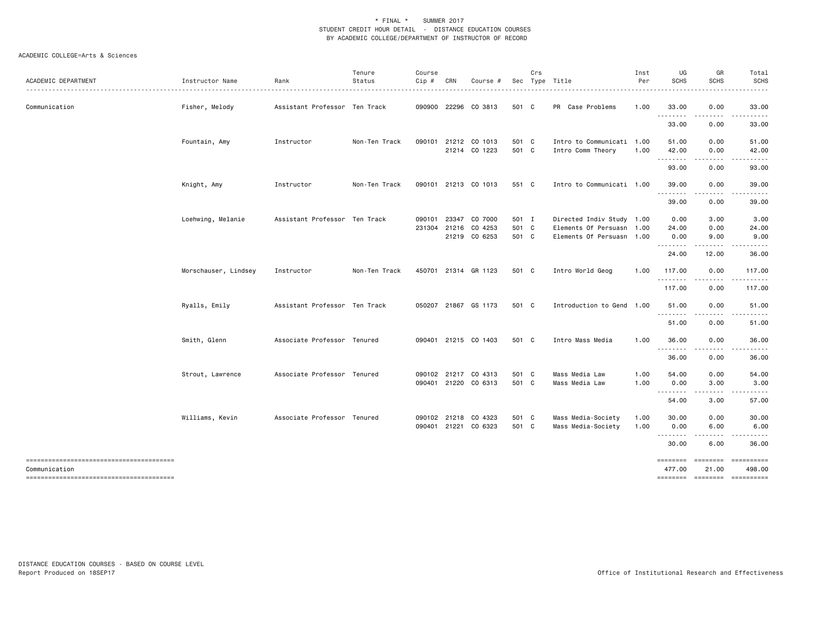| ACADEMIC DEPARTMENT | Instructor Name      | Rank                          | Tenure<br>Status | Course<br>Cip # | CRN | Course #                                               |                         | Crs | Sec Type Title                                                                      | Inst<br>Per  | UG<br><b>SCHS</b>              | GR<br><b>SCHS</b>            | Total<br><b>SCHS</b>  |
|---------------------|----------------------|-------------------------------|------------------|-----------------|-----|--------------------------------------------------------|-------------------------|-----|-------------------------------------------------------------------------------------|--------------|--------------------------------|------------------------------|-----------------------|
| Communication       | Fisher, Melody       | Assistant Professor Ten Track |                  |                 |     | 090900 22296 CO 3813                                   | 501 C                   |     | PR Case Problems                                                                    | 1.00         | 33.00                          | 0.00                         | 33.00                 |
|                     |                      |                               |                  |                 |     |                                                        |                         |     |                                                                                     |              | .<br>33.00                     | .<br>0.00                    | 33.00                 |
|                     | Fountain, Amy        | Instructor                    | Non-Ten Track    | 090101          |     | 21212 CO 1013<br>21214 CO 1223                         | 501 C<br>501 C          |     | Intro to Communicati 1.00<br>Intro Comm Theory                                      | 1.00         | 51.00<br>42.00                 | 0.00<br>0.00                 | 51.00<br>42.00        |
|                     |                      |                               |                  |                 |     |                                                        |                         |     |                                                                                     |              | - - - - - - - -<br>93.00       | .<br>0.00                    | .<br>93.00            |
|                     | Knight, Amy          | Instructor                    | Non-Ten Track    |                 |     | 090101 21213 CO 1013                                   | 551 C                   |     | Intro to Communicati 1.00                                                           |              | 39.00<br><u>.</u>              | 0.00<br>.                    | 39.00<br>. <b>.</b> . |
|                     |                      |                               |                  |                 |     |                                                        |                         |     |                                                                                     |              | 39.00                          | 0.00                         | 39.00                 |
|                     | Loehwing, Melanie    | Assistant Professor Ten Track |                  | 090101          |     | 23347 CO 7000<br>231304 21216 CO 4253<br>21219 CO 6253 | 501 I<br>501 C<br>501 C |     | Directed Indiv Study 1.00<br>Elements Of Persuasn 1.00<br>Elements Of Persuasn 1.00 |              | 0.00<br>24.00<br>0.00<br>.     | 3.00<br>0.00<br>9.00         | 3.00<br>24.00<br>9.00 |
|                     |                      |                               |                  |                 |     |                                                        |                         |     |                                                                                     |              | 24.00                          | 12.00                        | 36.00                 |
|                     | Morschauser, Lindsey | Instructor                    | Non-Ten Track    |                 |     | 450701 21314 GR 1123                                   | 501 C                   |     | Intro World Geog                                                                    | 1.00         | 117.00<br>.                    | 0.00                         | 117.00<br>.           |
|                     |                      |                               |                  |                 |     |                                                        |                         |     |                                                                                     |              | 117.00                         | 0.00                         | 117.00                |
|                     | Ryalls, Emily        | Assistant Professor Ten Track |                  |                 |     | 050207 21867 GS 1173                                   | 501 C                   |     | Introduction to Gend 1.00                                                           |              | 51.00                          | 0.00                         | 51.00                 |
|                     |                      |                               |                  |                 |     |                                                        |                         |     |                                                                                     |              | 51.00                          | 0.00                         | 51.00                 |
|                     | Smith, Glenn         | Associate Professor Tenured   |                  |                 |     | 090401 21215 CO 1403                                   | 501 C                   |     | Intro Mass Media                                                                    | 1.00         | 36.00<br><u>.</u>              | 0.00                         | 36.00                 |
|                     |                      |                               |                  |                 |     |                                                        |                         |     |                                                                                     |              | 36.00                          | 0.00                         | 36.00                 |
|                     | Strout, Lawrence     | Associate Professor Tenured   |                  |                 |     | 090102 21217 CO 4313<br>090401 21220 CO 6313           | 501 C<br>501 C          |     | Mass Media Law<br>Mass Media Law                                                    | 1.00<br>1.00 | 54.00<br>0.00                  | 0.00<br>3.00                 | 54.00<br>3.00         |
|                     |                      |                               |                  |                 |     |                                                        |                         |     |                                                                                     |              | .<br>54.00                     | 3.00                         | 57.00                 |
|                     | Williams, Kevin      | Associate Professor Tenured   |                  |                 |     | 090102 21218 CO 4323<br>090401 21221 CO 6323           | 501 C<br>501 C          |     | Mass Media-Society<br>Mass Media-Society                                            | 1.00<br>1.00 | 30.00<br>0.00                  | 0.00<br>6.00                 | 30.00<br>6.00         |
|                     |                      |                               |                  |                 |     |                                                        |                         |     |                                                                                     |              | .<br>30.00                     | 6.00                         | 36.00                 |
| Communication       |                      |                               |                  |                 |     |                                                        |                         |     |                                                                                     |              | ========<br>477.00<br>======== | 21.00<br>------------------- | 498.00                |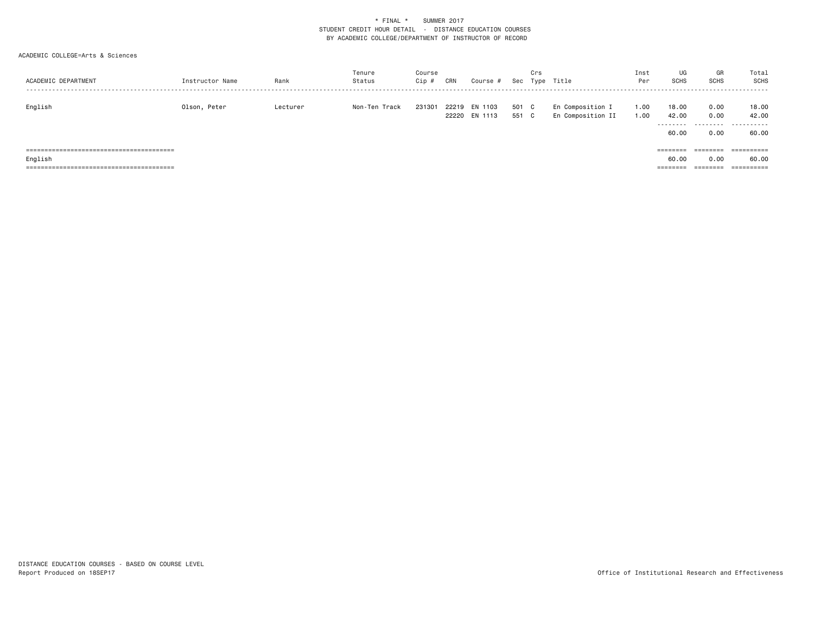| ACADEMIC DEPARTMENT | Instructor Name | Rank     | Tenure<br>Status | Course<br>Cip # | CRN   | Course #                 |            | Crs        | Sec Type Title                        | Inst<br>Per  | UG<br><b>SCHS</b> | GR<br><b>SCHS</b> | Total<br>SCHS      |
|---------------------|-----------------|----------|------------------|-----------------|-------|--------------------------|------------|------------|---------------------------------------|--------------|-------------------|-------------------|--------------------|
| English             | Olson, Peter    | Lecturer | Non-Ten Track    | 231301          | 22219 | EN 1103<br>22220 EN 1113 | 501<br>551 | C .<br>C . | En Composition I<br>En Composition II | 1.00<br>1.00 | 18.00<br>42.00    | 0.00<br>0.00      | 18.00<br>42.00<br> |
|                     |                 |          |                  |                 |       |                          |            |            |                                       |              | 60.00             | 0.00              | 60.00              |
|                     |                 |          |                  |                 |       |                          |            |            |                                       |              | ========          | ========          |                    |
| English             |                 |          |                  |                 |       |                          |            |            |                                       |              | 60.00             | 0.00              | 60.00              |
|                     |                 |          |                  |                 |       |                          |            |            |                                       |              | ---------         | --------          |                    |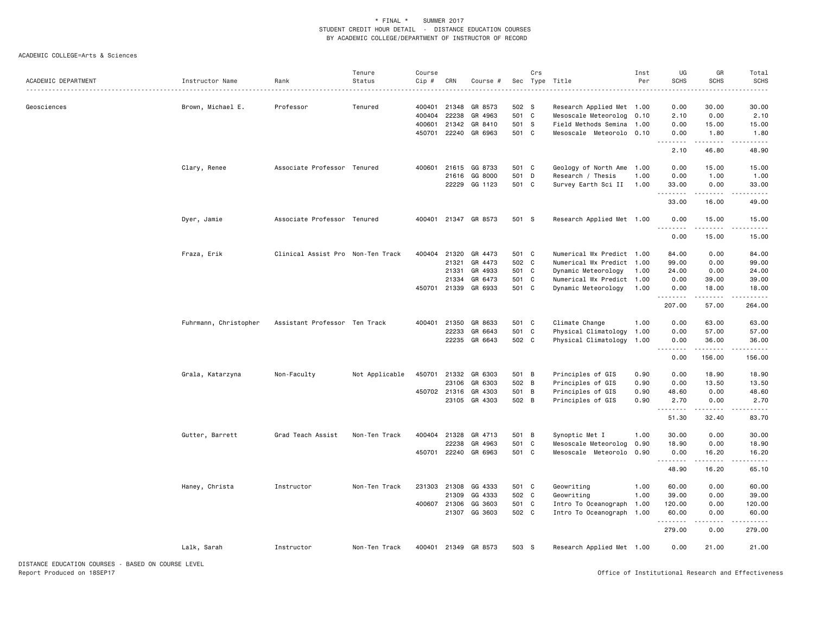#### ACADEMIC COLLEGE=Arts & Sciences

|                     |                       |                                   | Tenure         | Course       |              |                      |       | Crs |                           | Inst | UG                | GR                                                                                                                                 | Total                               |
|---------------------|-----------------------|-----------------------------------|----------------|--------------|--------------|----------------------|-------|-----|---------------------------|------|-------------------|------------------------------------------------------------------------------------------------------------------------------------|-------------------------------------|
| ACADEMIC DEPARTMENT | Instructor Name       | Rank                              | Status         | Cip #        | CRN          | Course #             |       |     | Sec Type Title            | Per  | <b>SCHS</b>       | <b>SCHS</b>                                                                                                                        | <b>SCHS</b><br>$- - - - -$          |
| Geosciences         | Brown, Michael E.     | Professor                         | Tenured        | 400401       | 21348        | GR 8573              | 502 S |     | Research Applied Met 1.00 |      | 0.00              | 30.00                                                                                                                              | 30.00                               |
|                     |                       |                                   |                | 400404       | 22238        | GR 4963              | 501 C |     | Mesoscale Meteorolog      | 0.10 | 2.10              | 0.00                                                                                                                               | 2.10                                |
|                     |                       |                                   |                | 400601       | 21342        | GR 8410              | 501 S |     | Field Methods Semina 1.00 |      | 0.00              | 15.00                                                                                                                              | 15.00                               |
|                     |                       |                                   |                | 450701       | 22240        | GR 6963              | 501 C |     | Mesoscale Meteorolo 0.10  |      | 0.00<br>.         | 1.80                                                                                                                               | 1.80<br>$\sim$ $\sim$ $\sim$ $\sim$ |
|                     |                       |                                   |                |              |              |                      |       |     |                           |      | 2.10              | 46.80                                                                                                                              | 48.90                               |
|                     | Clary, Renee          | Associate Professor Tenured       |                | 400601       | 21615        | GG 8733              | 501 C |     | Geology of North Ame 1.00 |      | 0.00              | 15.00                                                                                                                              | 15.00                               |
|                     |                       |                                   |                |              | 21616        | GG 8000              | 501 D |     | Research / Thesis         | 1.00 | 0.00              | 1.00                                                                                                                               | 1.00                                |
|                     |                       |                                   |                |              | 22229        | GG 1123              | 501 C |     | Survey Earth Sci II       | 1.00 | 33.00<br><u>.</u> | 0.00                                                                                                                               | 33.00                               |
|                     |                       |                                   |                |              |              |                      |       |     |                           |      | 33.00             | 16.00                                                                                                                              | 49.00                               |
|                     | Dyer, Jamie           | Associate Professor Tenured       |                |              |              | 400401 21347 GR 8573 | 501 S |     | Research Applied Met 1.00 |      | 0.00<br>.         | 15.00<br>$- - - - -$                                                                                                               | 15.00<br>$\frac{1}{2}$              |
|                     |                       |                                   |                |              |              |                      |       |     |                           |      | 0.00              | 15.00                                                                                                                              | 15.00                               |
|                     | Fraza, Erik           | Clinical Assist Pro Non-Ten Track |                | 400404       | 21320        | GR 4473              | 501 C |     | Numerical Wx Predict 1.00 |      | 84.00             | 0.00                                                                                                                               | 84.00                               |
|                     |                       |                                   |                |              | 21321        | GR 4473              | 502 C |     | Numerical Wx Predict 1.00 |      | 99.00             | 0.00                                                                                                                               | 99.00                               |
|                     |                       |                                   |                |              | 21331        | GR 4933              | 501 C |     | Dynamic Meteorology       | 1.00 | 24.00             | 0.00                                                                                                                               | 24.00                               |
|                     |                       |                                   |                |              | 21334        | GR 6473              | 501 C |     | Numerical Wx Predict 1.00 |      | 0.00              | 39.00                                                                                                                              | 39.00                               |
|                     |                       |                                   |                | 450701 21339 |              | GR 6933              | 501 C |     | Dynamic Meteorology       | 1.00 | 0.00<br>.         | 18.00<br>$\frac{1}{2} \left( \frac{1}{2} \right) \left( \frac{1}{2} \right) \left( \frac{1}{2} \right) \left( \frac{1}{2} \right)$ | 18.00<br>.                          |
|                     |                       |                                   |                |              |              |                      |       |     |                           |      | 207.00            | 57.00                                                                                                                              | 264.00                              |
|                     | Fuhrmann, Christopher | Assistant Professor Ten Track     |                | 400401       | 21350        | GR 8633              | 501 C |     | Climate Change            | 1.00 | 0.00              | 63.00                                                                                                                              | 63.00                               |
|                     |                       |                                   |                |              | 22233        | GR 6643              | 501 C |     | Physical Climatology      | 1.00 | 0.00              | 57.00                                                                                                                              | 57.00                               |
|                     |                       |                                   |                |              | 22235        | GR 6643              | 502 C |     | Physical Climatology 1.00 |      | 0.00<br>.         | 36.00                                                                                                                              | 36.00<br>.                          |
|                     |                       |                                   |                |              |              |                      |       |     |                           |      | 0.00              | 156.00                                                                                                                             | 156.00                              |
|                     | Grala, Katarzyna      | Non-Faculty                       | Not Applicable | 450701       | 21332        | GR 6303              | 501 B |     | Principles of GIS         | 0.90 | 0.00              | 18.90                                                                                                                              | 18.90                               |
|                     |                       |                                   |                |              | 23106        | GR 6303              | 502 B |     | Principles of GIS         | 0.90 | 0.00              | 13.50                                                                                                                              | 13.50                               |
|                     |                       |                                   |                |              |              | 450702 21316 GR 4303 | 501 B |     | Principles of GIS         | 0.90 | 48.60             | 0.00                                                                                                                               | 48.60                               |
|                     |                       |                                   |                |              |              | 23105 GR 4303        | 502 B |     | Principles of GIS         | 0.90 | 2.70<br>.         | 0.00<br>.                                                                                                                          | 2.70                                |
|                     |                       |                                   |                |              |              |                      |       |     |                           |      | 51.30             | 32.40                                                                                                                              | 83.70                               |
|                     | Gutter, Barrett       | Grad Teach Assist                 | Non-Ten Track  | 400404       | 21328        | GR 4713              | 501 B |     | Synoptic Met I            | 1.00 | 30.00             | 0.00                                                                                                                               | 30.00                               |
|                     |                       |                                   |                |              | 22238        | GR 4963              | 501 C |     | Mesoscale Meteorolog      | 0.90 | 18.90             | 0.00                                                                                                                               | 18.90                               |
|                     |                       |                                   |                |              | 450701 22240 | GR 6963              | 501 C |     | Mesoscale Meteorolo       | 0.90 | 0.00<br>.         | 16.20<br>.                                                                                                                         | 16.20<br>.                          |
|                     |                       |                                   |                |              |              |                      |       |     |                           |      | 48.90             | 16.20                                                                                                                              | 65.10                               |
|                     | Haney, Christa        | Instructor                        | Non-Ten Track  | 231303       | 21308        | GG 4333              | 501 C |     | Geowriting                | 1.00 | 60.00             | 0.00                                                                                                                               | 60.00                               |
|                     |                       |                                   |                |              | 21309        | GG 4333              | 502 C |     | Geowriting                | 1.00 | 39.00             | 0.00                                                                                                                               | 39.00                               |
|                     |                       |                                   |                |              | 400607 21306 | GG 3603              | 501 C |     | Intro To Oceanograph 1.00 |      | 120.00            | 0.00                                                                                                                               | 120.00                              |
|                     |                       |                                   |                |              | 21307        | GG 3603              | 502 C |     | Intro To Oceanograph 1.00 |      | 60.00             | 0.00                                                                                                                               | 60.00                               |
|                     |                       |                                   |                |              |              |                      |       |     |                           |      | 279.00            | 0.00                                                                                                                               | 279.00                              |
|                     | Lalk, Sarah           | Instructor                        | Non-Ten Track  |              |              | 400401 21349 GR 8573 | 503 S |     | Research Applied Met 1.00 |      | 0.00              | 21.00                                                                                                                              | 21.00                               |

DISTANCE EDUCATION COURSES - BASED ON COURSE LEVEL Report Produced on 18SEP17 Office of Institutional Research and Effectiveness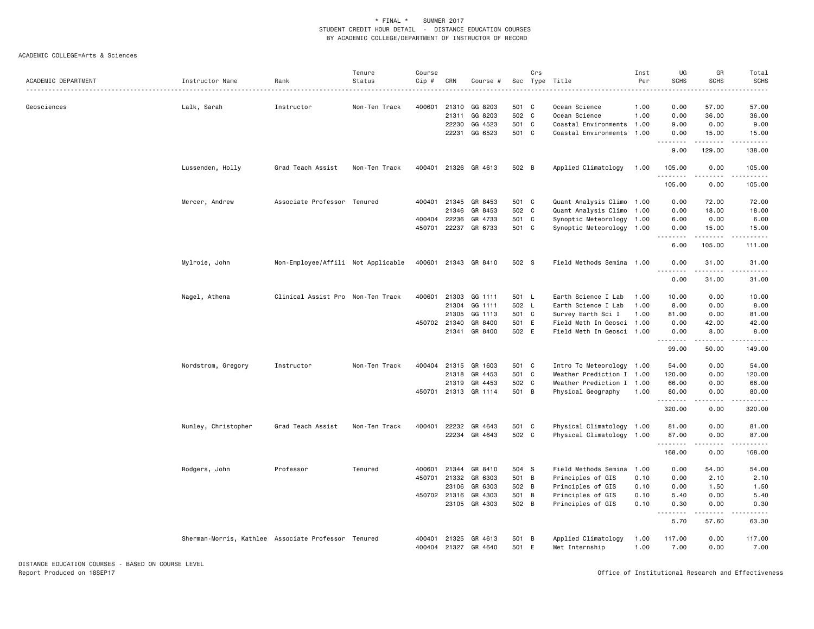|                     |                                                     |                                    | Tenure        | Course |              |                                       |                | Crs |                                       | Inst         | UG                             | GR                   | Total                      |
|---------------------|-----------------------------------------------------|------------------------------------|---------------|--------|--------------|---------------------------------------|----------------|-----|---------------------------------------|--------------|--------------------------------|----------------------|----------------------------|
| ACADEMIC DEPARTMENT | Instructor Name                                     | Rank                               | Status        | Cip #  | CRN          | Course #                              | Sec            |     | Type Title                            | Per          | <b>SCHS</b><br>.               | <b>SCHS</b>          | <b>SCHS</b><br>.           |
| Geosciences         | Lalk, Sarah                                         | Instructor                         | Non-Ten Track | 400601 | 21310        | GG 8203                               | 501 C          |     | Ocean Science                         | 1.00         | 0.00                           | 57.00                | 57.00                      |
|                     |                                                     |                                    |               |        | 21311        | GG 8203                               | 502 C          |     | Ocean Science                         | 1.00         | 0.00                           | 36.00                | 36.00                      |
|                     |                                                     |                                    |               |        | 22230        | GG 4523                               | 501            | C   | Coastal Environments 1.00             |              | 9.00                           | 0.00                 | 9.00                       |
|                     |                                                     |                                    |               |        | 22231        | GG 6523                               | 501 C          |     | Coastal Environments 1.00             |              | 0.00                           | 15.00                | 15.00                      |
|                     |                                                     |                                    |               |        |              |                                       |                |     |                                       |              | .<br>9.00                      | .<br>129.00          | .<br>138.00                |
|                     | Lussenden, Holly                                    | Grad Teach Assist                  | Non-Ten Track |        |              | 400401 21326 GR 4613                  | 502 B          |     | Applied Climatology                   | 1.00         | 105.00                         | 0.00<br>.            | 105,00<br>$- - - - - - -$  |
|                     |                                                     |                                    |               |        |              |                                       |                |     |                                       |              | 105.00                         | 0.00                 | 105.00                     |
|                     | Mercer, Andrew                                      | Associate Professor                | Tenured       | 400401 | 21345        | GR 8453                               | 501 C          |     | Quant Analysis Climo 1.00             |              | 0.00                           | 72.00                | 72.00                      |
|                     |                                                     |                                    |               |        | 21346        | GR 8453                               | 502 C          |     | Quant Analysis Climo 1.00             |              | 0.00                           | 18.00                | 18.00                      |
|                     |                                                     |                                    |               | 400404 | 22236        | GR 4733                               | 501 C          |     | Synoptic Meteorology 1.00             |              | 6.00                           | 0.00                 | 6.00                       |
|                     |                                                     |                                    |               | 450701 | 22237        | GR 6733                               | 501 C          |     | Synoptic Meteorology 1.00             |              | 0.00<br>.<br>$\sim$ $\sim$     | 15.00<br>$- - - - -$ | 15.00<br>.                 |
|                     |                                                     |                                    |               |        |              |                                       |                |     |                                       |              | 6.00                           | 105.00               | 111.00                     |
|                     | Mylroie, John                                       | Non-Employee/Affili Not Applicable |               | 400601 |              | 21343 GR 8410                         | 502 S          |     | Field Methods Semina 1.00             |              | 0.00<br>$\sim$ $\sim$          | 31.00                | 31.00<br>$\omega$ is a set |
|                     |                                                     |                                    |               |        |              |                                       |                |     |                                       |              | 0.00                           | 31.00                | 31.00                      |
|                     | Nagel, Athena                                       | Clinical Assist Pro Non-Ten Track  |               | 400601 | 21303        | GG 1111                               | 501 L          |     | Earth Science I Lab                   | 1.00         | 10.00                          | 0.00                 | 10.00                      |
|                     |                                                     |                                    |               |        | 21304        | GG 1111                               | 502 L          |     | Earth Science I Lab                   | 1.00         | 8.00                           | 0.00                 | 8.00                       |
|                     |                                                     |                                    |               |        | 21305        | GG 1113                               | 501 C          |     | Survey Earth Sci I                    | 1.00         | 81.00                          | 0.00                 | 81.00                      |
|                     |                                                     |                                    |               |        | 450702 21340 | GR 8400                               | 501 E          |     | Field Meth In Geosci 1.00             |              | 0.00                           | 42.00                | 42.00                      |
|                     |                                                     |                                    |               |        | 21341        | GR 8400                               | 502 E          |     | Field Meth In Geosci 1.00             |              | 0.00<br>-----<br>$\sim$ $\sim$ | 8.00<br>$- - - - -$  | 8.00<br>.                  |
|                     |                                                     |                                    |               |        |              |                                       |                |     |                                       |              | 99.00                          | 50.00                | 149.00                     |
|                     | Nordstrom, Gregory                                  | Instructor                         | Non-Ten Track | 400404 | 21315        | GR 1603                               | 501 C          |     | Intro To Meteorology 1.00             |              | 54.00                          | 0.00                 | 54.00                      |
|                     |                                                     |                                    |               |        | 21318        | GR 4453                               | 501 C          |     | Weather Prediction I 1.00             |              | 120.00                         | 0.00                 | 120.00                     |
|                     |                                                     |                                    |               |        | 21319        | GR 4453                               | 502 C          |     | Weather Prediction I 1.00             |              | 66.00                          | 0.00                 | 66.00                      |
|                     |                                                     |                                    |               | 450701 |              | 21313 GR 1114                         | 501 B          |     | Physical Geography                    | 1.00         | 80.00                          | 0.00                 | 80.00                      |
|                     |                                                     |                                    |               |        |              |                                       |                |     |                                       |              | .<br>320.00                    | 0.00                 | .<br>320.00                |
|                     | Nunley, Christopher                                 | Grad Teach Assist                  | Non-Ten Track | 400401 | 22232        | GR 4643                               | 501 C          |     | Physical Climatology 1.00             |              | 81.00                          | 0.00                 | 81.00                      |
|                     |                                                     |                                    |               |        |              | 22234 GR 4643                         | 502 C          |     | Physical Climatology 1.00             |              | 87.00                          | 0.00                 | 87.00                      |
|                     |                                                     |                                    |               |        |              |                                       |                |     |                                       |              | .<br>168.00                    | .<br>0.00            | .<br>168,00                |
|                     | Rodgers, John                                       | Professor                          | Tenured       | 400601 | 21344        | GR 8410                               | 504 S          |     | Field Methods Semina                  | 1.00         | 0.00                           | 54.00                | 54.00                      |
|                     |                                                     |                                    |               |        | 450701 21332 | GR 6303                               | 501 B          |     | Principles of GIS                     | 0.10         | 0.00                           | 2.10                 | 2.10                       |
|                     |                                                     |                                    |               |        | 23106        | GR 6303                               | 502 B          |     | Principles of GIS                     | 0.10         | 0.00                           | 1.50                 | 1.50                       |
|                     |                                                     |                                    |               |        | 450702 21316 | GR 4303                               | 501            | B   | Principles of GIS                     | 0.10         | 5.40                           | 0.00                 | 5.40                       |
|                     |                                                     |                                    |               |        |              | 23105 GR 4303                         | 502 B          |     | Principles of GIS                     | 0.10         | 0.30<br>.<br>$\sim$ $\sim$     | 0.00<br>$- - - - -$  | 0.30<br>$\frac{1}{2}$      |
|                     |                                                     |                                    |               |        |              |                                       |                |     |                                       |              | 5.70                           | 57.60                | 63.30                      |
|                     | Sherman-Morris, Kathlee Associate Professor Tenured |                                    |               | 400401 |              | 21325 GR 4613<br>400404 21327 GR 4640 | 501 B<br>501 E |     | Applied Climatology<br>Met Internship | 1.00<br>1.00 | 117.00<br>7.00                 | 0.00<br>0.00         | 117.00<br>7.00             |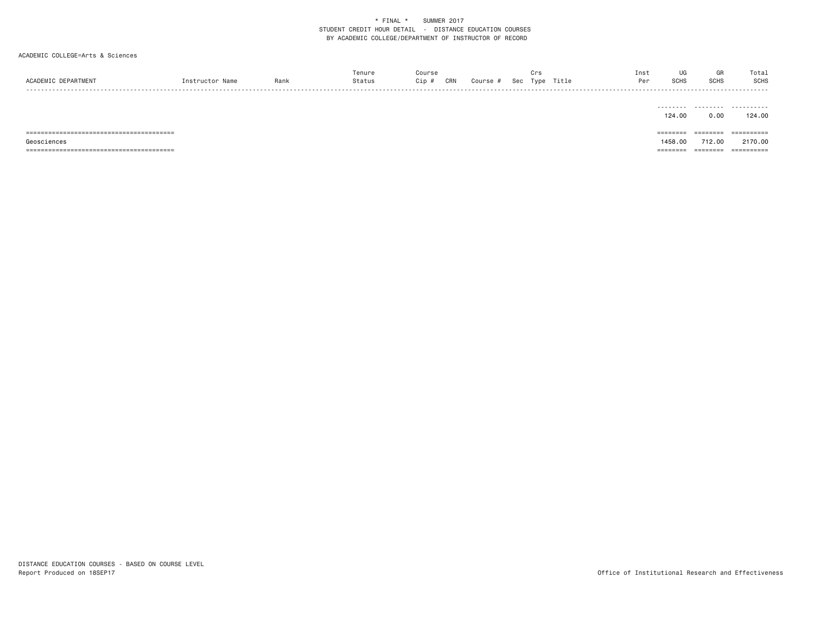| ACADEMIC DEPARTMENT | Instructor Name | Rank | Tenure<br>Status | Course<br>$Cip$ #<br>CRN | Course # | Sec | Crs<br>Type Title | Inst<br>Per | UG<br><b>SCHS</b>    | GR<br><b>SCHS</b>    | Total<br><b>SCHS</b> |
|---------------------|-----------------|------|------------------|--------------------------|----------|-----|-------------------|-------------|----------------------|----------------------|----------------------|
|                     |                 |      |                  |                          |          |     |                   |             | .<br>124,00          | .<br>0.00            | .<br>124,00          |
|                     |                 |      |                  |                          |          |     |                   |             | ========             | ========             |                      |
| Geosciences         |                 |      |                  |                          |          |     |                   |             | 1458.00              | 712.00               | 2170.00              |
|                     |                 |      |                  |                          |          |     |                   |             | --------<br>-------- | --------<br>-------- | -----------          |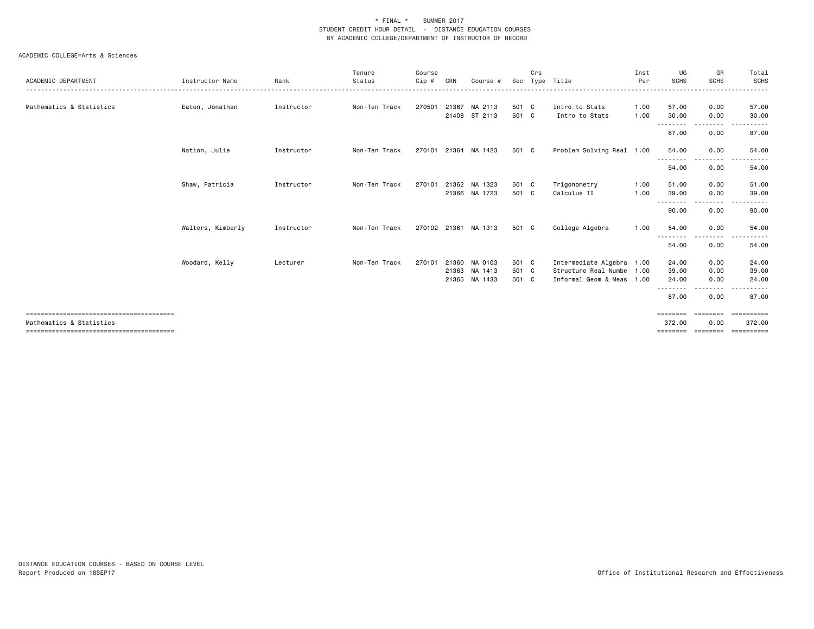| ACADEMIC DEPARTMENT      | Instructor Name   | Rank       | Tenure<br>Status | Course<br>Cip # | CRN   | Course #      |       | Crs | Sec Type Title            | Inst<br>Per | UG<br><b>SCHS</b>                 | GR<br><b>SCHS</b> | Total<br><b>SCHS</b> |
|--------------------------|-------------------|------------|------------------|-----------------|-------|---------------|-------|-----|---------------------------|-------------|-----------------------------------|-------------------|----------------------|
| Mathematics & Statistics | Eaton, Jonathan   | Instructor | Non-Ten Track    | 270501          |       | 21367 MA 2113 | 501 C |     | Intro to Stats            | 1.00        | 57.00                             | 0.00              | 57.00                |
|                          |                   |            |                  |                 |       | 21408 ST 2113 | 501 C |     | Intro to Stats            | 1.00        | 30.00                             | 0.00              | 30.00                |
|                          |                   |            |                  |                 |       |               |       |     |                           |             | .<br>87.00                        | .<br>0.00         | 87.00                |
|                          | Nation, Julie     | Instructor | Non-Ten Track    | 270101          | 21364 | MA 1423       | 501 C |     | Problem Solving Real 1.00 |             | 54.00<br><u>.</u>                 | 0.00              | 54.00                |
|                          |                   |            |                  |                 |       |               |       |     |                           |             | 54.00                             | 0.00              | 54.00                |
|                          | Shaw, Patricia    | Instructor | Non-Ten Track    | 270101          |       | 21362 MA 1323 | 501 C |     | Trigonometry              | 1.00        | 51.00                             | 0.00              | 51.00                |
|                          |                   |            |                  |                 |       | 21366 MA 1723 | 501 C |     | Calculus II               | 1.00        | 39.00                             | 0.00              | 39.00                |
|                          |                   |            |                  |                 |       |               |       |     |                           |             | - - - - - - - - <b>-</b><br>90.00 | .<br>0.00         | 90.00                |
|                          | Walters, Kimberly | Instructor | Non-Ten Track    | 270102 21361    |       | MA 1313       | 501 C |     | College Algebra           | 1.00        | 54.00<br>.                        | 0.00              | 54.00                |
|                          |                   |            |                  |                 |       |               |       |     |                           |             | 54.00                             | 0.00              | 54.00                |
|                          | Woodard, Kelly    | Lecturer   | Non-Ten Track    | 270101          | 21360 | MA 0103       | 501 C |     | Intermediate Algebra      | 1.00        | 24.00                             | 0.00              | 24.00                |
|                          |                   |            |                  |                 |       | 21363 MA 1413 | 501 C |     | Structure Real Numbe      | 1.00        | 39.00                             | 0.00              | 39.00                |
|                          |                   |            |                  |                 |       | 21365 MA 1433 | 501 C |     | Informal Geom & Meas 1.00 |             | 24.00                             | 0.00              | 24.00                |
|                          |                   |            |                  |                 |       |               |       |     |                           |             | 87.00                             | 0.00              | 87.00                |
|                          |                   |            |                  |                 |       |               |       |     |                           |             | ========                          | <b>EBBEERE</b>    | ==========           |
| Mathematics & Statistics |                   |            |                  |                 |       |               |       |     |                           |             | 372.00                            | 0.00              | 372.00               |
|                          |                   |            |                  |                 |       |               |       |     |                           |             | ========                          | ========          | ==========           |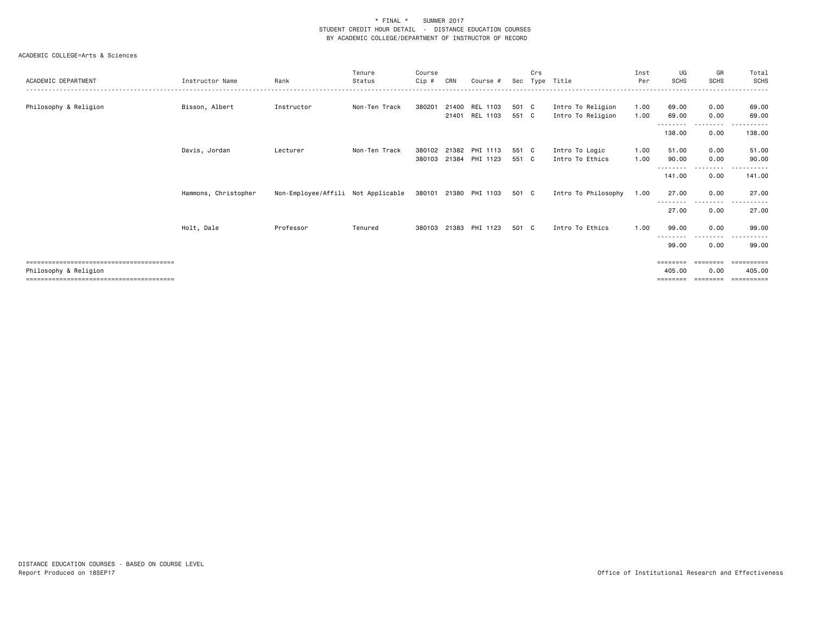| ACADEMIC DEPARTMENT   | Instructor Name      | Rank                               | Tenure<br>Status | Course<br>Cip #  | CRN            | Course #                         | Sec            | Crs | Type Title                             | Inst<br>Per  | UG<br><b>SCHS</b>           | GR<br><b>SCHS</b>         | Total<br><b>SCHS</b>          |
|-----------------------|----------------------|------------------------------------|------------------|------------------|----------------|----------------------------------|----------------|-----|----------------------------------------|--------------|-----------------------------|---------------------------|-------------------------------|
| Philosophy & Religion | Bisson, Albert       | Instructor                         | Non-Ten Track    | 380201           | 21400<br>21401 | <b>REL 1103</b><br>REL 1103      | 501 C<br>551 C |     | Intro To Religion<br>Intro To Religion | 1.00<br>1.00 | 69.00<br>69.00              | 0.00<br>0.00              | 69.00<br>69.00                |
|                       |                      |                                    |                  |                  |                |                                  |                |     |                                        |              | - - - - - - - - -<br>138.00 | .<br>0.00                 | 138.00                        |
|                       | Davis, Jordan        | Lecturer                           | Non-Ten Track    | 380102<br>380103 |                | 21382 PHI 1113<br>21384 PHI 1123 | 551 C<br>551 C |     | Intro To Logic<br>Intro To Ethics      | 1.00<br>1.00 | 51.00<br>90.00              | 0.00<br>0.00<br>$- - - -$ | 51.00<br>90.00                |
|                       |                      |                                    |                  |                  |                |                                  |                |     |                                        |              | 141.00                      | 0.00                      | 141.00                        |
|                       | Hammons, Christopher | Non-Employee/Affili Not Applicable |                  | 380101           |                | 21380 PHI 1103                   | 501 C          |     | Intro To Philosophy                    | 1.00         | 27.00<br>.                  | 0.00<br>---------         | 27.00<br>.<br>$- - -$         |
|                       |                      |                                    |                  |                  |                |                                  |                |     |                                        |              | 27.00                       | 0.00                      | 27.00                         |
|                       | Holt, Dale           | Professor                          | Tenured          | 380103           | 21383          | PHI 1123                         | 501 C          |     | Intro To Ethics                        | 1.00         | 99.00                       | 0.00                      | 99.00                         |
|                       |                      |                                    |                  |                  |                |                                  |                |     |                                        |              | 99.00                       | .<br>0.00                 | 99.00                         |
| Philosophy & Religion |                      |                                    |                  |                  |                |                                  |                |     |                                        |              | ========<br>405,00          | ========<br>0.00          | ==========<br>405.00<br>===== |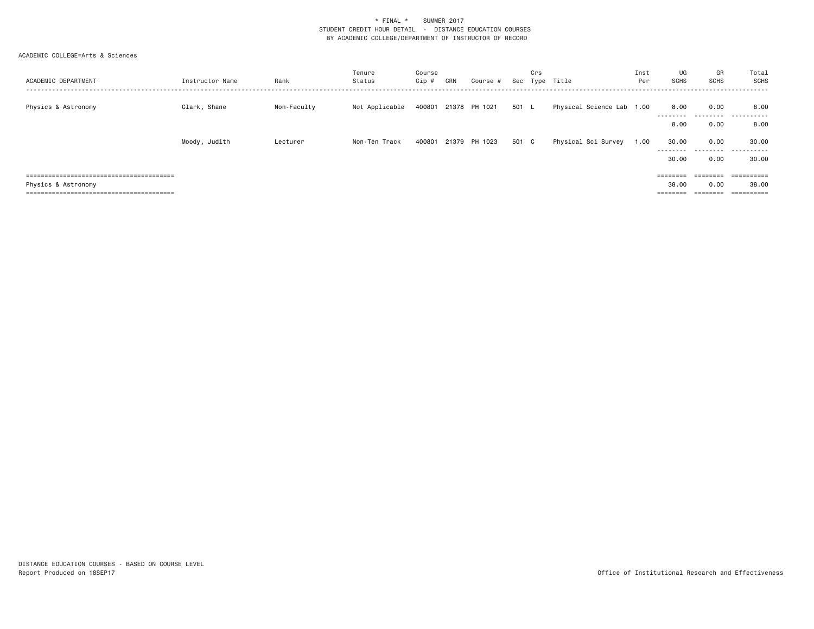| ACADEMIC DEPARTMENT | Instructor Name | Rank        | Tenure<br>Status | Course<br>Cip # | CRN | Course #      | Sec   | Crs | Type Title                | Inst<br>Per | UG<br><b>SCHS</b>  | GR<br>SCHS        | Total<br><b>SCHS</b>                                                                                                                                                                                                                                                                                                                                                                                                                                                                   |
|---------------------|-----------------|-------------|------------------|-----------------|-----|---------------|-------|-----|---------------------------|-------------|--------------------|-------------------|----------------------------------------------------------------------------------------------------------------------------------------------------------------------------------------------------------------------------------------------------------------------------------------------------------------------------------------------------------------------------------------------------------------------------------------------------------------------------------------|
| Physics & Astronomy | Clark, Shane    | Non-Faculty | Not Applicable   | 400801          |     | 21378 PH 1021 | 501 L |     | Physical Science Lab 1.00 |             | 8.00<br>---------  | 0.00<br>--------- | 8.00<br>.                                                                                                                                                                                                                                                                                                                                                                                                                                                                              |
|                     |                 |             |                  |                 |     |               |       |     |                           |             | 8.00               | 0.00              | 8.00                                                                                                                                                                                                                                                                                                                                                                                                                                                                                   |
|                     | Moody, Judith   | Lecturer    | Non-Ten Track    | 400801          |     | 21379 PH 1023 | 501 C |     | Physical Sci Survey       | 1.00        | 30.00<br>--------- | 0.00<br>.         | 30.00<br>.                                                                                                                                                                                                                                                                                                                                                                                                                                                                             |
|                     |                 |             |                  |                 |     |               |       |     |                           |             | 30.00              | 0.00              | 30.00                                                                                                                                                                                                                                                                                                                                                                                                                                                                                  |
|                     |                 |             |                  |                 |     |               |       |     |                           |             | ========           | ========          | $\begin{array}{cccccccccc} \multicolumn{2}{c}{} & \multicolumn{2}{c}{} & \multicolumn{2}{c}{} & \multicolumn{2}{c}{} & \multicolumn{2}{c}{} & \multicolumn{2}{c}{} & \multicolumn{2}{c}{} & \multicolumn{2}{c}{} & \multicolumn{2}{c}{} & \multicolumn{2}{c}{} & \multicolumn{2}{c}{} & \multicolumn{2}{c}{} & \multicolumn{2}{c}{} & \multicolumn{2}{c}{} & \multicolumn{2}{c}{} & \multicolumn{2}{c}{} & \multicolumn{2}{c}{} & \multicolumn{2}{c}{} & \multicolumn{2}{c}{} & \mult$ |
| Physics & Astronomy |                 |             |                  |                 |     |               |       |     |                           |             | 38.00              | 0.00              | 38.00                                                                                                                                                                                                                                                                                                                                                                                                                                                                                  |
|                     |                 |             |                  |                 |     |               |       |     |                           |             | ========           | ________          |                                                                                                                                                                                                                                                                                                                                                                                                                                                                                        |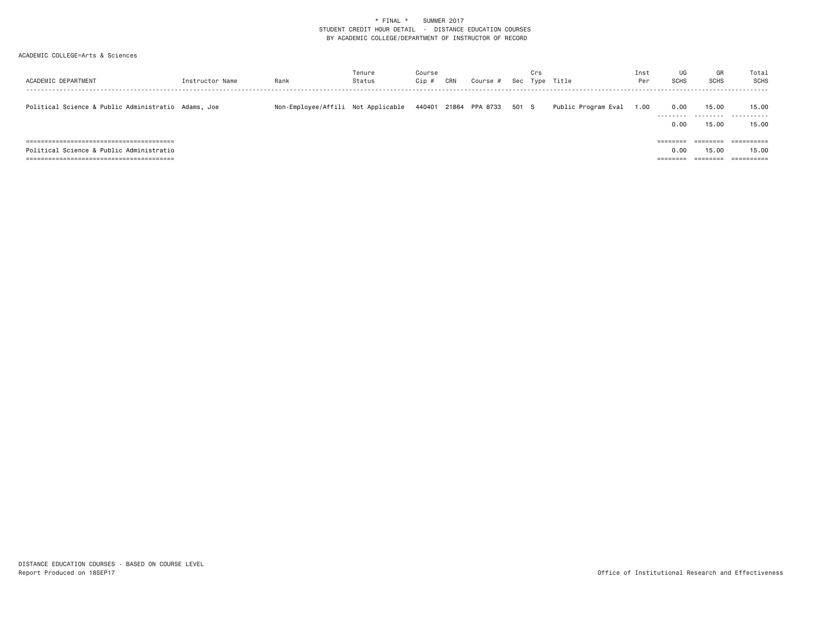| ACADEMIC DEPARTMENT                                                        | Instructor Name | Rank                               | Tenure<br>Status | Course<br>Cip # | CRN | Course #              |       | Crs | Sec Type Title      | Inst<br>Per | UG<br><b>SCHS</b>        | GR<br><b>SCHS</b>  | Total<br><b>SCHS</b>              |
|----------------------------------------------------------------------------|-----------------|------------------------------------|------------------|-----------------|-----|-----------------------|-------|-----|---------------------|-------------|--------------------------|--------------------|-----------------------------------|
| Political Science & Public Administratio Adams, Joe                        |                 | Non-Employee/Affili Not Applicable |                  |                 |     | 440401 21864 PPA 8733 | 501 S |     | Public Program Eval | 1.00        | 0.00<br>--------<br>0.00 | 15.00<br>15.00     | 15.00<br>. <u>.</u><br>15.00      |
| Political Science & Public Administratio<br>,,,,,,,,,,,,,,,,,,,,,,,,,,,,,, |                 |                                    |                  |                 |     |                       |       |     |                     |             | ========<br>0.00         | ---------<br>15,00 | ==========<br>15.00<br>========== |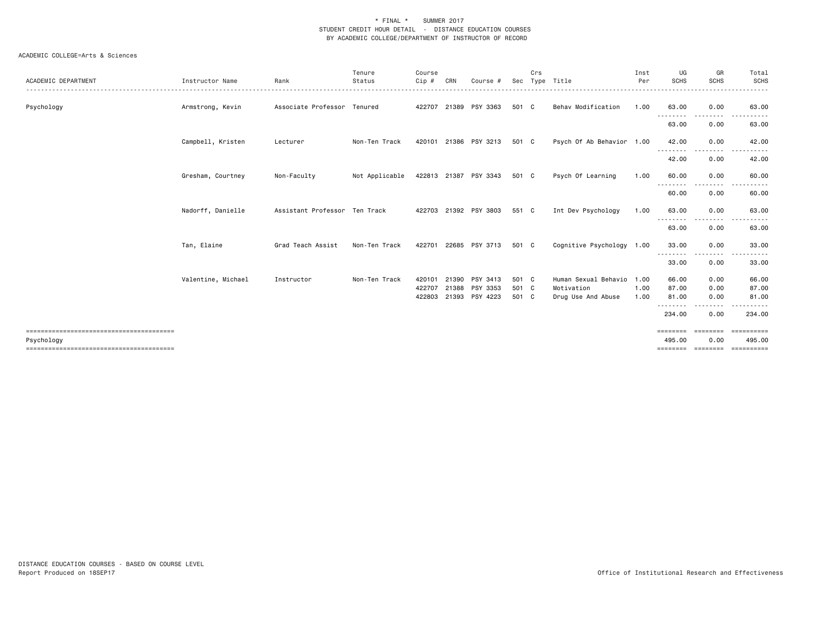|                     |                    |                               | Tenure         | Course |       |                       |       | Crs |                           | Inst | UG                 | GR          | Total                      |
|---------------------|--------------------|-------------------------------|----------------|--------|-------|-----------------------|-------|-----|---------------------------|------|--------------------|-------------|----------------------------|
| ACADEMIC DEPARTMENT | Instructor Name    | Rank                          | Status         | Cip #  | CRN   | Course #              |       |     | Sec Type Title            | Per  | <b>SCHS</b>        | <b>SCHS</b> | <b>SCHS</b>                |
| Psychology          | Armstrong, Kevin   | Associate Professor Tenured   |                |        |       | 422707 21389 PSY 3363 | 501 C |     | Behav Modification        | 1.00 | 63.00              | 0.00        | 63.00                      |
|                     |                    |                               |                |        |       |                       |       |     |                           |      | .<br>63.00         | .<br>0.00   | 63.00                      |
|                     | Campbell, Kristen  | Lecturer                      | Non-Ten Track  |        |       | 420101 21386 PSY 3213 | 501 C |     | Psych Of Ab Behavior 1.00 |      | 42.00              | 0.00        | 42.00                      |
|                     |                    |                               |                |        |       |                       |       |     |                           |      | 42.00              | 0.00        | 42.00                      |
|                     | Gresham, Courtney  | Non-Faculty                   | Not Applicable |        |       | 422813 21387 PSY 3343 | 501 C |     | Psych Of Learning         | 1.00 | 60.00              | 0.00        | 60.00                      |
|                     |                    |                               |                |        |       |                       |       |     |                           |      | 60.00              | 0.00        | 60.00                      |
|                     | Nadorff, Danielle  | Assistant Professor Ten Track |                |        |       | 422703 21392 PSY 3803 | 551 C |     | Int Dev Psychology        | 1.00 | 63.00              | 0.00        | 63.00                      |
|                     |                    |                               |                |        |       |                       |       |     |                           |      | 63.00              | 0.00        | 63.00                      |
|                     | Tan, Elaine        | Grad Teach Assist             | Non-Ten Track  | 422701 |       | 22685 PSY 3713        | 501 C |     | Cognitive Psychology 1.00 |      | 33.00              | 0.00        | 33.00                      |
|                     |                    |                               |                |        |       |                       |       |     |                           |      | .<br>33.00         | .<br>0.00   | <u>.</u><br>33.00          |
|                     | Valentine, Michael | Instructor                    | Non-Ten Track  | 420101 |       | 21390 PSY 3413        | 501 C |     | Human Sexual Behavio 1.00 |      | 66.00              | 0.00        | 66.00                      |
|                     |                    |                               |                | 422707 | 21388 | PSY 3353              | 501 C |     | Motivation                | 1.00 | 87.00              | 0.00        | 87.00                      |
|                     |                    |                               |                | 422803 |       | 21393 PSY 4223        | 501 C |     | Drug Use And Abuse        | 1.00 | 81.00              | 0.00        | 81.00                      |
|                     |                    |                               |                |        |       |                       |       |     |                           |      | 234.00             | 0.00        | 234.00                     |
| Psychology          |                    |                               |                |        |       |                       |       |     |                           |      | ========<br>495.00 | 0.00        | <b>EEEEEEEEE</b><br>495.00 |
|                     |                    |                               |                |        |       |                       |       |     |                           |      | ========           | ========    | ==========                 |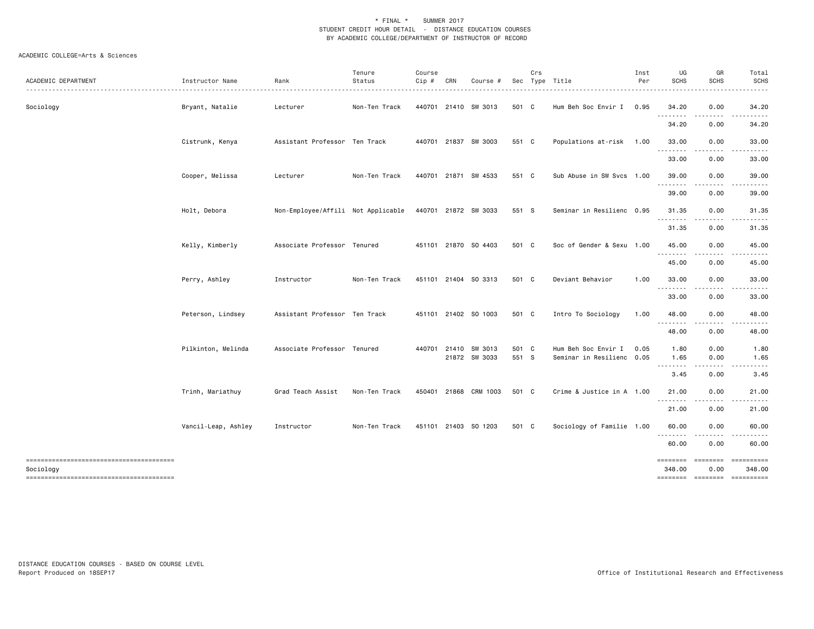#### ACADEMIC COLLEGE=Arts & Sciences

| ACADEMIC DEPARTMENT | Instructor Name     | Rank                               | Tenure<br>Status | Course<br>Cip # | CRN   | Course #                 |                | Crs | Sec Type Title                                   | Inst<br>Per | UG<br><b>SCHS</b>  | GR<br><b>SCHS</b>  | Total<br><b>SCHS</b> |
|---------------------|---------------------|------------------------------------|------------------|-----------------|-------|--------------------------|----------------|-----|--------------------------------------------------|-------------|--------------------|--------------------|----------------------|
| Sociology           | Bryant, Natalie     | Lecturer                           | Non-Ten Track    |                 |       | 440701 21410 SW 3013     | 501 C          |     | Hum Beh Soc Envir I                              | 0.95        | 34.20              | 0.00               | 34.20                |
|                     |                     |                                    |                  |                 |       |                          |                |     |                                                  |             | 34.20              | .<br>0.00          | 34.20                |
|                     | Cistrunk, Kenya     | Assistant Professor Ten Track      |                  |                 |       | 440701 21837 SW 3003     | 551 C          |     | Populations at-risk                              | 1.00        | 33.00              | 0.00               | 33.00                |
|                     |                     |                                    |                  |                 |       |                          |                |     |                                                  |             | 33.00              | 0.00               | 33.00                |
|                     | Cooper, Melissa     | Lecturer                           | Non-Ten Track    |                 |       | 440701 21871 SW 4533     | 551 C          |     | Sub Abuse in SW Svcs 1.00                        |             | 39.00              | 0.00               | 39.00                |
|                     |                     |                                    |                  |                 |       |                          |                |     |                                                  |             | 39.00              | 0.00               | 39.00                |
|                     | Holt, Debora        | Non-Employee/Affili Not Applicable |                  |                 |       | 440701 21872 SW 3033     | 551 S          |     | Seminar in Resilienc 0.95                        |             | 31.35              | 0.00               | 31.35                |
|                     |                     |                                    |                  |                 |       |                          |                |     |                                                  |             | 31.35              | 0.00               | 31.35                |
|                     | Kelly, Kimberly     | Associate Professor Tenured        |                  |                 |       | 451101 21870 SO 4403     | 501 C          |     | Soc of Gender & Sexu 1.00                        |             | 45.00<br>.         | 0.00               | 45.00                |
|                     |                     |                                    |                  |                 |       |                          |                |     |                                                  |             | 45.00              | 0.00               | 45.00                |
|                     | Perry, Ashley       | Instructor                         | Non-Ten Track    |                 |       | 451101 21404 SO 3313     | 501 C          |     | Deviant Behavior                                 | 1.00        | 33.00<br>--------  | 0.00<br>. <b>.</b> | 33.00                |
|                     |                     |                                    |                  |                 |       |                          |                |     |                                                  |             | 33.00              | 0.00               | 33.00                |
|                     | Peterson, Lindsey   | Assistant Professor Ten Track      |                  |                 |       | 451101 21402 SO 1003     | 501 C          |     | Intro To Sociology                               | 1.00        | 48.00<br>.         | 0.00<br>.          | 48.00                |
|                     |                     |                                    |                  |                 |       |                          |                |     |                                                  |             | 48.00              | 0.00               | 48.00                |
|                     | Pilkinton, Melinda  | Associate Professor Tenured        |                  | 440701          | 21410 | SW 3013<br>21872 SW 3033 | 501 C<br>551 S |     | Hum Beh Soc Envir I<br>Seminar in Resilienc 0.05 | 0.05        | 1.80<br>1.65       | 0.00<br>0.00       | 1.80<br>1.65         |
|                     |                     |                                    |                  |                 |       |                          |                |     |                                                  |             | .<br>3.45          | .<br>0.00          | 3.45                 |
|                     | Trinh, Mariathuy    | Grad Teach Assist                  | Non-Ten Track    |                 |       | 450401 21868 CRM 1003    | 501 C          |     | Crime & Justice in A 1.00                        |             | 21.00              | 0.00               | 21.00                |
|                     |                     |                                    |                  |                 |       |                          |                |     |                                                  |             | .<br>21.00         | .<br>0.00          | 21.00                |
|                     | Vancil-Leap, Ashley | Instructor                         | Non-Ten Track    |                 |       | 451101 21403 SO 1203     | 501 C          |     | Sociology of Familie 1.00                        |             | 60.00              | 0.00               | 60.00                |
|                     |                     |                                    |                  |                 |       |                          |                |     |                                                  |             | 60.00              | 0.00               | 60.00                |
|                     |                     |                                    |                  |                 |       |                          |                |     |                                                  |             | ========           | ========           | $=$ =========        |
| Sociology           |                     |                                    |                  |                 |       |                          |                |     |                                                  |             | 348.00<br>======== | 0.00<br>========   | 348.00               |
|                     |                     |                                    |                  |                 |       |                          |                |     |                                                  |             |                    |                    |                      |

DISTANCE EDUCATION COURSES - BASED ON COURSE LEVEL Report Produced on 18SEP17 Office of Institutional Research and Effectiveness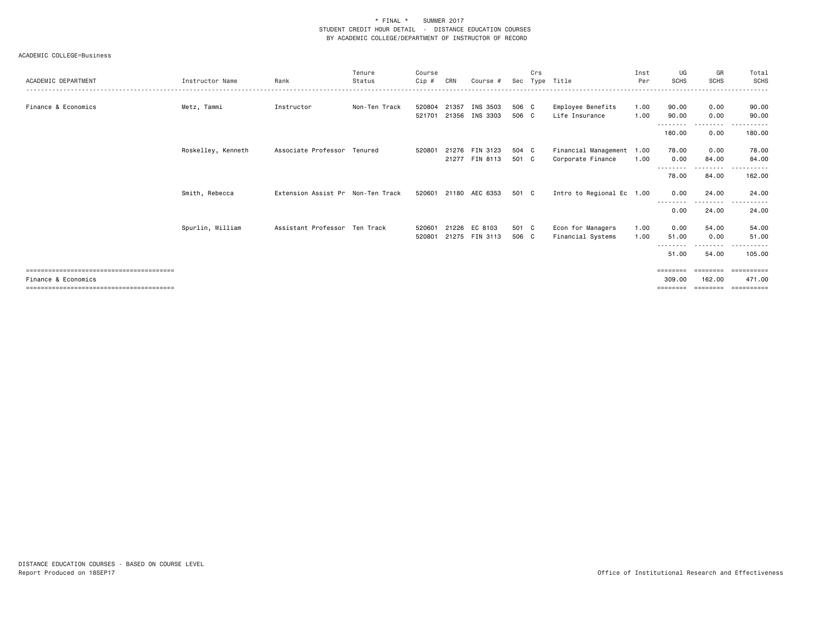| ACADEMIC DEPARTMENT | Instructor Name    | Rank                              | Tenure<br>Status | Course<br>Cip #  | CRN            | Course #                         | Sec            | Crs | Type Title                                     | Inst<br>Per  | UG<br><b>SCHS</b>                       | GR<br><b>SCHS</b>      | Total<br>SCHS                             |
|---------------------|--------------------|-----------------------------------|------------------|------------------|----------------|----------------------------------|----------------|-----|------------------------------------------------|--------------|-----------------------------------------|------------------------|-------------------------------------------|
| Finance & Economics | Metz, Tammi        | Instructor                        | Non-Ten Track    | 520804<br>521701 | 21357<br>21356 | INS 3503<br>INS 3303             | 506 C<br>506 C |     | Employee Benefits<br>Life Insurance            | 1.00<br>1.00 | 90.00<br>90.00<br><u>.</u>              | 0.00<br>0.00<br>.      | 90.00<br>90.00                            |
|                     |                    |                                   |                  |                  |                |                                  |                |     |                                                |              | 180.00                                  | 0.00                   | 180.00                                    |
|                     | Roskelley, Kenneth | Associate Professor Tenured       |                  | 520801           |                | 21276 FIN 3123<br>21277 FIN 8113 | 504 C<br>501 C |     | Financial Management 1.00<br>Corporate Finance | 1.00         | 78.00<br>0.00<br>--------               | 0.00<br>84.00<br>.     | 78.00<br>84.00                            |
|                     |                    |                                   |                  |                  |                |                                  |                |     |                                                |              | 78.00                                   | 84.00                  | 162.00                                    |
|                     | Smith, Rebecca     | Extension Assist Pr Non-Ten Track |                  | 520601           |                | 21180 AEC 6353                   | 501 C          |     | Intro to Regional Ec 1.00                      |              | 0.00                                    | 24.00                  | 24.00                                     |
|                     |                    |                                   |                  |                  |                |                                  |                |     |                                                |              | 0.00                                    | 24.00                  | 24.00                                     |
|                     | Spurlin, William   | Assistant Professor Ten Track     |                  | 520601<br>520801 | 21226          | EC 8103<br>21275 FIN 3113        | 501 C<br>506 C |     | Econ for Managers<br>Financial Systems         | 1.00<br>1.00 | 0.00<br>51.00                           | 54.00<br>0.00<br>----- | 54.00<br>51.00                            |
|                     |                    |                                   |                  |                  |                |                                  |                |     |                                                |              | 51.00                                   | 54.00                  | 105.00                                    |
| Finance & Economics |                    |                                   |                  |                  |                |                                  |                |     |                                                |              | ========<br>309,00<br>$=$ = = = = = = = | ========<br>162.00     | -----------<br>471.00<br><b>CONSESSED</b> |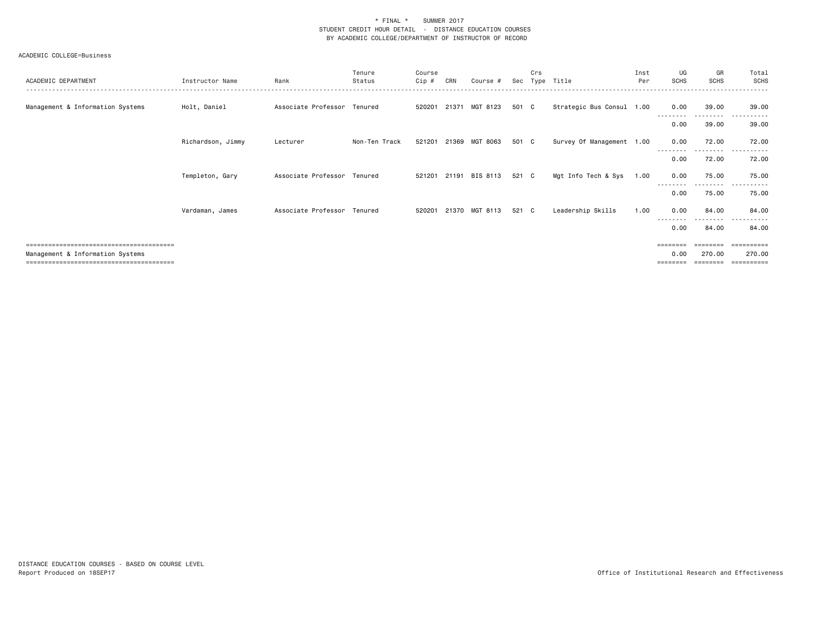| ACADEMIC DEPARTMENT              | Instructor Name   | Rank                        | Tenure<br>Status | Course<br>Cip # | CRN   | Course #       | Sec   | Crs | Type Title                | Inst<br>Per | UG<br><b>SCHS</b> | GR<br><b>SCHS</b>  | Total<br><b>SCHS</b>  |
|----------------------------------|-------------------|-----------------------------|------------------|-----------------|-------|----------------|-------|-----|---------------------------|-------------|-------------------|--------------------|-----------------------|
| Management & Information Systems | Holt, Daniel      | Associate Professor Tenured |                  | 520201          | 21371 | MGT 8123       | 501 C |     | Strategic Bus Consul 1.00 |             | 0.00              | 39.00<br>--------- | 39.00                 |
|                                  |                   |                             |                  |                 |       |                |       |     |                           |             | 0.00              | 39.00              | 39.00                 |
|                                  | Richardson, Jimmy | Lecturer                    | Non-Ten Track    | 521201          |       | 21369 MGT 8063 | 501 C |     | Survey Of Management 1.00 |             | 0.00              | 72.00<br>.         | 72.00<br>.            |
|                                  |                   |                             |                  |                 |       |                |       |     |                           |             | 0.00              | 72.00              | 72.00                 |
|                                  | Templeton, Gary   | Associate Professor Tenured |                  | 521201          |       | 21191 BIS 8113 | 521 C |     | Mgt Info Tech & Sys       | 1.00        | 0.00              | 75.00              | 75.00                 |
|                                  |                   |                             |                  |                 |       |                |       |     |                           |             | .<br>0.00         | .<br>75.00         | .<br>75.00            |
|                                  | Vardaman, James   | Associate Professor Tenured |                  | 520201          |       | 21370 MGT 8113 | 521 C |     | Leadership Skills         | 1.00        | 0.00              | 84.00              | 84.00                 |
|                                  |                   |                             |                  |                 |       |                |       |     |                           |             | --------<br>0.00  | --------<br>84.00  | .<br>84.00            |
|                                  |                   |                             |                  |                 |       |                |       |     |                           |             | $=$ = = = = = = = |                    | $=$ = = = = = = = = : |
| Management & Information Systems |                   |                             |                  |                 |       |                |       |     |                           |             | 0.00              | 270.00             | 270.00<br>==========  |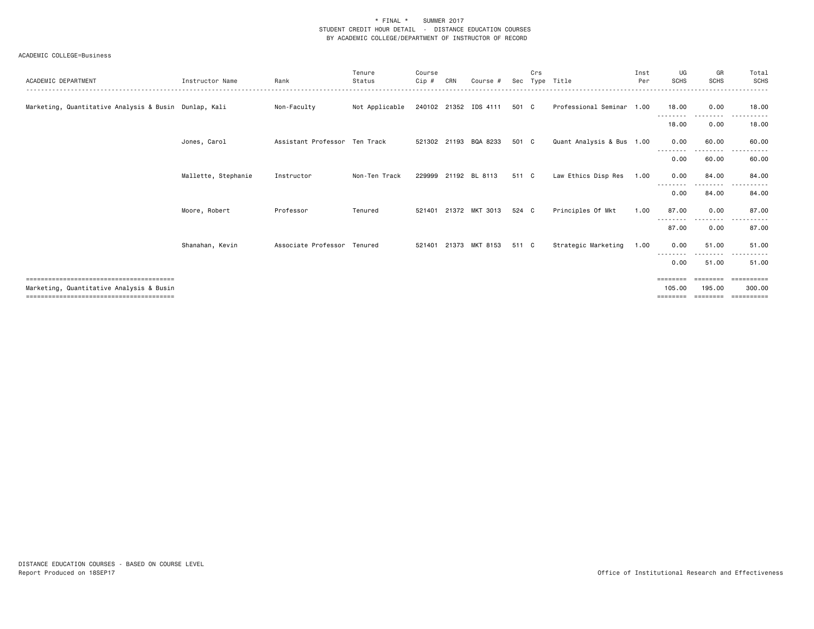| ACADEMIC DEPARTMENT                                   | Instructor Name     | Rank                          | Tenure<br>Status | Course<br>$C$ ip $#$ | CRN | Course #              | Sec   | Crs | Type Title                | Inst<br>Per | UG<br><b>SCHS</b>  | GR<br>SCHS         | Total<br><b>SCHS</b> |
|-------------------------------------------------------|---------------------|-------------------------------|------------------|----------------------|-----|-----------------------|-------|-----|---------------------------|-------------|--------------------|--------------------|----------------------|
| Marketing, Quantitative Analysis & Busin Dunlap, Kali |                     | Non-Faculty                   | Not Applicable   |                      |     | 240102 21352 IDS 4111 | 501 C |     | Professional Seminar 1.00 |             | 18.00<br>--------- | 0.00<br>--------   | 18,00<br>------      |
|                                                       |                     |                               |                  |                      |     |                       |       |     |                           |             | 18.00              | 0.00               | 18.00                |
|                                                       | Jones, Carol        | Assistant Professor Ten Track |                  |                      |     | 521302 21193 BQA 8233 | 501 C |     | Quant Analysis & Bus 1.00 |             | 0.00               | 60.00              | 60.00                |
|                                                       |                     |                               |                  |                      |     |                       |       |     |                           |             | 0.00               | -------<br>60.00   | 60.00                |
|                                                       | Mallette, Stephanie | Instructor                    | Non-Ten Track    |                      |     | 229999 21192 BL 8113  | 511 C |     | Law Ethics Disp Res       | 1.00        | 0.00               | 84.00              | 84.00                |
|                                                       |                     |                               |                  |                      |     |                       |       |     |                           |             | 0.00               | .<br>84.00         | 84.00                |
|                                                       | Moore, Robert       | Professor                     | Tenured          |                      |     | 521401 21372 MKT 3013 | 524 C |     | Principles Of Mkt         | 1.00        | 87.00              | 0.00               | 87.00                |
|                                                       |                     |                               |                  |                      |     |                       |       |     |                           |             | --------<br>87.00  | <u>.</u><br>0.00   | 87.00                |
|                                                       | Shanahan, Kevin     | Associate Professor Tenured   |                  | 521401               |     | 21373 MKT 8153        | 511 C |     | Strategic Marketing       | 1.00        | 0.00               | 51.00              | 51.00                |
|                                                       |                     |                               |                  |                      |     |                       |       |     |                           |             | --------<br>0.00   | .<br>51.00         | .<br>51.00           |
|                                                       |                     |                               |                  |                      |     |                       |       |     |                           |             | ========           | ========           | ==========           |
| Marketing, Quantitative Analysis & Busin              |                     |                               |                  |                      |     |                       |       |     |                           |             | 105.00<br>======== | 195,00<br>======== | 300,00               |
|                                                       |                     |                               |                  |                      |     |                       |       |     |                           |             |                    |                    |                      |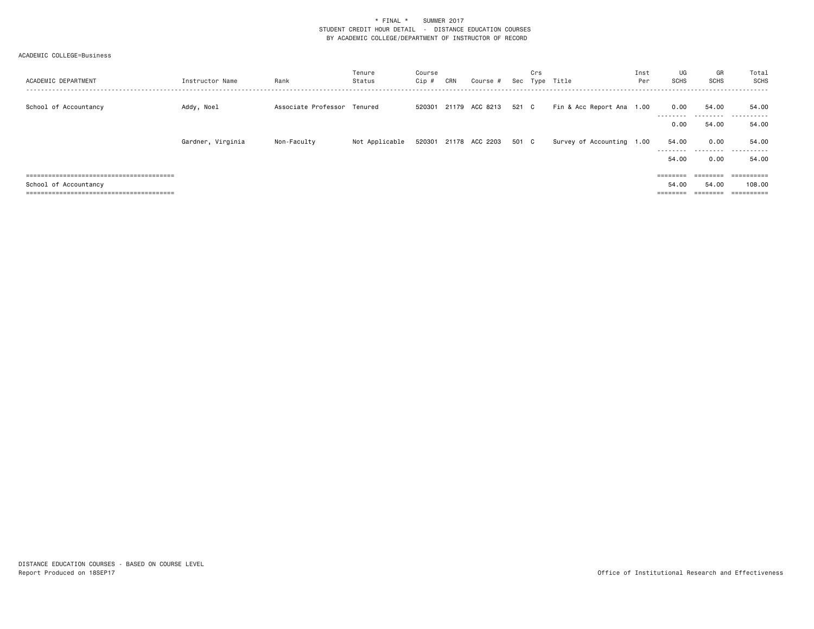| ACADEMIC DEPARTMENT          | Instructor Name   | Rank                        | Tenure<br>Status | Course<br>Cip # | CRN | Course #              |       | Crs | Sec Type Title            | Inst<br>Per | UG<br><b>SCHS</b>  | GR<br>SCHS         | Total<br><b>SCHS</b>    |
|------------------------------|-------------------|-----------------------------|------------------|-----------------|-----|-----------------------|-------|-----|---------------------------|-------------|--------------------|--------------------|-------------------------|
| School of Accountancy        | Addy, Noel        | Associate Professor Tenured |                  |                 |     | 520301 21179 ACC 8213 | 521 C |     | Fin & Acc Report Ana 1.00 |             | 0.00               | 54.00              | 54.00                   |
|                              |                   |                             |                  |                 |     |                       |       |     |                           |             | ---------<br>0.00  | ---------<br>54.00 | ------<br>----<br>54.00 |
|                              | Gardner, Virginia | Non-Faculty                 | Not Applicable   |                 |     | 520301 21178 ACC 2203 | 501 C |     | Survey of Accounting 1.00 |             | 54.00<br>--------- | 0.00<br>---------  | 54.00<br>.              |
|                              |                   |                             |                  |                 |     |                       |       |     |                           |             | 54.00              | 0.00               | 54.00                   |
|                              |                   |                             |                  |                 |     |                       |       |     |                           |             | eeeeeee            |                    |                         |
| School of Accountancy        |                   |                             |                  |                 |     |                       |       |     |                           |             | 54.00              | 54.00              | 108.00                  |
| ,,,,,,,,,,,,,,,,,,,,,,,,,,,, |                   |                             |                  |                 |     |                       |       |     |                           |             |                    |                    |                         |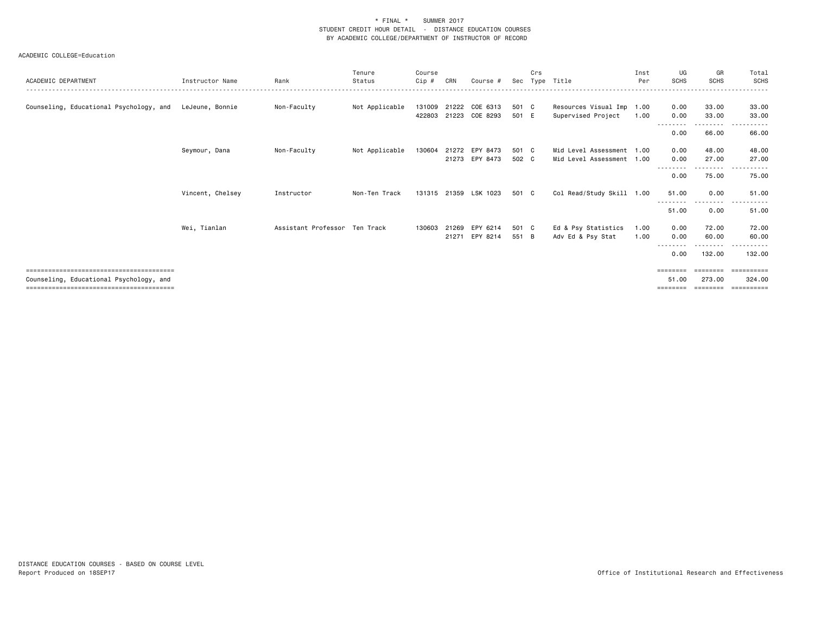| ACADEMIC DEPARTMENT                     | Instructor Name  | Rank                          | Tenure<br>Status | Course<br>$Cip$ # | CRN            | Course #                   | Sec            | Crs | Type Title                                             | Inst<br>Per  | UG<br><b>SCHS</b> | GR<br><b>SCHS</b>                       | Total<br>SCHS                       |
|-----------------------------------------|------------------|-------------------------------|------------------|-------------------|----------------|----------------------------|----------------|-----|--------------------------------------------------------|--------------|-------------------|-----------------------------------------|-------------------------------------|
| Counseling, Educational Psychology, and | LeJeune, Bonnie  | Non-Faculty                   | Not Applicable   | 131009 21222      | 422803 21223   | COE 6313<br>COE 8293       | 501 C<br>501 E |     | Resources Visual Imp 1.00<br>Supervised Project        | 1.00         | 0.00<br>0.00      | 33.00<br>33.00                          | 33.00<br>33.00                      |
|                                         |                  |                               |                  |                   |                |                            |                |     |                                                        |              | 0.00              | 66.00                                   | 66.00                               |
|                                         | Seymour, Dana    | Non-Faculty                   | Not Applicable   | 130604            | 21272          | EPY 8473<br>21273 EPY 8473 | 501 C<br>502 C |     | Mid Level Assessment 1.00<br>Mid Level Assessment 1.00 |              | 0.00<br>0.00      | 48.00<br>27.00                          | 48.00<br>27.00                      |
|                                         |                  |                               |                  |                   |                |                            |                |     |                                                        |              | 0.00              | 75.00                                   | 75.00                               |
|                                         | Vincent, Chelsey | Instructor                    | Non-Ten Track    |                   |                | 131315 21359 LSK 1023      | 501 C          |     | Col Read/Study Skill 1.00                              |              | 51.00             | 0.00                                    | 51.00                               |
|                                         |                  |                               |                  |                   |                |                            |                |     |                                                        |              | 51.00             | 0.00                                    | 51.00                               |
|                                         | Wei, Tianlan     | Assistant Professor Ten Track |                  | 130603            | 21269<br>21271 | EPY 6214<br>EPY 8214       | 501 C<br>551 B |     | Ed & Psy Statistics<br>Adv Ed & Psy Stat               | 1.00<br>1.00 | 0.00<br>0.00      | 72.00<br>60.00<br>-----                 | 72.00<br>60.00                      |
|                                         |                  |                               |                  |                   |                |                            |                |     |                                                        |              | 0.00              | 132.00                                  | 132.00                              |
| Counseling, Educational Psychology, and |                  |                               |                  |                   |                |                            |                |     |                                                        |              | 51.00<br>======== | $=$ = = = = = = =<br>273.00<br>======== | ==========<br>324,00<br>----------- |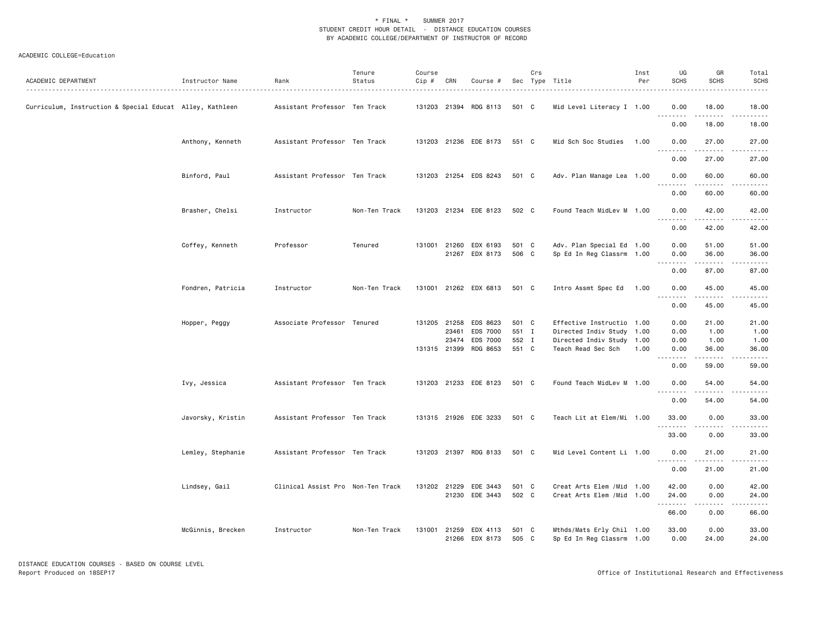| ACADEMIC DEPARTMENT                                      | Instructor Name   | Rank                              | Tenure<br>Status | Course<br>$Cip \#$ | CRN   | Course #                   |                | Crs | Sec Type Title                                         | Inst<br>Per | UG<br><b>SCHS</b>                                                                                                                                                                                                                                                                                                                                                                                                                                                                              | GR<br><b>SCHS</b>                    | Total<br><b>SCHS</b>                                                                                                                                          |
|----------------------------------------------------------|-------------------|-----------------------------------|------------------|--------------------|-------|----------------------------|----------------|-----|--------------------------------------------------------|-------------|------------------------------------------------------------------------------------------------------------------------------------------------------------------------------------------------------------------------------------------------------------------------------------------------------------------------------------------------------------------------------------------------------------------------------------------------------------------------------------------------|--------------------------------------|---------------------------------------------------------------------------------------------------------------------------------------------------------------|
| Curriculum, Instruction & Special Educat Alley, Kathleen |                   | Assistant Professor Ten Track     |                  |                    |       | 131203 21394 RDG 8113      | 501 C          |     | Mid Level Literacy I 1.00                              |             | 0.00<br>.                                                                                                                                                                                                                                                                                                                                                                                                                                                                                      | 18.00<br>.                           | 18.00<br>$\frac{1}{2} \left( \frac{1}{2} \right) \left( \frac{1}{2} \right) \left( \frac{1}{2} \right) \left( \frac{1}{2} \right) \left( \frac{1}{2} \right)$ |
|                                                          |                   |                                   |                  |                    |       |                            |                |     |                                                        |             | 0.00                                                                                                                                                                                                                                                                                                                                                                                                                                                                                           | 18.00                                | 18.00                                                                                                                                                         |
|                                                          | Anthony, Kenneth  | Assistant Professor Ten Track     |                  |                    |       | 131203 21236 EDE 8173      | 551 C          |     | Mid Sch Soc Studies                                    | 1.00        | 0.00                                                                                                                                                                                                                                                                                                                                                                                                                                                                                           | 27.00<br><u>.</u>                    | 27.00<br>$\frac{1}{2} \left( \frac{1}{2} \right) \left( \frac{1}{2} \right) \left( \frac{1}{2} \right) \left( \frac{1}{2} \right) \left( \frac{1}{2} \right)$ |
|                                                          |                   |                                   |                  |                    |       |                            |                |     |                                                        |             | 0.00                                                                                                                                                                                                                                                                                                                                                                                                                                                                                           | 27.00                                | 27.00                                                                                                                                                         |
|                                                          | Binford, Paul     | Assistant Professor Ten Track     |                  |                    |       | 131203 21254 EDS 8243      | 501 C          |     | Adv. Plan Manage Lea 1.00                              |             | 0.00                                                                                                                                                                                                                                                                                                                                                                                                                                                                                           | 60.00<br>$\frac{1}{2}$               | 60.00<br>$\frac{1}{2}$                                                                                                                                        |
|                                                          |                   |                                   |                  |                    |       |                            |                |     |                                                        |             | 0.00                                                                                                                                                                                                                                                                                                                                                                                                                                                                                           | 60.00                                | 60.00                                                                                                                                                         |
|                                                          | Brasher, Chelsi   | Instructor                        | Non-Ten Track    |                    |       | 131203 21234 EDE 8123      | 502 C          |     | Found Teach MidLev M 1.00                              |             | 0.00<br>$\begin{array}{cccccccccccccc} \multicolumn{2}{c}{} & \multicolumn{2}{c}{} & \multicolumn{2}{c}{} & \multicolumn{2}{c}{} & \multicolumn{2}{c}{} & \multicolumn{2}{c}{} & \multicolumn{2}{c}{} & \multicolumn{2}{c}{} & \multicolumn{2}{c}{} & \multicolumn{2}{c}{} & \multicolumn{2}{c}{} & \multicolumn{2}{c}{} & \multicolumn{2}{c}{} & \multicolumn{2}{c}{} & \multicolumn{2}{c}{} & \multicolumn{2}{c}{} & \multicolumn{2}{c}{} & \multicolumn{2}{c}{} & \multicolumn{2}{c}{} & \$ | 42.00<br>.                           | 42.00<br>$\frac{1}{2} \left( \frac{1}{2} \right) \left( \frac{1}{2} \right) \left( \frac{1}{2} \right) \left( \frac{1}{2} \right) \left( \frac{1}{2} \right)$ |
|                                                          |                   |                                   |                  |                    |       |                            |                |     |                                                        |             | 0.00                                                                                                                                                                                                                                                                                                                                                                                                                                                                                           | 42.00                                | 42.00                                                                                                                                                         |
|                                                          | Coffey, Kenneth   | Professor                         | Tenured          | 131001             | 21260 | EDX 6193<br>21267 EDX 8173 | 501 C<br>506 C |     | Adv. Plan Special Ed 1.00<br>Sp Ed In Reg Classrm 1.00 |             | 0.00<br>0.00                                                                                                                                                                                                                                                                                                                                                                                                                                                                                   | 51.00<br>36.00                       | 51.00<br>36.00                                                                                                                                                |
|                                                          |                   |                                   |                  |                    |       |                            |                |     |                                                        |             | 0.00                                                                                                                                                                                                                                                                                                                                                                                                                                                                                           | .<br>87.00                           | $- - - - -$<br>87.00                                                                                                                                          |
|                                                          | Fondren, Patricia | Instructor                        | Non-Ten Track    | 131001             |       | 21262 EDX 6813             | 501 C          |     | Intro Assmt Spec Ed                                    | 1.00        | 0.00                                                                                                                                                                                                                                                                                                                                                                                                                                                                                           | 45.00                                | 45.00                                                                                                                                                         |
|                                                          |                   |                                   |                  |                    |       |                            |                |     |                                                        |             | .<br>0.00                                                                                                                                                                                                                                                                                                                                                                                                                                                                                      | .<br>45.00                           | $\frac{1}{2} \left( \frac{1}{2} \right) \left( \frac{1}{2} \right) \left( \frac{1}{2} \right) \left( \frac{1}{2} \right) \left( \frac{1}{2} \right)$<br>45.00 |
|                                                          | Hopper, Peggy     | Associate Professor Tenured       |                  | 131205 21258       |       | EDS 8623                   | 501 C          |     | Effective Instructio 1.00                              |             | 0.00                                                                                                                                                                                                                                                                                                                                                                                                                                                                                           | 21.00                                | 21.00                                                                                                                                                         |
|                                                          |                   |                                   |                  |                    | 23461 | EDS 7000                   | 551 I          |     | Directed Indiv Study 1.00                              |             | 0.00                                                                                                                                                                                                                                                                                                                                                                                                                                                                                           | 1.00                                 | 1.00                                                                                                                                                          |
|                                                          |                   |                                   |                  | 131315 21399       | 23474 | EDS 7000<br>RDG 8653       | 552 I<br>551 C |     | Directed Indiv Study 1.00<br>Teach Read Sec Sch        | 1.00        | 0.00<br>0.00                                                                                                                                                                                                                                                                                                                                                                                                                                                                                   | 1.00<br>36.00                        | 1.00<br>36.00                                                                                                                                                 |
|                                                          |                   |                                   |                  |                    |       |                            |                |     |                                                        |             | $\frac{1}{2} \left( \frac{1}{2} \right) \left( \frac{1}{2} \right) \left( \frac{1}{2} \right) \left( \frac{1}{2} \right) \left( \frac{1}{2} \right)$<br>$\sim$ $\sim$ $\sim$<br>0.00                                                                                                                                                                                                                                                                                                           | $\sim$ $\sim$ $\sim$ $\sim$<br>59.00 | $\sim$ $\sim$ $\sim$ $\sim$ $\sim$<br>59.00                                                                                                                   |
|                                                          | Ivy, Jessica      | Assistant Professor Ten Track     |                  |                    |       | 131203 21233 EDE 8123      | 501 C          |     | Found Teach MidLev M 1.00                              |             | 0.00                                                                                                                                                                                                                                                                                                                                                                                                                                                                                           | 54.00<br>.                           | 54.00<br>$\frac{1}{2}$                                                                                                                                        |
|                                                          |                   |                                   |                  |                    |       |                            |                |     |                                                        |             | 0.00                                                                                                                                                                                                                                                                                                                                                                                                                                                                                           | 54.00                                | 54.00                                                                                                                                                         |
|                                                          | Javorsky, Kristin | Assistant Professor Ten Track     |                  |                    |       | 131315 21926 EDE 3233      | 501 C          |     | Teach Lit at Elem/Mi 1.00                              |             | 33.00<br>.                                                                                                                                                                                                                                                                                                                                                                                                                                                                                     | 0.00                                 | 33.00                                                                                                                                                         |
|                                                          |                   |                                   |                  |                    |       |                            |                |     |                                                        |             | 33.00                                                                                                                                                                                                                                                                                                                                                                                                                                                                                          | 0.00                                 | 33.00                                                                                                                                                         |
|                                                          | Lemley, Stephanie | Assistant Professor Ten Track     |                  |                    |       | 131203 21397 RDG 8133      | 501 C          |     | Mid Level Content Li 1.00                              |             | 0.00<br>$\sim$ $\sim$ $\sim$<br>$- - - - -$                                                                                                                                                                                                                                                                                                                                                                                                                                                    | 21.00<br>.                           | 21.00<br>$\frac{1}{2}$                                                                                                                                        |
|                                                          |                   |                                   |                  |                    |       |                            |                |     |                                                        |             | 0.00                                                                                                                                                                                                                                                                                                                                                                                                                                                                                           | 21.00                                | 21.00                                                                                                                                                         |
|                                                          | Lindsey, Gail     | Clinical Assist Pro Non-Ten Track |                  | 131202 21229       |       | EDE 3443                   | 501 C          |     | Creat Arts Elem / Mid 1.00                             |             | 42.00                                                                                                                                                                                                                                                                                                                                                                                                                                                                                          | 0.00                                 | 42.00                                                                                                                                                         |
|                                                          |                   |                                   |                  |                    |       | 21230 EDE 3443             | 502 C          |     | Creat Arts Elem / Mid 1.00                             |             | 24.00                                                                                                                                                                                                                                                                                                                                                                                                                                                                                          | 0.00                                 | 24.00                                                                                                                                                         |
|                                                          |                   |                                   |                  |                    |       |                            |                |     |                                                        |             | <u>.</u><br>66.00                                                                                                                                                                                                                                                                                                                                                                                                                                                                              | .<br>0.00                            | . <u>.</u> .<br>66.00                                                                                                                                         |
|                                                          | McGinnis, Brecken | Instructor                        | Non-Ten Track    | 131001             | 21259 | EDX 4113<br>21266 EDX 8173 | 501 C<br>505 C |     | Mthds/Mats Erly Chil 1.00<br>Sp Ed In Reg Classrm 1.00 |             | 33.00<br>0.00                                                                                                                                                                                                                                                                                                                                                                                                                                                                                  | 0.00<br>24.00                        | 33.00<br>24.00                                                                                                                                                |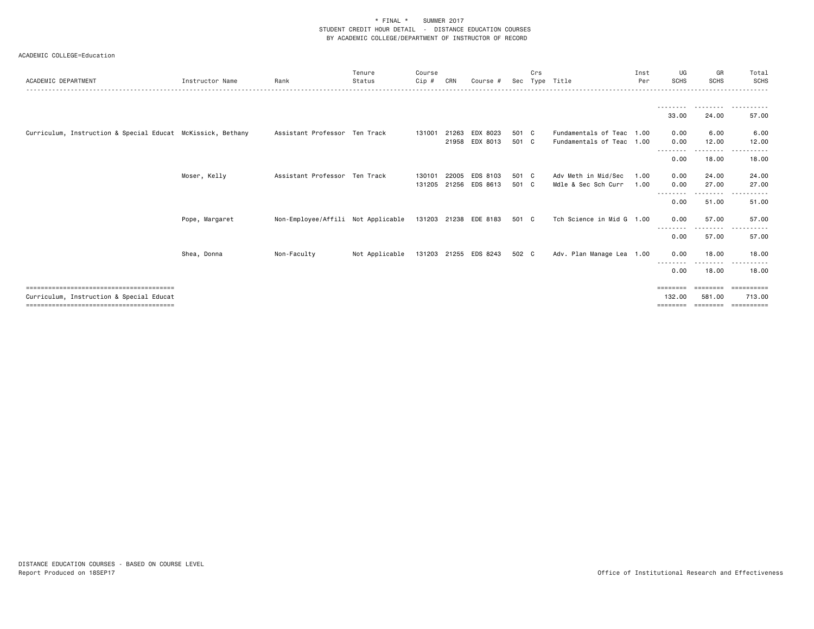| ACADEMIC DEPARTMENT                                         | Instructor Name | Rank                               | Tenure<br>Status | Course<br>Cip # | CRN   | Course #              | Sec   | Crs | Type Title                | Inst<br>Per | UG<br><b>SCHS</b> | GR<br><b>SCHS</b>                                                                                                                                                                        | Total<br>SCHS    |
|-------------------------------------------------------------|-----------------|------------------------------------|------------------|-----------------|-------|-----------------------|-------|-----|---------------------------|-------------|-------------------|------------------------------------------------------------------------------------------------------------------------------------------------------------------------------------------|------------------|
|                                                             |                 |                                    |                  |                 |       |                       |       |     |                           |             |                   |                                                                                                                                                                                          |                  |
|                                                             |                 |                                    |                  |                 |       |                       |       |     |                           |             | 33.00             | 24.00                                                                                                                                                                                    | 57.00            |
| Curriculum, Instruction & Special Educat McKissick, Bethany |                 | Assistant Professor Ten Track      |                  | 131001          |       | 21263 EDX 8023        | 501 C |     | Fundamentals of Teac      | 1.00        | 0.00              | 6.00                                                                                                                                                                                     | 6.00             |
|                                                             |                 |                                    |                  |                 |       | 21958 EDX 8013        | 501 C |     | Fundamentals of Teac 1.00 |             | 0.00<br><u>.</u>  | 12.00<br>$\frac{1}{2} \left( \frac{1}{2} \right) \left( \frac{1}{2} \right) \left( \frac{1}{2} \right) \left( \frac{1}{2} \right) \left( \frac{1}{2} \right) \left( \frac{1}{2} \right)$ | 12.00            |
|                                                             |                 |                                    |                  |                 |       |                       |       |     |                           |             | 0.00              | 18.00                                                                                                                                                                                    | 18.00            |
|                                                             | Moser, Kelly    | Assistant Professor Ten Track      |                  | 130101          | 22005 | EDS 8103              | 501 C |     | Adv Meth in Mid/Sec       | 1.00        | 0.00              | 24.00                                                                                                                                                                                    | 24.00            |
|                                                             |                 |                                    |                  | 131205          |       | 21256 EDS 8613        | 501 C |     | Mdle & Sec Sch Curr       | 1.00        | 0.00              | 27.00                                                                                                                                                                                    | 27.00            |
|                                                             |                 |                                    |                  |                 |       |                       |       |     |                           |             | <u>.</u><br>0.00  | .<br>51.00                                                                                                                                                                               | $- - -$<br>51.00 |
|                                                             | Pope, Margaret  | Non-Employee/Affili Not Applicable |                  |                 |       | 131203 21238 EDE 8183 | 501 C |     | Tch Science in Mid G 1.00 |             | 0.00              | 57.00                                                                                                                                                                                    | 57.00            |
|                                                             |                 |                                    |                  |                 |       |                       |       |     |                           |             | 0.00              | 57.00                                                                                                                                                                                    | 57.00            |
|                                                             | Shea, Donna     | Non-Faculty                        | Not Applicable   |                 |       | 131203 21255 EDS 8243 | 502 C |     | Adv. Plan Manage Lea 1.00 |             | 0.00              | 18.00                                                                                                                                                                                    | 18.00            |
|                                                             |                 |                                    |                  |                 |       |                       |       |     |                           |             | 0.00              | 18.00                                                                                                                                                                                    | 18.00            |
|                                                             |                 |                                    |                  |                 |       |                       |       |     |                           |             | ========          |                                                                                                                                                                                          |                  |
| Curriculum, Instruction & Special Educat                    |                 |                                    |                  |                 |       |                       |       |     |                           |             | 132,00            | 581.00                                                                                                                                                                                   | 713.00           |
|                                                             |                 |                                    |                  |                 |       |                       |       |     |                           |             | ========          | .<br>========                                                                                                                                                                            | .<br>==========  |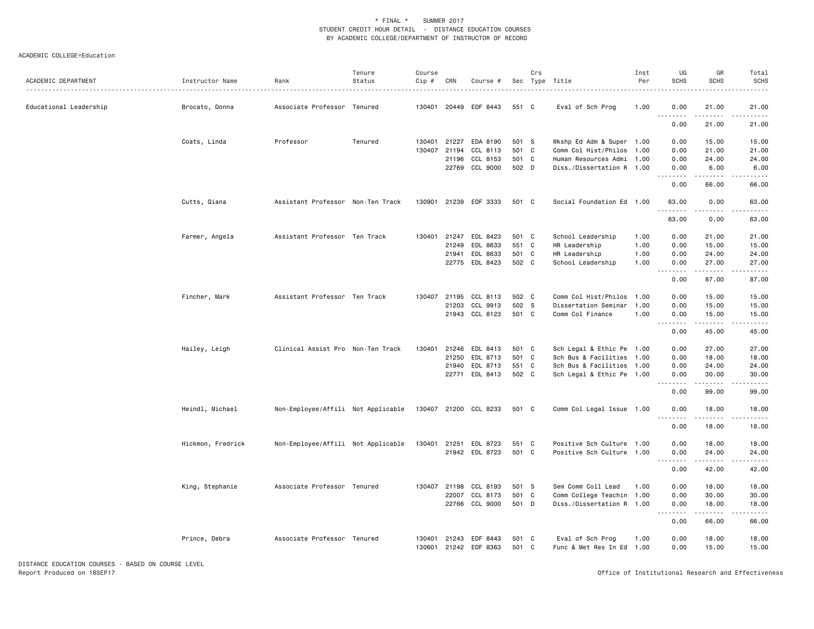#### ACADEMIC COLLEGE=Education

| ACADEMIC DEPARTMENT    | Instructor Name   | Rank                               | Tenure<br>Status | Course<br>Cip # | CRN   | Course #              |       | Crs          | Sec Type Title            | Inst<br>Per | UG<br><b>SCHS</b> | GR<br><b>SCHS</b>                                                                                                                                                                        | Total<br><b>SCHS</b>                                                                                                              |
|------------------------|-------------------|------------------------------------|------------------|-----------------|-------|-----------------------|-------|--------------|---------------------------|-------------|-------------------|------------------------------------------------------------------------------------------------------------------------------------------------------------------------------------------|-----------------------------------------------------------------------------------------------------------------------------------|
| Educational Leadership | Brocato, Donna    | Associate Professor Tenured        |                  | 130401          |       | 20449 EDF 8443        | 551 C |              | Eval of Sch Prog          | 1.00        | 0.00<br>.         | 21.00<br>.                                                                                                                                                                               | 21.00<br>.                                                                                                                        |
|                        |                   |                                    |                  |                 |       |                       |       |              |                           |             | 0.00              | 21.00                                                                                                                                                                                    | 21.00                                                                                                                             |
|                        | Coats, Linda      | Professor                          | Tenured          | 130401          | 21227 | EDA 8190              | 501 S |              | Wkshp Ed Adm & Super 1.00 |             | 0.00              | 15.00                                                                                                                                                                                    | 15.00                                                                                                                             |
|                        |                   |                                    |                  | 130407          | 21194 | CCL 8113              | 501   | $\mathbf{C}$ | Comm Col Hist/Philos      | 1.00        | 0.00              | 21.00                                                                                                                                                                                    | 21.00                                                                                                                             |
|                        |                   |                                    |                  |                 | 21196 | CCL 8153              | 501 C |              | Human Resources Admi 1.00 |             | 0.00              | 24.00                                                                                                                                                                                    | 24.00                                                                                                                             |
|                        |                   |                                    |                  |                 |       | 22769 CCL 9000        | 502 D |              | Diss./Dissertation R 1.00 |             | 0.00<br><u>.</u>  | 6.00<br>.                                                                                                                                                                                | 6.00<br>$\frac{1}{2} \left( \frac{1}{2} \right) \left( \frac{1}{2} \right) \left( \frac{1}{2} \right) \left( \frac{1}{2} \right)$ |
|                        |                   |                                    |                  |                 |       |                       |       |              |                           |             | 0.00              | 66.00                                                                                                                                                                                    | 66.00                                                                                                                             |
|                        | Cutts, Qiana      | Assistant Professor Non-Ten Track  |                  | 130901          |       | 21239 EDF 3333        | 501 C |              | Social Foundation Ed      | 1.00        | 63.00             | 0.00                                                                                                                                                                                     | 63.00                                                                                                                             |
|                        |                   |                                    |                  |                 |       |                       |       |              |                           |             | .<br>63.00        | $\sim$ $\sim$ $\sim$<br>0.00                                                                                                                                                             | 63.00                                                                                                                             |
|                        | Farmer, Angela    | Assistant Professor Ten Track      |                  | 130401          | 21247 | EDL 8423              | 501 C |              | School Leadership         | 1.00        | 0.00              | 21.00                                                                                                                                                                                    | 21.00                                                                                                                             |
|                        |                   |                                    |                  |                 | 21249 | EDL 8633              | 551 C |              | HR Leadership             | 1.00        | 0.00              | 15.00                                                                                                                                                                                    | 15.00                                                                                                                             |
|                        |                   |                                    |                  |                 | 21941 | EDL 8633              | 501 C |              | HR Leadership             | 1.00        | 0.00              | 24.00                                                                                                                                                                                    | 24.00                                                                                                                             |
|                        |                   |                                    |                  |                 |       | 22775 EDL 8423        | 502 C |              | School Leadership         | 1.00        | 0.00<br>.         | 27.00<br>$\frac{1}{2}$                                                                                                                                                                   | 27.00<br>.                                                                                                                        |
|                        |                   |                                    |                  |                 |       |                       |       |              |                           |             | 0.00              | 87.00                                                                                                                                                                                    | 87.00                                                                                                                             |
|                        | Fincher, Mark     | Assistant Professor Ten Track      |                  |                 |       | 130407 21195 CCL 8113 | 502 C |              | Comm Col Hist/Philos      | 1.00        | 0.00              | 15.00                                                                                                                                                                                    | 15.00                                                                                                                             |
|                        |                   |                                    |                  |                 | 21203 | CCL 9913              | 502 S |              | Dissertation Seminar      | 1.00        | 0.00              | 15.00                                                                                                                                                                                    | 15.00                                                                                                                             |
|                        |                   |                                    |                  |                 |       | 21943 CCL 8123        | 501 C |              | Comm Col Finance          | 1.00        | 0.00<br>.         | 15.00<br>$\frac{1}{2} \left( \frac{1}{2} \right) \left( \frac{1}{2} \right) \left( \frac{1}{2} \right) \left( \frac{1}{2} \right) \left( \frac{1}{2} \right) \left( \frac{1}{2} \right)$ | 15.00<br>.                                                                                                                        |
|                        |                   |                                    |                  |                 |       |                       |       |              |                           |             | 0.00              | 45.00                                                                                                                                                                                    | 45.00                                                                                                                             |
|                        | Hailey, Leigh     | Clinical Assist Pro Non-Ten Track  |                  | 130401          | 21246 | EDL 8413              | 501 C |              | Sch Legal & Ethic Pe 1.00 |             | 0.00              | 27.00                                                                                                                                                                                    | 27.00                                                                                                                             |
|                        |                   |                                    |                  |                 | 21250 | EDL 8713              | 501 C |              | Sch Bus & Facilities      | 1.00        | 0.00              | 18.00                                                                                                                                                                                    | 18.00                                                                                                                             |
|                        |                   |                                    |                  |                 | 21940 | EDL 8713              | 551 C |              | Sch Bus & Facilities      | 1.00        | 0.00              | 24.00                                                                                                                                                                                    | 24.00                                                                                                                             |
|                        |                   |                                    |                  |                 |       | 22771 EDL 8413        | 502 C |              | Sch Legal & Ethic Pe 1.00 |             | 0.00              | 30.00<br>.                                                                                                                                                                               | 30.00<br>د د د د                                                                                                                  |
|                        |                   |                                    |                  |                 |       |                       |       |              |                           |             | 0.00              | 99.00                                                                                                                                                                                    | 99.00                                                                                                                             |
|                        | Heindl, Michael   | Non-Employee/Affili Not Applicable |                  |                 |       | 130407 21200 CCL 8233 | 501 C |              | Comm Col Legal Issue 1.00 |             | 0.00<br>.         | 18.00<br>.                                                                                                                                                                               | 18.00<br>.                                                                                                                        |
|                        |                   |                                    |                  |                 |       |                       |       |              |                           |             | 0.00              | 18.00                                                                                                                                                                                    | 18.00                                                                                                                             |
|                        | Hickmon, Fredrick | Non-Employee/Affili Not Applicable |                  | 130401          | 21251 | EDL 8723              | 551 C |              | Positive Sch Culture      | 1.00        | 0.00              | 18.00                                                                                                                                                                                    | 18.00                                                                                                                             |
|                        |                   |                                    |                  |                 |       | 21942 EDL 8723        | 501 C |              | Positive Sch Culture 1.00 |             | 0.00              | 24.00                                                                                                                                                                                    | 24.00                                                                                                                             |
|                        |                   |                                    |                  |                 |       |                       |       |              |                           |             | .                 | <u>.</u>                                                                                                                                                                                 | .                                                                                                                                 |
|                        |                   |                                    |                  |                 |       |                       |       |              |                           |             | 0.00              | 42.00                                                                                                                                                                                    | 42.00                                                                                                                             |
|                        | King, Stephanie   | Associate Professor Tenured        |                  | 130407          | 21198 | CCL 8193              | 501 S |              | Sem Comm Coll Lead        | 1.00        | 0.00              | 18.00                                                                                                                                                                                    | 18.00                                                                                                                             |
|                        |                   |                                    |                  |                 | 22007 | CCL 8173              | 501 C |              | Comm College Teachin      | 1.00        | 0.00              | 30.00                                                                                                                                                                                    | 30.00                                                                                                                             |
|                        |                   |                                    |                  |                 |       | 22766 CCL 9000        | 501 D |              | Diss./Dissertation R 1.00 |             | 0.00<br>.         | 18.00<br>$- - - - -$                                                                                                                                                                     | 18.00<br>.                                                                                                                        |
|                        |                   |                                    |                  |                 |       |                       |       |              |                           |             | 0.00              | 66.00                                                                                                                                                                                    | 66.00                                                                                                                             |
|                        | Prince, Debra     | Associate Professor Tenured        |                  | 130401          |       | 21243 EDF 8443        | 501 C |              | Eval of Sch Prog          | 1.00        | 0.00              | 18.00                                                                                                                                                                                    | 18.00                                                                                                                             |
|                        |                   |                                    |                  | 130601          |       | 21242 EDF 8363        | 501 C |              | Func & Met Res In Ed      | 1.00        | 0.00              | 15.00                                                                                                                                                                                    | 15.00                                                                                                                             |

DISTANCE EDUCATION COURSES - BASED ON COURSE LEVEL Report Produced on 18SEP17 Office of Institutional Research and Effectiveness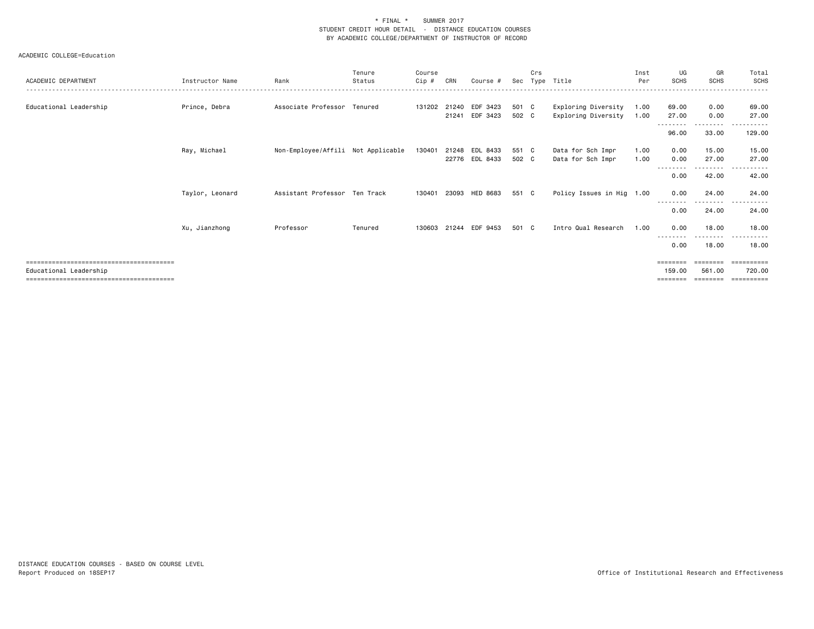| ACADEMIC DEPARTMENT    | Instructor Name | Rank                               | Tenure<br>Status | Course<br>Cip # | CRN   | Course #       | Sec   | Crs | Type Title                | Inst<br>Per | UG<br><b>SCHS</b>              | GR<br>SCHS                     | Total<br>SCHS                       |
|------------------------|-----------------|------------------------------------|------------------|-----------------|-------|----------------|-------|-----|---------------------------|-------------|--------------------------------|--------------------------------|-------------------------------------|
| Educational Leadership | Prince, Debra   | Associate Professor Tenured        |                  | 131202          | 21240 | EDF 3423       | 501 C |     | Exploring Diversity       | 1.00        | 69.00                          | 0.00                           | 69.00                               |
|                        |                 |                                    |                  |                 | 21241 | EDF 3423       | 502 C |     | Exploring Diversity       | 1.00        | 27.00<br>.<br>96.00            | 0.00<br>-----<br>33.00         | 27.00<br>.<br>129,00                |
|                        | Ray, Michael    | Non-Employee/Affili Not Applicable |                  | 130401          | 21248 | EDL 8433       | 551 C |     | Data for Sch Impr         | 1.00        | 0.00                           | 15.00                          | 15.00                               |
|                        |                 |                                    |                  |                 |       | 22776 EDL 8433 | 502 C |     | Data for Sch Impr         | 1.00        | 0.00<br>0.00                   | 27.00<br>42.00                 | 27.00<br>42.00                      |
|                        | Taylor, Leonard | Assistant Professor Ten Track      |                  | 130401          |       | 23093 HED 8683 | 551 C |     | Policy Issues in Hig 1.00 |             | 0.00                           | 24.00                          | 24.00                               |
|                        |                 |                                    |                  |                 |       |                |       |     |                           |             | 0.00                           | 24.00                          | 24.00                               |
|                        | Xu, Jianzhong   | Professor                          | Tenured          | 130603          |       | 21244 EDF 9453 | 501 C |     | Intro Qual Research       | 1.00        | 0.00                           | 18,00<br>.                     | 18.00                               |
|                        |                 |                                    |                  |                 |       |                |       |     |                           |             | 0.00                           | 18.00                          | 18.00                               |
| Educational Leadership |                 |                                    |                  |                 |       |                |       |     |                           |             | ========<br>159,00<br>======== | ========<br>561.00<br>======== | -----------<br>720.00<br>========== |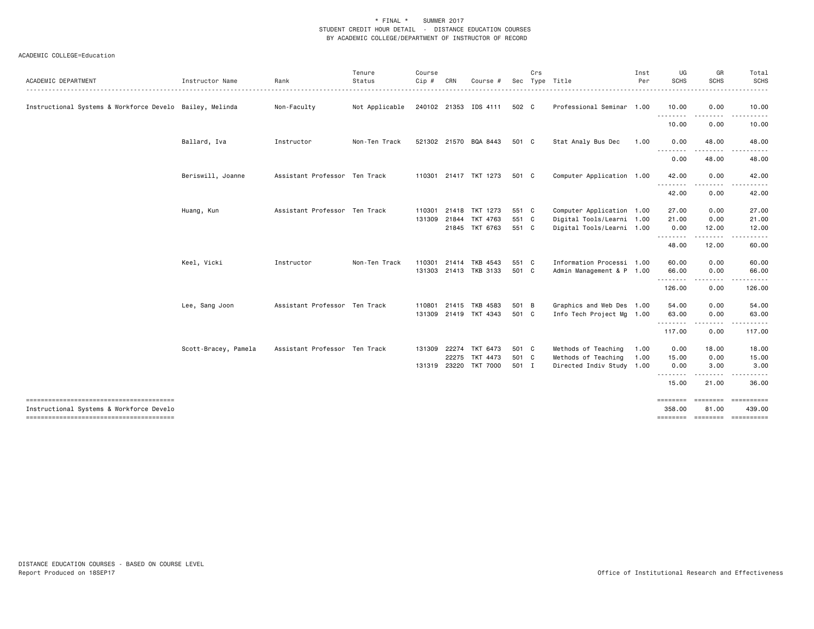|                                                          |                      |                               | Tenure         | Course |       |                       |       | Crs |                           | Inst | UG                 | GR                                                                                                                                                                                       | Total                          |
|----------------------------------------------------------|----------------------|-------------------------------|----------------|--------|-------|-----------------------|-------|-----|---------------------------|------|--------------------|------------------------------------------------------------------------------------------------------------------------------------------------------------------------------------------|--------------------------------|
| ACADEMIC DEPARTMENT                                      | Instructor Name      | Rank                          | Status         | Cip #  | CRN   | Course #              |       |     | Sec Type Title            | Per  | <b>SCHS</b>        | <b>SCHS</b>                                                                                                                                                                              | <b>SCHS</b>                    |
| Instructional Systems & Workforce Develo Bailey, Melinda |                      | Non-Faculty                   | Not Applicable |        |       | 240102 21353 IDS 4111 | 502 C |     | Professional Seminar 1.00 |      | 10.00              | 0.00                                                                                                                                                                                     | 10.00                          |
|                                                          |                      |                               |                |        |       |                       |       |     |                           |      | .<br>10.00         | .<br>$\sim$ $\sim$ $\sim$<br>0.00                                                                                                                                                        | 10.00                          |
|                                                          | Ballard, Iva         | Instructor                    | Non-Ten Track  |        |       | 521302 21570 BQA 8443 | 501 C |     | Stat Analy Bus Dec        | 1.00 | 0.00<br><u>.</u>   | 48.00                                                                                                                                                                                    | 48.00                          |
|                                                          |                      |                               |                |        |       |                       |       |     |                           |      | 0.00               | 48.00                                                                                                                                                                                    | 48.00                          |
|                                                          | Beriswill, Joanne    | Assistant Professor Ten Track |                |        |       | 110301 21417 TKT 1273 | 501 C |     | Computer Application 1.00 |      | 42.00              | 0.00                                                                                                                                                                                     | 42.00                          |
|                                                          |                      |                               |                |        |       |                       |       |     |                           |      | 42.00              | 0.00                                                                                                                                                                                     | 42.00                          |
|                                                          | Huang, Kun           | Assistant Professor Ten Track |                | 110301 |       | 21418 TKT 1273        | 551 C |     | Computer Application 1.00 |      | 27.00              | 0.00                                                                                                                                                                                     | 27.00                          |
|                                                          |                      |                               |                |        |       | 131309 21844 TKT 4763 | 551 C |     | Digital Tools/Learni 1.00 |      | 21.00              | 0.00                                                                                                                                                                                     | 21.00                          |
|                                                          |                      |                               |                |        |       | 21845 TKT 6763        | 551 C |     | Digital Tools/Learni 1.00 |      | 0.00<br><u>.</u>   | 12.00<br>$\frac{1}{2} \left( \frac{1}{2} \right) \left( \frac{1}{2} \right) \left( \frac{1}{2} \right) \left( \frac{1}{2} \right) \left( \frac{1}{2} \right) \left( \frac{1}{2} \right)$ | 12.00<br>.                     |
|                                                          |                      |                               |                |        |       |                       |       |     |                           |      | 48.00              | 12.00                                                                                                                                                                                    | 60.00                          |
|                                                          | Keel, Vicki          | Instructor                    | Non-Ten Track  | 110301 |       | 21414 TKB 4543        | 551 C |     | Information Processi 1.00 |      | 60.00              | 0.00                                                                                                                                                                                     | 60.00                          |
|                                                          |                      |                               |                |        |       | 131303 21413 TKB 3133 | 501 C |     | Admin Management & P 1.00 |      | 66.00<br>.         | 0.00<br>$  -$                                                                                                                                                                            | 66.00<br>.                     |
|                                                          |                      |                               |                |        |       |                       |       |     |                           |      | 126.00             | 0.00                                                                                                                                                                                     | 126.00                         |
|                                                          | Lee, Sang Joon       | Assistant Professor Ten Track |                | 110801 | 21415 | TKB 4583              | 501 B |     | Graphics and Web Des 1.00 |      | 54.00              | 0.00                                                                                                                                                                                     | 54.00                          |
|                                                          |                      |                               |                |        |       | 131309 21419 TKT 4343 | 501 C |     | Info Tech Project Mg 1.00 |      | 63.00<br>.         | 0.00                                                                                                                                                                                     | 63.00                          |
|                                                          |                      |                               |                |        |       |                       |       |     |                           |      | 117.00             | 0.00                                                                                                                                                                                     | 117.00                         |
|                                                          | Scott-Bracey, Pamela | Assistant Professor Ten Track |                | 131309 | 22274 | TKT 6473              | 501 C |     | Methods of Teaching       | 1.00 | 0.00               | 18.00                                                                                                                                                                                    | 18.00                          |
|                                                          |                      |                               |                |        | 22275 | TKT 4473              | 501 C |     | Methods of Teaching       | 1.00 | 15.00              | 0.00                                                                                                                                                                                     | 15.00                          |
|                                                          |                      |                               |                | 131319 |       | 23220 TKT 7000        | 501 I |     | Directed Indiv Study 1.00 |      | 0.00               | 3.00                                                                                                                                                                                     | 3.00                           |
|                                                          |                      |                               |                |        |       |                       |       |     |                           |      | 15.00              | 21.00                                                                                                                                                                                    | 36.00                          |
| Instructional Systems & Workforce Develo                 |                      |                               |                |        |       |                       |       |     |                           |      | ========<br>358.00 | eeeeeee<br>81.00                                                                                                                                                                         | ==========<br>439.00           |
|                                                          |                      |                               |                |        |       |                       |       |     |                           |      |                    |                                                                                                                                                                                          | ============================== |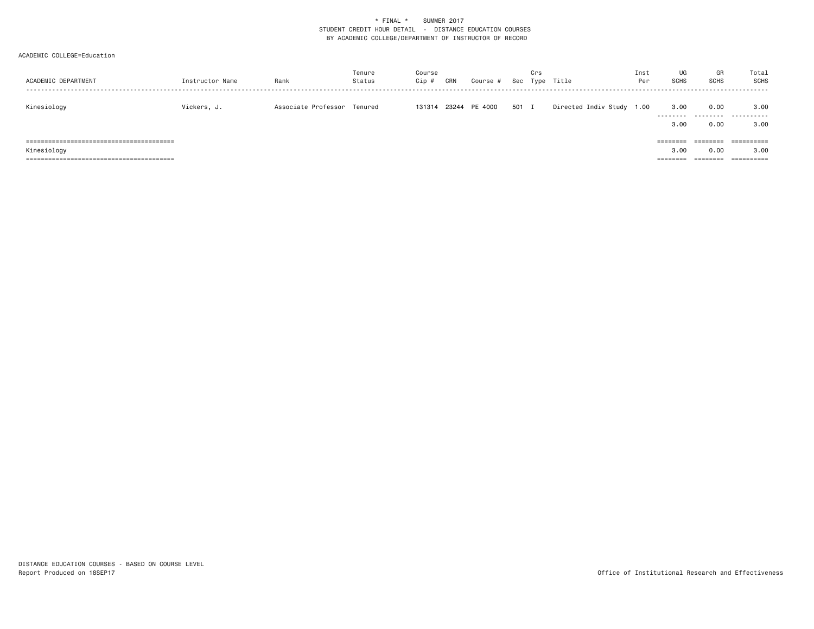| ACADEMIC DEPARTMENT | Instructor Name | Rank                        | Tenure<br>Status | Course<br>Cip # | CRN | Course #      | Sec   | Crs | Type Title                | Inst<br>Per | UG<br><b>SCHS</b>                        | GR<br>SCHS                   | Total<br>SCHS                               |
|---------------------|-----------------|-----------------------------|------------------|-----------------|-----|---------------|-------|-----|---------------------------|-------------|------------------------------------------|------------------------------|---------------------------------------------|
| Kinesiology         | Vickers, J.     | Associate Professor Tenured |                  | 131314          |     | 23244 PE 4000 | 501 I |     | Directed Indiv Study 1.00 |             | 3.00<br>3.00                             | 0.00<br>0.00                 | <br>3,00<br><br>3,00                        |
| Kinesiology         |                 |                             |                  |                 |     |               |       |     |                           |             | ========<br>3.00<br>--------<br>======== | ========<br>0.00<br>======== | $=$ = = = = = = = = =<br>3.00<br>========== |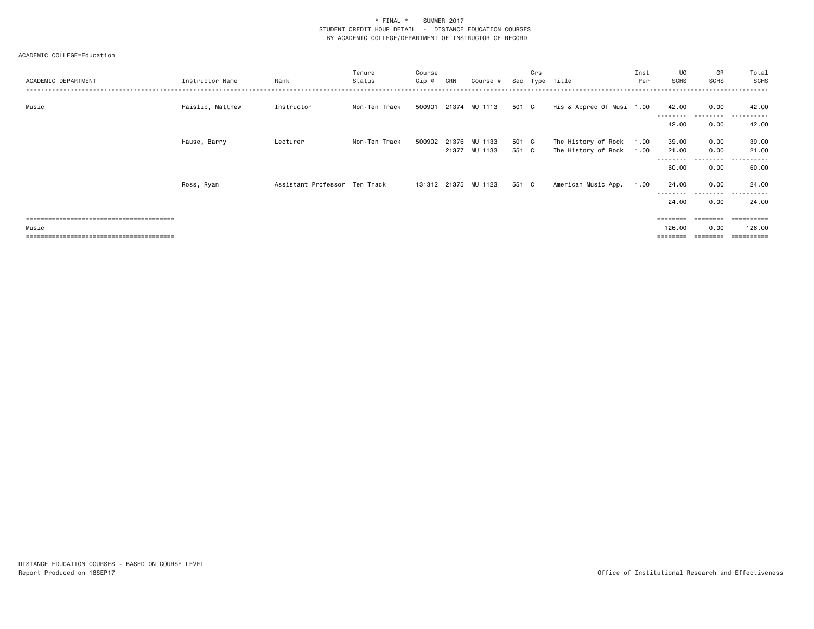| ACADEMIC DEPARTMENT                   | Instructor Name  | Rank                          | Tenure<br>Status | Course<br>Cip # | CRN | Course #             |       | Crs | Sec Type Title            | Inst<br>Per | UG<br>SCHS         | GR<br><b>SCHS</b>         | Total<br><b>SCHS</b>    |
|---------------------------------------|------------------|-------------------------------|------------------|-----------------|-----|----------------------|-------|-----|---------------------------|-------------|--------------------|---------------------------|-------------------------|
| Music                                 | Haislip, Matthew | Instructor                    | Non-Ten Track    |                 |     | 500901 21374 MU 1113 | 501 C |     | His & Apprec Of Musi 1.00 |             | 42.00<br>--------- | 0.00<br>---------         | 42.00<br>------<br>$ -$ |
|                                       |                  |                               |                  |                 |     |                      |       |     |                           |             | 42.00              | 0.00                      | 42.00                   |
|                                       | Hause, Barry     | Lecturer                      | Non-Ten Track    | 500902          |     | 21376 MU 1133        | 501 C |     | The History of Rock       | 1.00        | 39.00              | 0.00                      | 39.00                   |
|                                       |                  |                               |                  |                 |     | 21377 MU 1133        | 551 C |     | The History of Rock       | 1.00        | 21.00<br>--------  | 0.00<br>- - - - - - - - - | 21.00<br>.<br>.         |
|                                       |                  |                               |                  |                 |     |                      |       |     |                           |             | 60.00              | 0.00                      | 60.00                   |
|                                       | Ross, Ryan       | Assistant Professor Ten Track |                  |                 |     | 131312 21375 MU 1123 | 551 C |     | American Music App.       | 1.00        | 24.00              | 0.00                      | 24.00                   |
|                                       |                  |                               |                  |                 |     |                      |       |     |                           |             | 24.00              | .<br>0.00                 | $- - -$<br>24.00        |
|                                       |                  |                               |                  |                 |     |                      |       |     |                           |             |                    |                           | ==========              |
| Music                                 |                  |                               |                  |                 |     |                      |       |     |                           |             | 126,00             | 0.00                      | 126.00                  |
| ;==================================== |                  |                               |                  |                 |     |                      |       |     |                           |             |                    |                           |                         |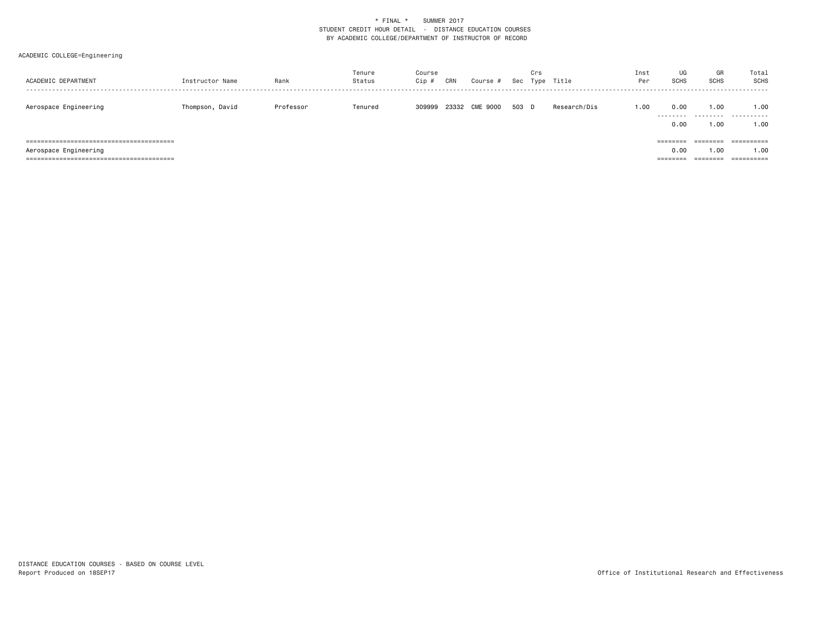| ACADEMIC DEPARTMENT   | Instructor Name | Rank      | Tenure<br>Status | Course<br>Cip # | CRN   | Course # | Sec   | Crs | Type Title   | Inst<br>Per | UG<br><b>SCHS</b>            | GR<br><b>SCHS</b>                                                                                       | Total<br>SCHS                    |
|-----------------------|-----------------|-----------|------------------|-----------------|-------|----------|-------|-----|--------------|-------------|------------------------------|---------------------------------------------------------------------------------------------------------|----------------------------------|
| Aerospace Engineering | Thompson, David | Professor | Tenured          | 309999          | 23332 | CME 9000 | 503 D |     | Research/Dis | 1.00        | 0.00<br>.<br>0.00            | .00<br>.<br>$\overline{0}$ .                                                                            | 1.00<br>.<br>1.00                |
| Aerospace Engineering |                 |           |                  |                 |       |          |       |     |              |             | ========<br>0.00<br>======== | ========<br>$\overline{0}$ .<br>$\qquad \qquad \equiv \equiv \equiv \equiv \equiv \equiv \equiv \equiv$ | ==========<br>1.00<br>========== |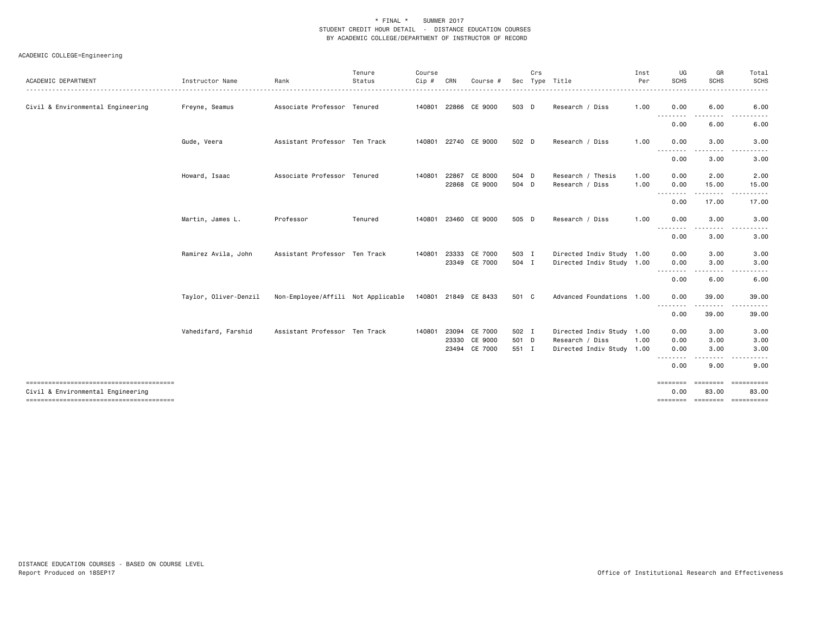| 6.00<br>6.00                                                                                                                                                                                                                                                                                                                                                                                                                                                                           |
|----------------------------------------------------------------------------------------------------------------------------------------------------------------------------------------------------------------------------------------------------------------------------------------------------------------------------------------------------------------------------------------------------------------------------------------------------------------------------------------|
| 6.00<br>6.00                                                                                                                                                                                                                                                                                                                                                                                                                                                                           |
|                                                                                                                                                                                                                                                                                                                                                                                                                                                                                        |
| 3.00<br>3.00                                                                                                                                                                                                                                                                                                                                                                                                                                                                           |
| 3.00<br>3.00                                                                                                                                                                                                                                                                                                                                                                                                                                                                           |
| 2.00                                                                                                                                                                                                                                                                                                                                                                                                                                                                                   |
| 15.00                                                                                                                                                                                                                                                                                                                                                                                                                                                                                  |
| 17.00                                                                                                                                                                                                                                                                                                                                                                                                                                                                                  |
| 3.00                                                                                                                                                                                                                                                                                                                                                                                                                                                                                   |
| 3.00                                                                                                                                                                                                                                                                                                                                                                                                                                                                                   |
| 3.00                                                                                                                                                                                                                                                                                                                                                                                                                                                                                   |
| 3.00                                                                                                                                                                                                                                                                                                                                                                                                                                                                                   |
| 6.00                                                                                                                                                                                                                                                                                                                                                                                                                                                                                   |
| 39.00                                                                                                                                                                                                                                                                                                                                                                                                                                                                                  |
| 39.00                                                                                                                                                                                                                                                                                                                                                                                                                                                                                  |
| 3.00                                                                                                                                                                                                                                                                                                                                                                                                                                                                                   |
| 3.00                                                                                                                                                                                                                                                                                                                                                                                                                                                                                   |
| 3.00                                                                                                                                                                                                                                                                                                                                                                                                                                                                                   |
| 9.00                                                                                                                                                                                                                                                                                                                                                                                                                                                                                   |
| $\begin{array}{cccccccccc} \multicolumn{3}{c}{} & \multicolumn{3}{c}{} & \multicolumn{3}{c}{} & \multicolumn{3}{c}{} & \multicolumn{3}{c}{} & \multicolumn{3}{c}{} & \multicolumn{3}{c}{} & \multicolumn{3}{c}{} & \multicolumn{3}{c}{} & \multicolumn{3}{c}{} & \multicolumn{3}{c}{} & \multicolumn{3}{c}{} & \multicolumn{3}{c}{} & \multicolumn{3}{c}{} & \multicolumn{3}{c}{} & \multicolumn{3}{c}{} & \multicolumn{3}{c}{} & \multicolumn{3}{c}{} & \multicolumn{3}{c}{} & \mult$ |
| 83.00<br>==============================                                                                                                                                                                                                                                                                                                                                                                                                                                                |
| 2.00<br>15.00<br>.<br>17.00<br>3.00<br>3.00<br>3.00<br>3.00<br>6.00<br>39.00<br>. <u>.</u> .<br>39.00<br>3.00<br>3.00<br>3.00<br>9.00<br>========<br>83.00                                                                                                                                                                                                                                                                                                                             |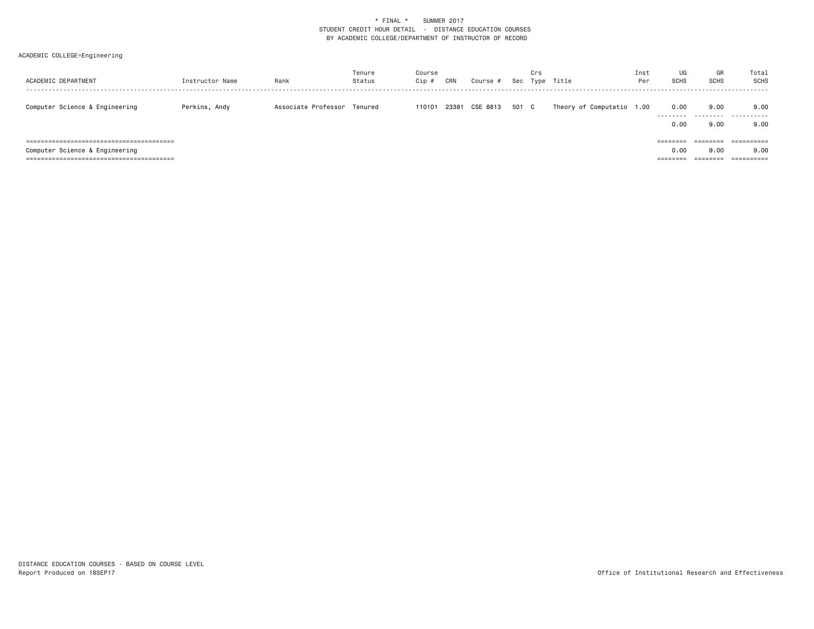| ACADEMIC DEPARTMENT            | Instructor Name | Rank                        | Tenure<br>Status | Course<br>Cip # | CRN   | Course # |       | Crs | Sec Type Title            | Inst<br>Per | UG<br><b>SCHS</b>            | GR<br>SCHS                  | Total<br><b>SCHS</b>             |
|--------------------------------|-----------------|-----------------------------|------------------|-----------------|-------|----------|-------|-----|---------------------------|-------------|------------------------------|-----------------------------|----------------------------------|
| Computer Science & Engineering | Perkins, Andy   | Associate Professor Tenured |                  | 110101          | 23381 | CSE 8813 | 501 C |     | Theory of Computatio 1.00 |             | 0.00<br>---------<br>0.00    | 9.00<br>.<br>9.00           | 9.00<br>.<br>9.00                |
| Computer Science & Engineering |                 |                             |                  |                 |       |          |       |     |                           |             | ========<br>0.00<br>======== | eeeeeee<br>9.00<br>======== | ==========<br>9.00<br>========== |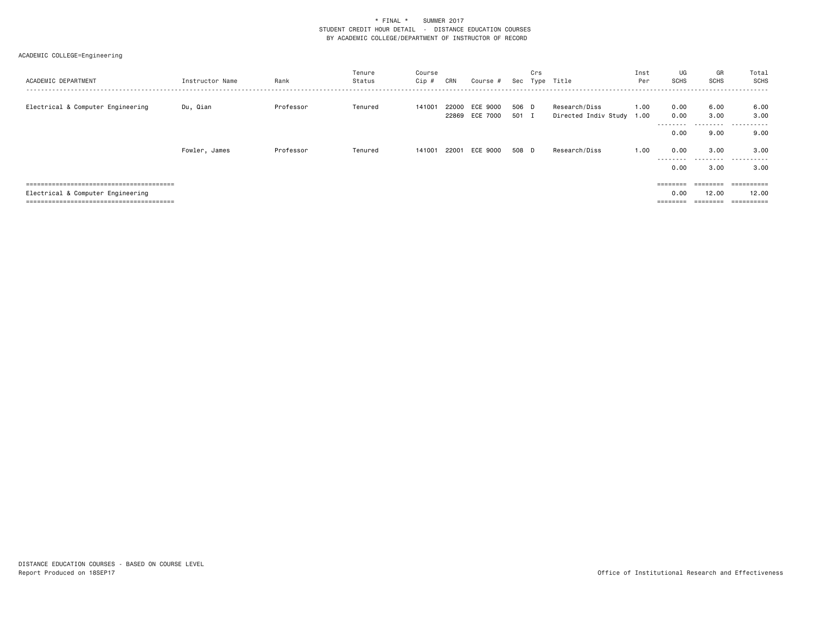| ACADEMIC DEPARTMENT               | Instructor Name | Rank      | Tenure<br>Status | Course<br>Cip # | CRN   | Course #                   | Sec            | Crs | Type Title                                 | Inst<br>Per | UG<br><b>SCHS</b> | GR<br><b>SCHS</b> | Total<br>SCHS             |
|-----------------------------------|-----------------|-----------|------------------|-----------------|-------|----------------------------|----------------|-----|--------------------------------------------|-------------|-------------------|-------------------|---------------------------|
| Electrical & Computer Engineering | Du, Qian        | Professor | Tenured          | 141001          | 22000 | ECE 9000<br>22869 ECE 7000 | 506 D<br>501 I |     | Research/Diss<br>Directed Indiv Study 1.00 | 1.00        | 0.00<br>0.00      | 6.00<br>3.00      | 6.00<br>3.00              |
|                                   |                 |           |                  |                 |       |                            |                |     |                                            |             | ---------<br>0.00 | ---------<br>9.00 | . <u>.</u> .<br>.<br>9.00 |
|                                   | Fowler, James   | Professor | Tenured          | 141001          | 22001 | ECE 9000                   | 508 D          |     | Research/Diss                              | 1.00        | 0.00              | 3.00<br>.         | 3.00                      |
|                                   |                 |           |                  |                 |       |                            |                |     |                                            |             | ---------<br>0.00 | 3.00              | .<br>3.00                 |
|                                   |                 |           |                  |                 |       |                            |                |     |                                            |             | ========          | ========          | ==========                |
| Electrical & Computer Engineering |                 |           |                  |                 |       |                            |                |     |                                            |             | 0.00<br>========  | 12.00<br>======== | 12.00<br>==========       |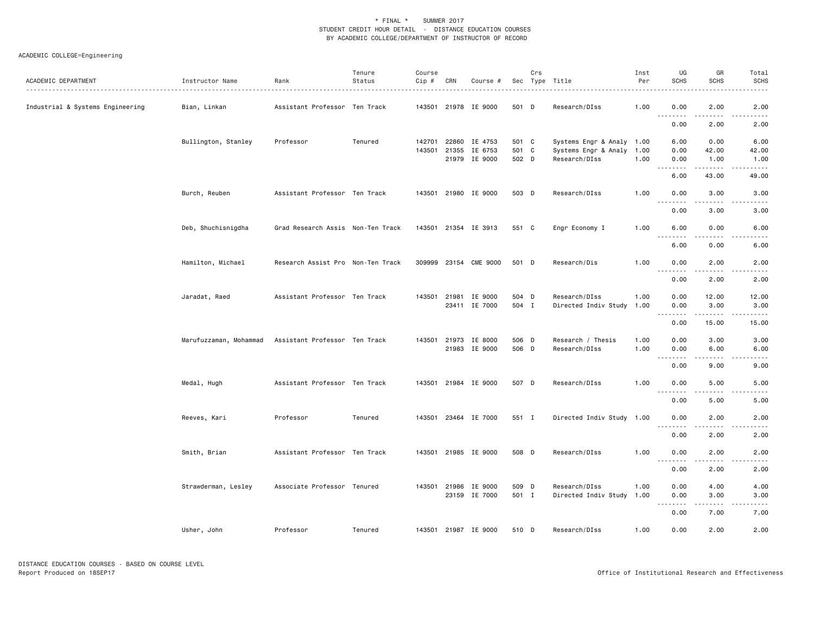| ACADEMIC DEPARTMENT              | Instructor Name        | Rank                              | Tenure<br>Status | Course<br>Cip #  | CRN            | Course #                 |                | Crs | Sec Type Title                                    | Inst<br>Per  | UG<br><b>SCHS</b>   | GR<br>SCHS                                                                                                                        | Total<br><b>SCHS</b>                                                                                                              |
|----------------------------------|------------------------|-----------------------------------|------------------|------------------|----------------|--------------------------|----------------|-----|---------------------------------------------------|--------------|---------------------|-----------------------------------------------------------------------------------------------------------------------------------|-----------------------------------------------------------------------------------------------------------------------------------|
| Industrial & Systems Engineering | Bian, Linkan           | Assistant Professor Ten Track     |                  |                  |                | 143501 21978 IE 9000     | 501 D          |     | Research/DIss                                     | 1.00         | 0.00<br>.           | 2.00<br>.                                                                                                                         | 2.00<br>$\frac{1}{2} \left( \frac{1}{2} \right) \left( \frac{1}{2} \right) \left( \frac{1}{2} \right) \left( \frac{1}{2} \right)$ |
|                                  |                        |                                   |                  |                  |                |                          |                |     |                                                   |              | 0.00                | 2.00                                                                                                                              | 2.00                                                                                                                              |
|                                  | Bullington, Stanley    | Professor                         | Tenured          | 142701<br>143501 | 22860<br>21355 | IE 4753<br>IE 6753       | 501 C<br>501 C |     | Systems Engr & Analy 1.00<br>Systems Engr & Analy | 1.00         | 6.00<br>0.00        | 0.00<br>42.00                                                                                                                     | 6.00<br>42.00                                                                                                                     |
|                                  |                        |                                   |                  |                  |                | 21979 IE 9000            | 502 D          |     | Research/DIss                                     | 1.00         | 0.00<br>.           | 1.00<br>.                                                                                                                         | 1.00<br>$\frac{1}{2} \left( \frac{1}{2} \right) \left( \frac{1}{2} \right) \left( \frac{1}{2} \right) \left( \frac{1}{2} \right)$ |
|                                  |                        |                                   |                  |                  |                |                          |                |     |                                                   |              | 6.00                | 43.00                                                                                                                             | 49.00                                                                                                                             |
|                                  | Burch, Reuben          | Assistant Professor Ten Track     |                  |                  |                | 143501 21980 IE 9000     | 503 D          |     | Research/DIss                                     | 1.00         | 0.00<br>.           | 3.00                                                                                                                              | 3.00                                                                                                                              |
|                                  |                        |                                   |                  |                  |                |                          |                |     |                                                   |              | 0.00                | 3.00                                                                                                                              | 3.00                                                                                                                              |
|                                  | Deb, Shuchisnigdha     | Grad Research Assis Non-Ten Track |                  |                  |                | 143501 21354 IE 3913     | 551 C          |     | Engr Economy I                                    | 1.00         | 6.00<br>.           | 0.00<br>$\frac{1}{2}$                                                                                                             | 6.00<br>.                                                                                                                         |
|                                  |                        |                                   |                  |                  |                |                          |                |     |                                                   |              | 6.00                | 0.00                                                                                                                              | 6.00                                                                                                                              |
|                                  | Hamilton, Michael      | Research Assist Pro Non-Ten Track |                  |                  |                | 309999 23154 CME 9000    | 501 D          |     | Research/Dis                                      | 1.00         | 0.00                | 2.00                                                                                                                              | 2.00                                                                                                                              |
|                                  |                        |                                   |                  |                  |                |                          |                |     |                                                   |              | .<br>0.00           | $\frac{1}{2} \left( \frac{1}{2} \right) \left( \frac{1}{2} \right) \left( \frac{1}{2} \right)$<br>2.00                            | 2.00                                                                                                                              |
|                                  | Jaradat, Raed          | Assistant Professor Ten Track     |                  | 143501           | 21981          | IE 9000<br>23411 IE 7000 | 504 D<br>504 I |     | Research/DIss<br>Directed Indiv Study             | 1.00<br>1.00 | 0.00<br>0.00        | 12.00<br>3.00                                                                                                                     | 12.00<br>3.00                                                                                                                     |
|                                  |                        |                                   |                  |                  |                |                          |                |     |                                                   |              | .<br>0.00           | $- - - -$<br>15.00                                                                                                                | .<br>15.00                                                                                                                        |
|                                  | Marufuzzaman, Mohammad | Assistant Professor Ten Track     |                  |                  |                | 143501 21973 IE 8000     | 506 D          |     | Research / Thesis                                 | 1.00         | 0.00                | 3.00                                                                                                                              | 3.00                                                                                                                              |
|                                  |                        |                                   |                  |                  |                | 21983 IE 9000            | 506 D          |     | Research/DIss                                     | 1.00         | 0.00<br>.           | 6.00<br>$\frac{1}{2} \left( \frac{1}{2} \right) \left( \frac{1}{2} \right) \left( \frac{1}{2} \right) \left( \frac{1}{2} \right)$ | 6.00                                                                                                                              |
|                                  |                        |                                   |                  |                  |                |                          |                |     |                                                   |              | 0.00                | 9.00                                                                                                                              | 9.00                                                                                                                              |
|                                  | Medal, Hugh            | Assistant Professor Ten Track     |                  |                  |                | 143501 21984 IE 9000     | 507 D          |     | Research/DIss                                     | 1.00         | 0.00                | 5.00                                                                                                                              | 5.00                                                                                                                              |
|                                  |                        |                                   |                  |                  |                |                          |                |     |                                                   |              | 0.00                | 5.00                                                                                                                              | 5.00                                                                                                                              |
|                                  | Reeves, Kari           | Professor                         | Tenured          |                  |                | 143501 23464 IE 7000     | 551 I          |     | Directed Indiv Study 1.00                         |              | 0.00                | 2.00                                                                                                                              | 2.00                                                                                                                              |
|                                  |                        |                                   |                  |                  |                |                          |                |     |                                                   |              | .<br>0.00           | 2.00                                                                                                                              | 2.00                                                                                                                              |
|                                  | Smith, Brian           | Assistant Professor Ten Track     |                  |                  |                | 143501 21985 IE 9000     | 508 D          |     | Research/DIss                                     | 1.00         | 0.00                | 2.00                                                                                                                              | 2.00                                                                                                                              |
|                                  |                        |                                   |                  |                  |                |                          |                |     |                                                   |              | $- - - - -$<br>0.00 | 2.00                                                                                                                              | 2.00                                                                                                                              |
|                                  | Strawderman, Lesley    | Associate Professor Tenured       |                  |                  | 143501 21986   | IE 9000<br>23159 IE 7000 | 509 D<br>501 I |     | Research/DIss<br>Directed Indiv Study             | 1.00<br>1.00 | 0.00<br>0.00        | 4.00<br>3.00                                                                                                                      | 4.00<br>3.00                                                                                                                      |
|                                  |                        |                                   |                  |                  |                |                          |                |     |                                                   |              | 0.00                | 7.00                                                                                                                              | 7.00                                                                                                                              |
|                                  | Usher, John            | Professor                         | Tenured          |                  |                | 143501 21987 IE 9000     | 510 D          |     | Research/DIss                                     | 1.00         | 0.00                | 2.00                                                                                                                              | 2.00                                                                                                                              |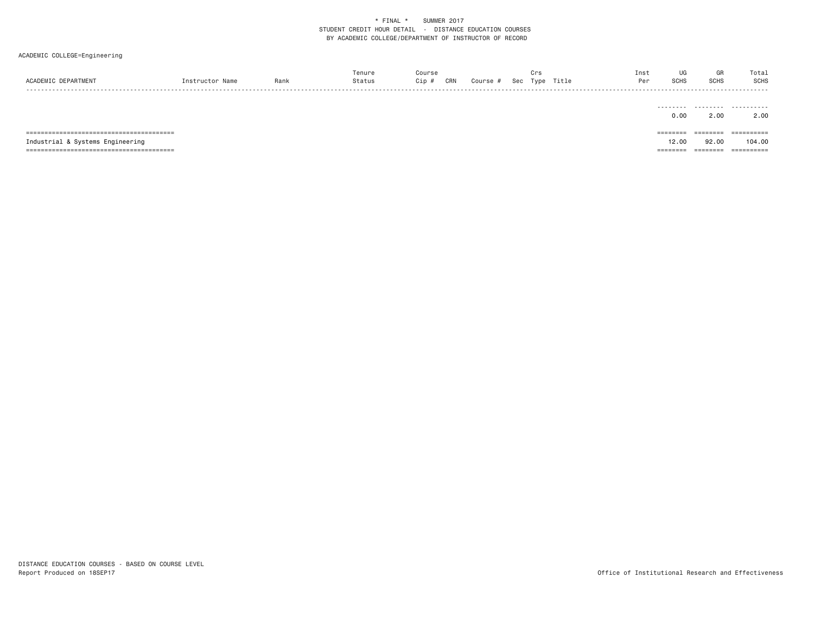| ACADEMIC DEPARTMENT              | Instructor Name | Rank | Tenure<br>Status | Course<br>Cip #<br>CRN | Course # | Crs | Sec Type Title | Inst<br>Per | UG<br><b>SCHS</b> | GR<br><b>SCHS</b>    | Total<br>SCHS<br>- - - - - - - |
|----------------------------------|-----------------|------|------------------|------------------------|----------|-----|----------------|-------------|-------------------|----------------------|--------------------------------|
|                                  |                 |      |                  |                        |          |     |                |             | 0.00              | 2.00                 | <br>2.00                       |
|                                  |                 |      |                  |                        |          |     |                |             | ========          | --------<br>-------- | ==========                     |
| Industrial & Systems Engineering |                 |      |                  |                        |          |     |                |             | 12.00             | 92.00                | 104.00                         |
|                                  |                 |      |                  |                        |          |     |                |             | ========          | ========             | ==========                     |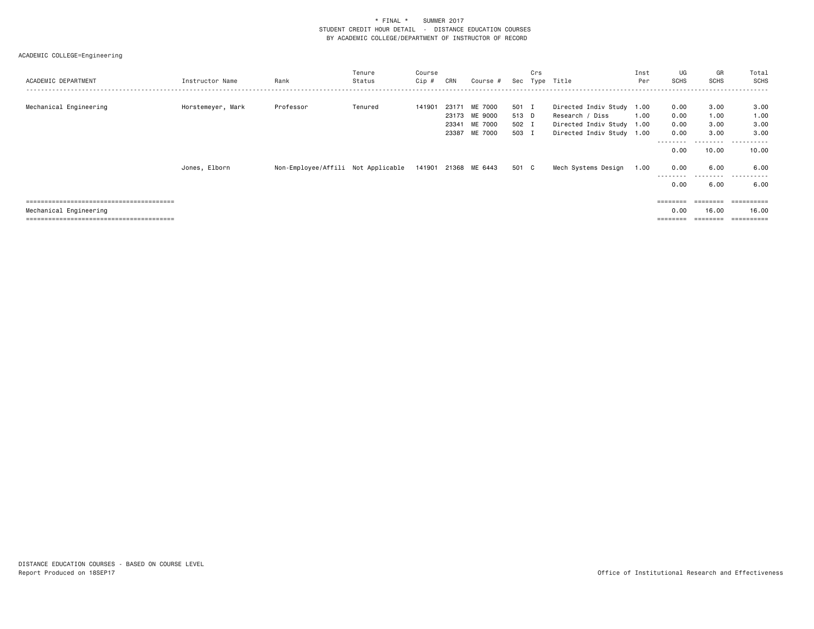| ACADEMIC DEPARTMENT    | Instructor Name   | Rank                               | Tenure<br>Status | Course<br>Cip # | CRN                     | Course #                                       | Sec                              | Crs | Type Title                                                                                             | Inst<br>Per | UG<br><b>SCHS</b>            | GR<br>SCHS                   | Total<br>SCHS                |
|------------------------|-------------------|------------------------------------|------------------|-----------------|-------------------------|------------------------------------------------|----------------------------------|-----|--------------------------------------------------------------------------------------------------------|-------------|------------------------------|------------------------------|------------------------------|
| Mechanical Engineering | Horstemeyer, Mark | Professor                          | Tenured          | 141901          | 23171<br>23341<br>23387 | ME 7000<br>23173 ME 9000<br>ME 7000<br>ME 7000 | 501 I<br>513 D<br>502 I<br>503 I |     | Directed Indiv Study 1.00<br>Research / Diss<br>Directed Indiv Study 1.00<br>Directed Indiv Study 1.00 | 1.00        | 0.00<br>0.00<br>0.00<br>0.00 | 3.00<br>1.00<br>3.00<br>3.00 | 3.00<br>1.00<br>3.00<br>3.00 |
|                        |                   |                                    |                  |                 |                         |                                                |                                  |     |                                                                                                        |             | --------<br>0.00             | .<br>10.00                   | .<br>10.00                   |
|                        | Jones, Elborn     | Non-Employee/Affili Not Applicable |                  |                 |                         | 141901 21368 ME 6443                           | 501 C                            |     | Mech Systems Design                                                                                    | 1.00        | 0.00<br>--------<br>0.00     | 6.00<br>.<br>6.00            | 6.00<br>.<br>6.00            |
|                        |                   |                                    |                  |                 |                         |                                                |                                  |     |                                                                                                        |             | ========                     | ========                     | =========                    |
| Mechanical Engineering |                   |                                    |                  |                 |                         |                                                |                                  |     |                                                                                                        |             | 0.00<br>========             | 16.00<br>========            | 16.00<br>==========          |